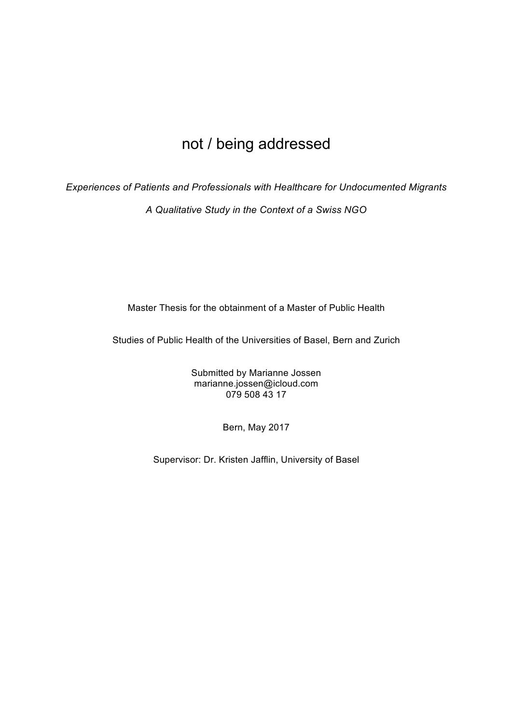# not / being addressed

*Experiences of Patients and Professionals with Healthcare for Undocumented Migrants*

*A Qualitative Study in the Context of a Swiss NGO*

Master Thesis for the obtainment of a Master of Public Health

Studies of Public Health of the Universities of Basel, Bern and Zurich

Submitted by Marianne Jossen marianne.jossen@icloud.com 079 508 43 17

Bern, May 2017

Supervisor: Dr. Kristen Jafflin, University of Basel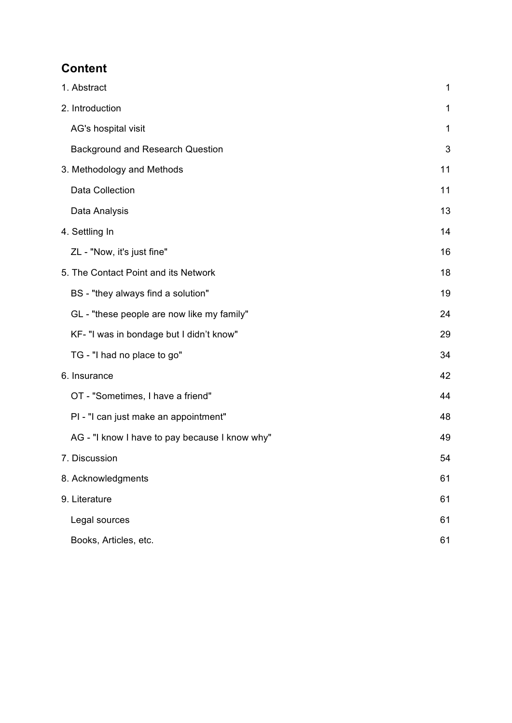# **Content**

| 1. Abstract                                    | 1  |
|------------------------------------------------|----|
| 2. Introduction                                | 1  |
| AG's hospital visit                            | 1  |
| <b>Background and Research Question</b>        | 3  |
| 3. Methodology and Methods                     | 11 |
| Data Collection                                | 11 |
| Data Analysis                                  | 13 |
| 4. Settling In                                 | 14 |
| ZL - "Now, it's just fine"                     | 16 |
| 5. The Contact Point and its Network           | 18 |
| BS - "they always find a solution"             | 19 |
| GL - "these people are now like my family"     | 24 |
| KF- "I was in bondage but I didn't know"       | 29 |
| TG - "I had no place to go"                    | 34 |
| 6. Insurance                                   | 42 |
| OT - "Sometimes, I have a friend"              | 44 |
| PI - "I can just make an appointment"          | 48 |
| AG - "I know I have to pay because I know why" | 49 |
| 7. Discussion                                  | 54 |
| 8. Acknowledgments                             | 61 |
| 9. Literature                                  | 61 |
| Legal sources                                  | 61 |
| Books, Articles, etc.                          | 61 |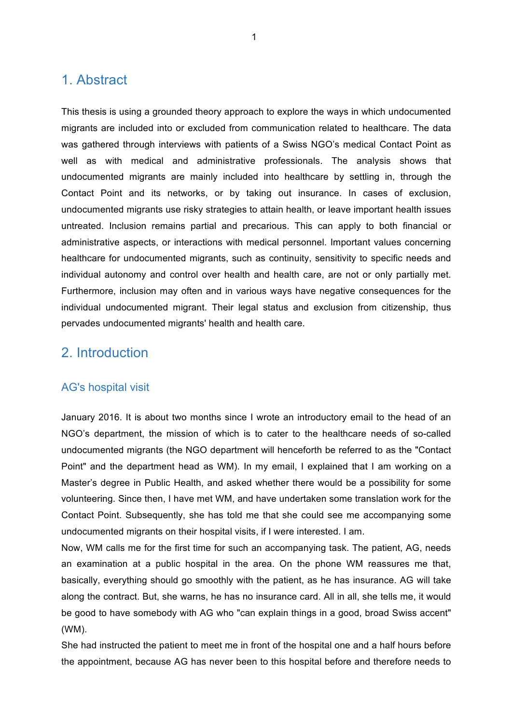# 1. Abstract

This thesis is using a grounded theory approach to explore the ways in which undocumented migrants are included into or excluded from communication related to healthcare. The data was gathered through interviews with patients of a Swiss NGO's medical Contact Point as well as with medical and administrative professionals. The analysis shows that undocumented migrants are mainly included into healthcare by settling in, through the Contact Point and its networks, or by taking out insurance. In cases of exclusion, undocumented migrants use risky strategies to attain health, or leave important health issues untreated. Inclusion remains partial and precarious. This can apply to both financial or administrative aspects, or interactions with medical personnel. Important values concerning healthcare for undocumented migrants, such as continuity, sensitivity to specific needs and individual autonomy and control over health and health care, are not or only partially met. Furthermore, inclusion may often and in various ways have negative consequences for the individual undocumented migrant. Their legal status and exclusion from citizenship, thus pervades undocumented migrants' health and health care.

# 2. Introduction

## AG's hospital visit

January 2016. It is about two months since I wrote an introductory email to the head of an NGO's department, the mission of which is to cater to the healthcare needs of so-called undocumented migrants (the NGO department will henceforth be referred to as the "Contact Point" and the department head as WM). In my email, I explained that I am working on a Master's degree in Public Health, and asked whether there would be a possibility for some volunteering. Since then, I have met WM, and have undertaken some translation work for the Contact Point. Subsequently, she has told me that she could see me accompanying some undocumented migrants on their hospital visits, if I were interested. I am.

Now, WM calls me for the first time for such an accompanying task. The patient, AG, needs an examination at a public hospital in the area. On the phone WM reassures me that, basically, everything should go smoothly with the patient, as he has insurance. AG will take along the contract. But, she warns, he has no insurance card. All in all, she tells me, it would be good to have somebody with AG who "can explain things in a good, broad Swiss accent" (WM).

She had instructed the patient to meet me in front of the hospital one and a half hours before the appointment, because AG has never been to this hospital before and therefore needs to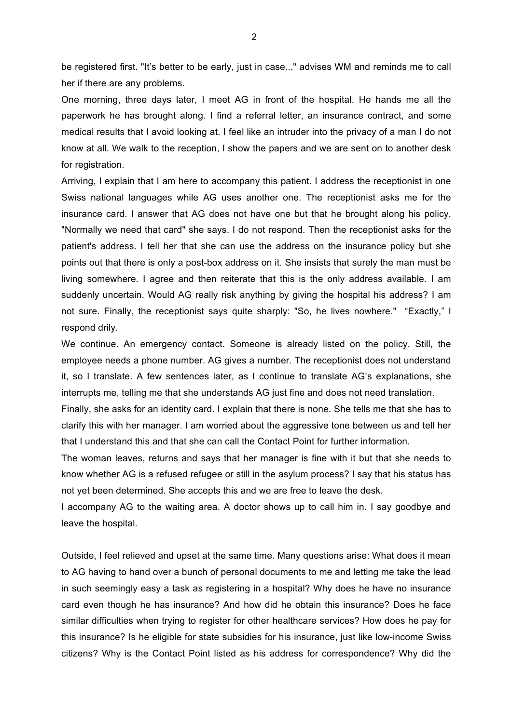be registered first. "It's better to be early, just in case..." advises WM and reminds me to call her if there are any problems.

One morning, three days later, I meet AG in front of the hospital. He hands me all the paperwork he has brought along. I find a referral letter, an insurance contract, and some medical results that I avoid looking at. I feel like an intruder into the privacy of a man I do not know at all. We walk to the reception, I show the papers and we are sent on to another desk for registration.

Arriving, I explain that I am here to accompany this patient. I address the receptionist in one Swiss national languages while AG uses another one. The receptionist asks me for the insurance card. I answer that AG does not have one but that he brought along his policy. "Normally we need that card" she says. I do not respond. Then the receptionist asks for the patient's address. I tell her that she can use the address on the insurance policy but she points out that there is only a post-box address on it. She insists that surely the man must be living somewhere. I agree and then reiterate that this is the only address available. I am suddenly uncertain. Would AG really risk anything by giving the hospital his address? I am not sure. Finally, the receptionist says quite sharply: "So, he lives nowhere." "Exactly," I respond drily.

We continue. An emergency contact. Someone is already listed on the policy. Still, the employee needs a phone number. AG gives a number. The receptionist does not understand it, so I translate. A few sentences later, as I continue to translate AG's explanations, she interrupts me, telling me that she understands AG just fine and does not need translation.

Finally, she asks for an identity card. I explain that there is none. She tells me that she has to clarify this with her manager. I am worried about the aggressive tone between us and tell her that I understand this and that she can call the Contact Point for further information.

The woman leaves, returns and says that her manager is fine with it but that she needs to know whether AG is a refused refugee or still in the asylum process? I say that his status has not yet been determined. She accepts this and we are free to leave the desk.

I accompany AG to the waiting area. A doctor shows up to call him in. I say goodbye and leave the hospital.

Outside, I feel relieved and upset at the same time. Many questions arise: What does it mean to AG having to hand over a bunch of personal documents to me and letting me take the lead in such seemingly easy a task as registering in a hospital? Why does he have no insurance card even though he has insurance? And how did he obtain this insurance? Does he face similar difficulties when trying to register for other healthcare services? How does he pay for this insurance? Is he eligible for state subsidies for his insurance, just like low-income Swiss citizens? Why is the Contact Point listed as his address for correspondence? Why did the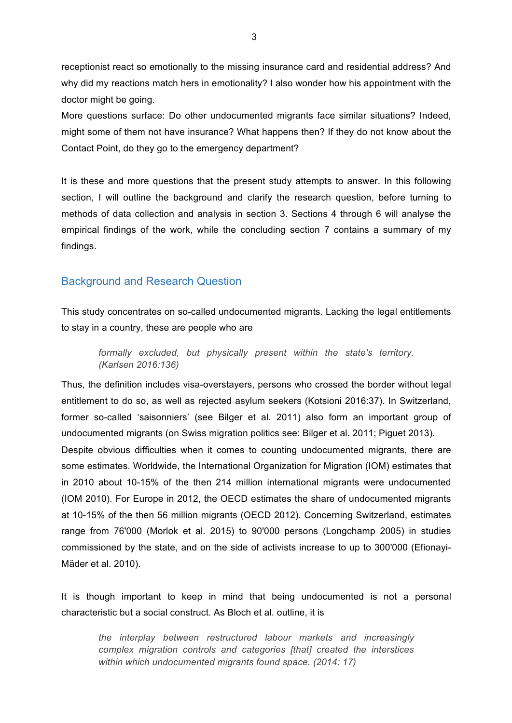receptionist react so emotionally to the missing insurance card and residential address? And why did my reactions match hers in emotionality? I also wonder how his appointment with the doctor might be going.

More questions surface: Do other undocumented migrants face similar situations? Indeed, might some of them not have insurance? What happens then? If they do not know about the Contact Point, do they go to the emergency department?

It is these and more questions that the present study attempts to answer. In this following section, I will outline the background and clarify the research question, before turning to methods of data collection and analysis in section 3. Sections 4 through 6 will analyse the empirical findings of the work, while the concluding section 7 contains a summary of my findings.

## Background and Research Question

This study concentrates on so-called undocumented migrants. Lacking the legal entitlements to stay in a country, these are people who are

*formally excluded, but physically present within the state's territory. (Karlsen 2016:136)*

Thus, the definition includes visa-overstayers, persons who crossed the border without legal entitlement to do so, as well as rejected asylum seekers (Kotsioni 2016:37). In Switzerland, former so-called 'saisonniers' (see Bilger et al. 2011) also form an important group of undocumented migrants (on Swiss migration politics see: Bilger et al. 2011; Piguet 2013). Despite obvious difficulties when it comes to counting undocumented migrants, there are some estimates. Worldwide, the International Organization for Migration (IOM) estimates that in 2010 about 10-15% of the then 214 million international migrants were undocumented (IOM 2010). For Europe in 2012, the OECD estimates the share of undocumented migrants at 10-15% of the then 56 million migrants (OECD 2012). Concerning Switzerland, estimates range from 76'000 (Morlok et al. 2015) to 90'000 persons (Longchamp 2005) in studies commissioned by the state, and on the side of activists increase to up to 300'000 (Efionayi-Mäder et al. 2010).

It is though important to keep in mind that being undocumented is not a personal characteristic but a social construct. As Bloch et al. outline, it is

*the interplay between restructured labour markets and increasingly complex migration controls and categories [that] created the interstices within which undocumented migrants found space. (2014: 17)*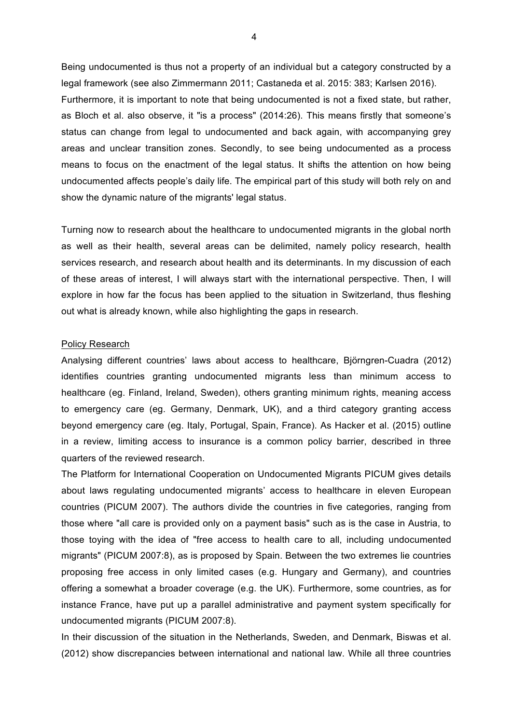Being undocumented is thus not a property of an individual but a category constructed by a legal framework (see also Zimmermann 2011; Castaneda et al. 2015: 383; Karlsen 2016). Furthermore, it is important to note that being undocumented is not a fixed state, but rather, as Bloch et al. also observe, it "is a process" (2014:26). This means firstly that someone's status can change from legal to undocumented and back again, with accompanying grey areas and unclear transition zones. Secondly, to see being undocumented as a process means to focus on the enactment of the legal status. It shifts the attention on how being undocumented affects people's daily life. The empirical part of this study will both rely on and show the dynamic nature of the migrants' legal status.

Turning now to research about the healthcare to undocumented migrants in the global north as well as their health, several areas can be delimited, namely policy research, health services research, and research about health and its determinants. In my discussion of each of these areas of interest, I will always start with the international perspective. Then, I will explore in how far the focus has been applied to the situation in Switzerland, thus fleshing out what is already known, while also highlighting the gaps in research.

#### Policy Research

Analysing different countries' laws about access to healthcare, Björngren-Cuadra (2012) identifies countries granting undocumented migrants less than minimum access to healthcare (eg. Finland, Ireland, Sweden), others granting minimum rights, meaning access to emergency care (eg. Germany, Denmark, UK), and a third category granting access beyond emergency care (eg. Italy, Portugal, Spain, France). As Hacker et al. (2015) outline in a review, limiting access to insurance is a common policy barrier, described in three quarters of the reviewed research.

The Platform for International Cooperation on Undocumented Migrants PICUM gives details about laws regulating undocumented migrants' access to healthcare in eleven European countries (PICUM 2007). The authors divide the countries in five categories, ranging from those where "all care is provided only on a payment basis" such as is the case in Austria, to those toying with the idea of "free access to health care to all, including undocumented migrants" (PICUM 2007:8), as is proposed by Spain. Between the two extremes lie countries proposing free access in only limited cases (e.g. Hungary and Germany), and countries offering a somewhat a broader coverage (e.g. the UK). Furthermore, some countries, as for instance France, have put up a parallel administrative and payment system specifically for undocumented migrants (PICUM 2007:8).

In their discussion of the situation in the Netherlands, Sweden, and Denmark, Biswas et al. (2012) show discrepancies between international and national law. While all three countries

4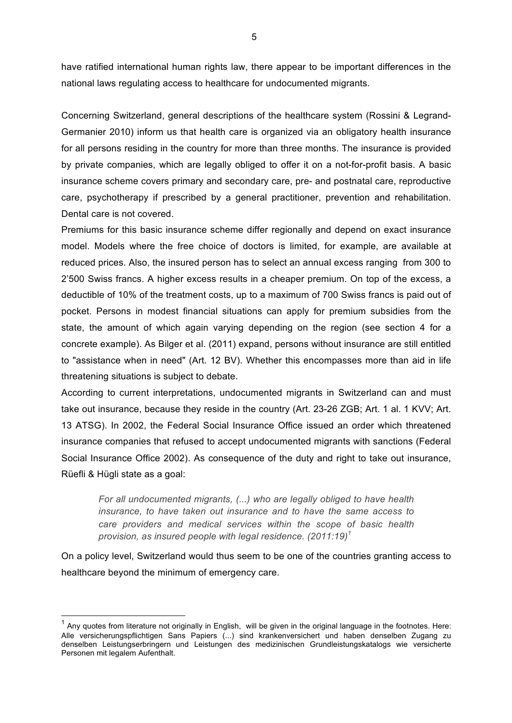have ratified international human rights law, there appear to be important differences in the national laws regulating access to healthcare for undocumented migrants.

Concerning Switzerland, general descriptions of the healthcare system (Rossini & Legrand-Germanier 2010) inform us that health care is organized via an obligatory health insurance for all persons residing in the country for more than three months. The insurance is provided by private companies, which are legally obliged to offer it on a not-for-profit basis. A basic insurance scheme covers primary and secondary care, pre- and postnatal care, reproductive care, psychotherapy if prescribed by a general practitioner, prevention and rehabilitation. Dental care is not covered.

Premiums for this basic insurance scheme differ regionally and depend on exact insurance model. Models where the free choice of doctors is limited, for example, are available at reduced prices. Also, the insured person has to select an annual excess ranging from 300 to 2'500 Swiss francs. A higher excess results in a cheaper premium. On top of the excess, a deductible of 10% of the treatment costs, up to a maximum of 700 Swiss francs is paid out of pocket. Persons in modest financial situations can apply for premium subsidies from the state, the amount of which again varying depending on the region (see section 4 for a concrete example). As Bilger et al. (2011) expand, persons without insurance are still entitled to "assistance when in need" (Art. 12 BV). Whether this encompasses more than aid in life threatening situations is subject to debate.

According to current interpretations, undocumented migrants in Switzerland can and must take out insurance, because they reside in the country (Art. 23-26 ZGB; Art. 1 al. 1 KVV; Art. 13 ATSG). In 2002, the Federal Social Insurance Office issued an order which threatened insurance companies that refused to accept undocumented migrants with sanctions (Federal Social Insurance Office 2002). As consequence of the duty and right to take out insurance, Rüefli & Hügli state as a goal:

*For all undocumented migrants, (...) who are legally obliged to have health insurance, to have taken out insurance and to have the same access to care providers and medical services within the scope of basic health provision, as insured people with legal residence. (2011:19)<sup>1</sup>*

On a policy level, Switzerland would thus seem to be one of the countries granting access to healthcare beyond the minimum of emergency care.

 $1$  Any quotes from literature not originally in English, will be given in the original language in the footnotes. Here: Alle versicherungspflichtigen Sans Papiers (...) sind krankenversichert und haben denselben Zugang zu denselben Leistungserbringern und Leistungen des medizinischen Grundleistungskatalogs wie versicherte Personen mit legalem Aufenthalt.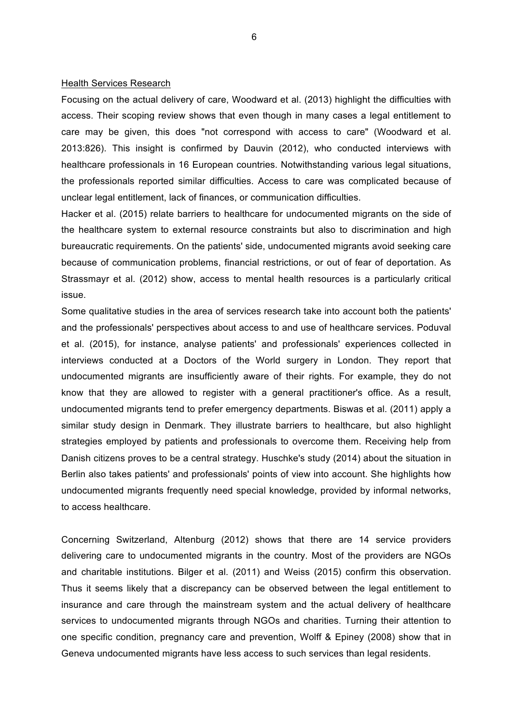#### Health Services Research

Focusing on the actual delivery of care, Woodward et al. (2013) highlight the difficulties with access. Their scoping review shows that even though in many cases a legal entitlement to care may be given, this does "not correspond with access to care" (Woodward et al. 2013:826). This insight is confirmed by Dauvin (2012), who conducted interviews with healthcare professionals in 16 European countries. Notwithstanding various legal situations, the professionals reported similar difficulties. Access to care was complicated because of unclear legal entitlement, lack of finances, or communication difficulties.

Hacker et al. (2015) relate barriers to healthcare for undocumented migrants on the side of the healthcare system to external resource constraints but also to discrimination and high bureaucratic requirements. On the patients' side, undocumented migrants avoid seeking care because of communication problems, financial restrictions, or out of fear of deportation. As Strassmayr et al. (2012) show, access to mental health resources is a particularly critical issue.

Some qualitative studies in the area of services research take into account both the patients' and the professionals' perspectives about access to and use of healthcare services. Poduval et al. (2015), for instance, analyse patients' and professionals' experiences collected in interviews conducted at a Doctors of the World surgery in London. They report that undocumented migrants are insufficiently aware of their rights. For example, they do not know that they are allowed to register with a general practitioner's office. As a result, undocumented migrants tend to prefer emergency departments. Biswas et al. (2011) apply a similar study design in Denmark. They illustrate barriers to healthcare, but also highlight strategies employed by patients and professionals to overcome them. Receiving help from Danish citizens proves to be a central strategy. Huschke's study (2014) about the situation in Berlin also takes patients' and professionals' points of view into account. She highlights how undocumented migrants frequently need special knowledge, provided by informal networks, to access healthcare.

Concerning Switzerland, Altenburg (2012) shows that there are 14 service providers delivering care to undocumented migrants in the country. Most of the providers are NGOs and charitable institutions. Bilger et al. (2011) and Weiss (2015) confirm this observation. Thus it seems likely that a discrepancy can be observed between the legal entitlement to insurance and care through the mainstream system and the actual delivery of healthcare services to undocumented migrants through NGOs and charities. Turning their attention to one specific condition, pregnancy care and prevention, Wolff & Epiney (2008) show that in Geneva undocumented migrants have less access to such services than legal residents.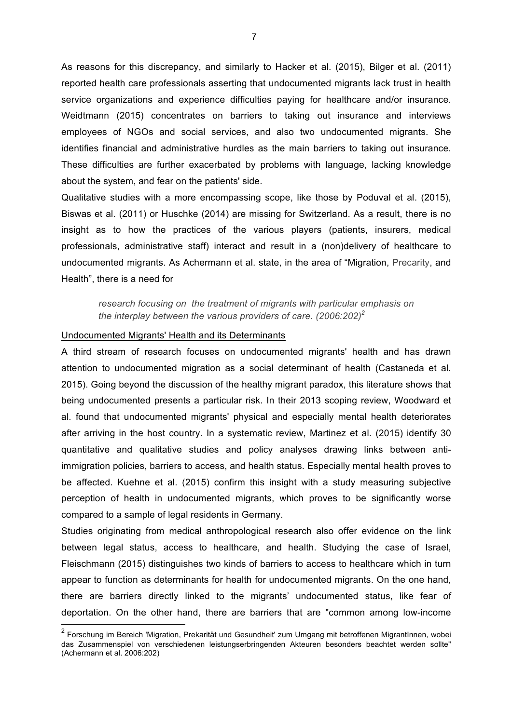As reasons for this discrepancy, and similarly to Hacker et al. (2015), Bilger et al. (2011) reported health care professionals asserting that undocumented migrants lack trust in health service organizations and experience difficulties paying for healthcare and/or insurance. Weidtmann (2015) concentrates on barriers to taking out insurance and interviews employees of NGOs and social services, and also two undocumented migrants. She identifies financial and administrative hurdles as the main barriers to taking out insurance. These difficulties are further exacerbated by problems with language, lacking knowledge about the system, and fear on the patients' side.

Qualitative studies with a more encompassing scope, like those by Poduval et al. (2015), Biswas et al. (2011) or Huschke (2014) are missing for Switzerland. As a result, there is no insight as to how the practices of the various players (patients, insurers, medical professionals, administrative staff) interact and result in a (non)delivery of healthcare to undocumented migrants. As Achermann et al. state, in the area of "Migration, Precarity, and Health", there is a need for

*research focusing on the treatment of migrants with particular emphasis on the interplay between the various providers of care. (2006:202)<sup>2</sup>*

#### Undocumented Migrants' Health and its Determinants

A third stream of research focuses on undocumented migrants' health and has drawn attention to undocumented migration as a social determinant of health (Castaneda et al. 2015). Going beyond the discussion of the healthy migrant paradox, this literature shows that being undocumented presents a particular risk. In their 2013 scoping review, Woodward et al. found that undocumented migrants' physical and especially mental health deteriorates after arriving in the host country. In a systematic review, Martinez et al. (2015) identify 30 quantitative and qualitative studies and policy analyses drawing links between antiimmigration policies, barriers to access, and health status. Especially mental health proves to be affected. Kuehne et al. (2015) confirm this insight with a study measuring subjective perception of health in undocumented migrants, which proves to be significantly worse compared to a sample of legal residents in Germany.

Studies originating from medical anthropological research also offer evidence on the link between legal status, access to healthcare, and health. Studying the case of Israel, Fleischmann (2015) distinguishes two kinds of barriers to access to healthcare which in turn appear to function as determinants for health for undocumented migrants. On the one hand, there are barriers directly linked to the migrants' undocumented status, like fear of deportation. On the other hand, there are barriers that are "common among low-income

<sup>&</sup>lt;sup>2</sup> Forschung im Bereich 'Migration, Prekarität und Gesundheit' zum Umgang mit betroffenen MigrantInnen, wobei das Zusammenspiel von verschiedenen leistungserbringenden Akteuren besonders beachtet werden sollte" (Achermann et al. 2006:202)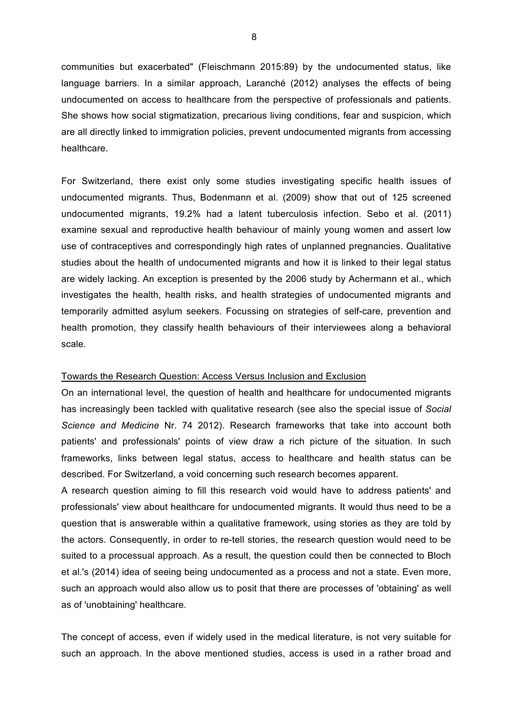communities but exacerbated" (Fleischmann 2015:89) by the undocumented status, like language barriers. In a similar approach, Laranché (2012) analyses the effects of being undocumented on access to healthcare from the perspective of professionals and patients. She shows how social stigmatization, precarious living conditions, fear and suspicion, which are all directly linked to immigration policies, prevent undocumented migrants from accessing healthcare.

For Switzerland, there exist only some studies investigating specific health issues of undocumented migrants. Thus, Bodenmann et al. (2009) show that out of 125 screened undocumented migrants, 19.2% had a latent tuberculosis infection. Sebo et al. (2011) examine sexual and reproductive health behaviour of mainly young women and assert low use of contraceptives and correspondingly high rates of unplanned pregnancies. Qualitative studies about the health of undocumented migrants and how it is linked to their legal status are widely lacking. An exception is presented by the 2006 study by Achermann et al., which investigates the health, health risks, and health strategies of undocumented migrants and temporarily admitted asylum seekers. Focussing on strategies of self-care, prevention and health promotion, they classify health behaviours of their interviewees along a behavioral scale.

#### Towards the Research Question: Access Versus Inclusion and Exclusion

On an international level, the question of health and healthcare for undocumented migrants has increasingly been tackled with qualitative research (see also the special issue of *Social Science and Medicine* Nr. 74 2012). Research frameworks that take into account both patients' and professionals' points of view draw a rich picture of the situation. In such frameworks, links between legal status, access to healthcare and health status can be described. For Switzerland, a void concerning such research becomes apparent.

A research question aiming to fill this research void would have to address patients' and professionals' view about healthcare for undocumented migrants. It would thus need to be a question that is answerable within a qualitative framework, using stories as they are told by the actors. Consequently, in order to re-tell stories, the research question would need to be suited to a processual approach. As a result, the question could then be connected to Bloch et al.'s (2014) idea of seeing being undocumented as a process and not a state. Even more, such an approach would also allow us to posit that there are processes of 'obtaining' as well as of 'unobtaining' healthcare.

The concept of access, even if widely used in the medical literature, is not very suitable for such an approach. In the above mentioned studies, access is used in a rather broad and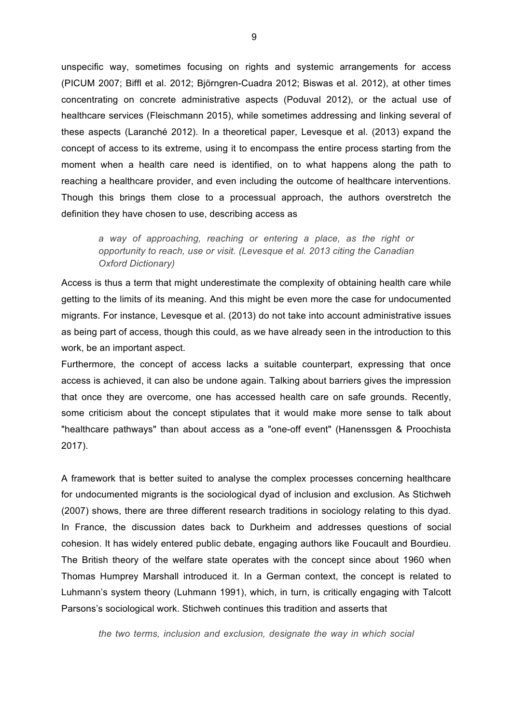unspecific way, sometimes focusing on rights and systemic arrangements for access (PICUM 2007; Biffl et al. 2012; Björngren-Cuadra 2012; Biswas et al. 2012), at other times concentrating on concrete administrative aspects (Poduval 2012), or the actual use of healthcare services (Fleischmann 2015), while sometimes addressing and linking several of these aspects (Laranché 2012). In a theoretical paper, Levesque et al. (2013) expand the concept of access to its extreme, using it to encompass the entire process starting from the moment when a health care need is identified, on to what happens along the path to reaching a healthcare provider, and even including the outcome of healthcare interventions. Though this brings them close to a processual approach, the authors overstretch the definition they have chosen to use, describing access as

*a way of approaching, reaching or entering a place, as the right or opportunity to reach, use or visit. (Levesque et al. 2013 citing the Canadian Oxford Dictionary)*

Access is thus a term that might underestimate the complexity of obtaining health care while getting to the limits of its meaning. And this might be even more the case for undocumented migrants. For instance, Levesque et al. (2013) do not take into account administrative issues as being part of access, though this could, as we have already seen in the introduction to this work, be an important aspect.

Furthermore, the concept of access lacks a suitable counterpart, expressing that once access is achieved, it can also be undone again. Talking about barriers gives the impression that once they are overcome, one has accessed health care on safe grounds. Recently, some criticism about the concept stipulates that it would make more sense to talk about "healthcare pathways" than about access as a "one-off event" (Hanenssgen & Proochista 2017).

A framework that is better suited to analyse the complex processes concerning healthcare for undocumented migrants is the sociological dyad of inclusion and exclusion. As Stichweh (2007) shows, there are three different research traditions in sociology relating to this dyad. In France, the discussion dates back to Durkheim and addresses questions of social cohesion. It has widely entered public debate, engaging authors like Foucault and Bourdieu. The British theory of the welfare state operates with the concept since about 1960 when Thomas Humprey Marshall introduced it. In a German context, the concept is related to Luhmann's system theory (Luhmann 1991), which, in turn, is critically engaging with Talcott Parsons's sociological work. Stichweh continues this tradition and asserts that

*the two terms, inclusion and exclusion, designate the way in which social*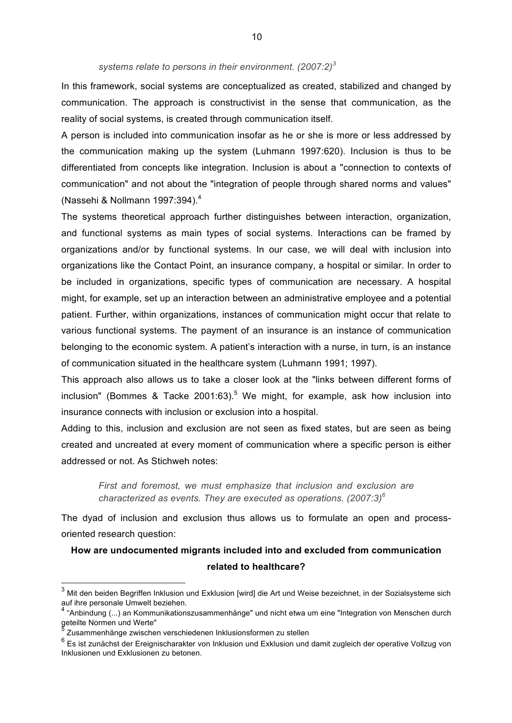#### *systems relate to persons in their environment. (2007:2) 3*

In this framework, social systems are conceptualized as created, stabilized and changed by communication. The approach is constructivist in the sense that communication, as the reality of social systems, is created through communication itself.

A person is included into communication insofar as he or she is more or less addressed by the communication making up the system (Luhmann 1997:620). Inclusion is thus to be differentiated from concepts like integration. Inclusion is about a "connection to contexts of communication" and not about the "integration of people through shared norms and values" (Nassehi & Nollmann 1997:394). $4$ 

The systems theoretical approach further distinguishes between interaction, organization, and functional systems as main types of social systems. Interactions can be framed by organizations and/or by functional systems. In our case, we will deal with inclusion into organizations like the Contact Point, an insurance company, a hospital or similar. In order to be included in organizations, specific types of communication are necessary. A hospital might, for example, set up an interaction between an administrative employee and a potential patient. Further, within organizations, instances of communication might occur that relate to various functional systems. The payment of an insurance is an instance of communication belonging to the economic system. A patient's interaction with a nurse, in turn, is an instance of communication situated in the healthcare system (Luhmann 1991; 1997).

This approach also allows us to take a closer look at the "links between different forms of inclusion" (Bommes & Tacke 2001:63).<sup>5</sup> We might, for example, ask how inclusion into insurance connects with inclusion or exclusion into a hospital.

Adding to this, inclusion and exclusion are not seen as fixed states, but are seen as being created and uncreated at every moment of communication where a specific person is either addressed or not. As Stichweh notes:

*First and foremost, we must emphasize that inclusion and exclusion are characterized as events. They are executed as operations. (2007:3)6*

The dyad of inclusion and exclusion thus allows us to formulate an open and processoriented research question:

## **How are undocumented migrants included into and excluded from communication related to healthcare?**

 $3$  Mit den beiden Begriffen Inklusion und Exklusion [wird] die Art und Weise bezeichnet, in der Sozialsysteme sich auf ihre personale Umwelt beziehen.

 $^{4}$  "Anbindung (...) an Kommunikationszusammenhänge" und nicht etwa um eine "Integration von Menschen durch geteilte Normen und Werte"<br>"geteilte Normen und Werte

<sup>5</sup> Zusammenhänge zwischen verschiedenen Inklusionsformen zu stellen

<sup>6</sup> Es ist zunächst der Ereignischarakter von Inklusion und Exklusion und damit zugleich der operative Vollzug von Inklusionen und Exklusionen zu betonen.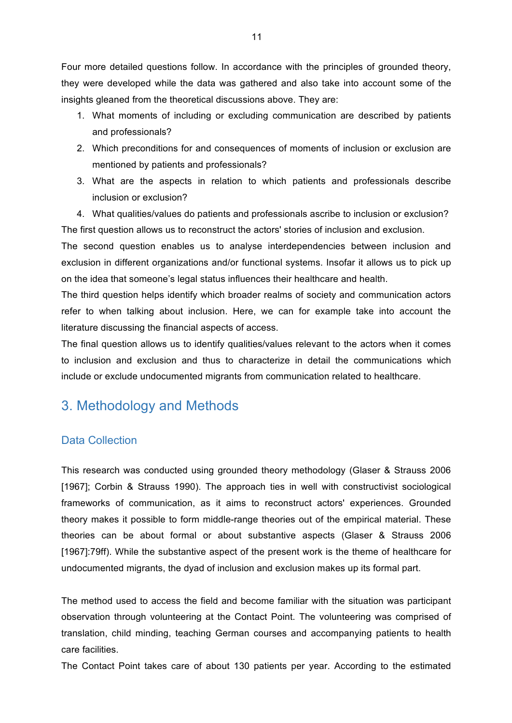Four more detailed questions follow. In accordance with the principles of grounded theory, they were developed while the data was gathered and also take into account some of the insights gleaned from the theoretical discussions above. They are:

- 1. What moments of including or excluding communication are described by patients and professionals?
- 2. Which preconditions for and consequences of moments of inclusion or exclusion are mentioned by patients and professionals?
- 3. What are the aspects in relation to which patients and professionals describe inclusion or exclusion?

4. What qualities/values do patients and professionals ascribe to inclusion or exclusion? The first question allows us to reconstruct the actors' stories of inclusion and exclusion.

The second question enables us to analyse interdependencies between inclusion and exclusion in different organizations and/or functional systems. Insofar it allows us to pick up on the idea that someone's legal status influences their healthcare and health.

The third question helps identify which broader realms of society and communication actors refer to when talking about inclusion. Here, we can for example take into account the literature discussing the financial aspects of access.

The final question allows us to identify qualities/values relevant to the actors when it comes to inclusion and exclusion and thus to characterize in detail the communications which include or exclude undocumented migrants from communication related to healthcare.

# 3. Methodology and Methods

### Data Collection

This research was conducted using grounded theory methodology (Glaser & Strauss 2006 [1967]; Corbin & Strauss 1990). The approach ties in well with constructivist sociological frameworks of communication, as it aims to reconstruct actors' experiences. Grounded theory makes it possible to form middle-range theories out of the empirical material. These theories can be about formal or about substantive aspects (Glaser & Strauss 2006 [1967]:79ff). While the substantive aspect of the present work is the theme of healthcare for undocumented migrants, the dyad of inclusion and exclusion makes up its formal part.

The method used to access the field and become familiar with the situation was participant observation through volunteering at the Contact Point. The volunteering was comprised of translation, child minding, teaching German courses and accompanying patients to health care facilities.

The Contact Point takes care of about 130 patients per year. According to the estimated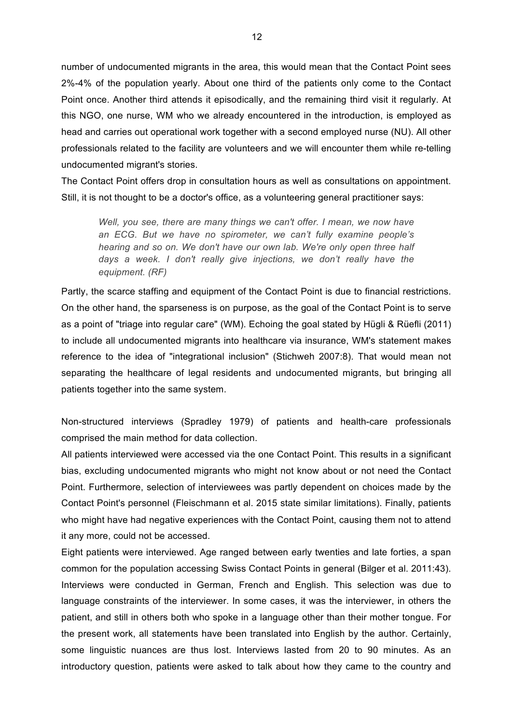number of undocumented migrants in the area, this would mean that the Contact Point sees 2%-4% of the population yearly. About one third of the patients only come to the Contact Point once. Another third attends it episodically, and the remaining third visit it regularly. At this NGO, one nurse, WM who we already encountered in the introduction, is employed as head and carries out operational work together with a second employed nurse (NU). All other professionals related to the facility are volunteers and we will encounter them while re-telling undocumented migrant's stories.

The Contact Point offers drop in consultation hours as well as consultations on appointment. Still, it is not thought to be a doctor's office, as a volunteering general practitioner says:

*Well, you see, there are many things we can't offer. I mean, we now have an ECG. But we have no spirometer, we can't fully examine people's hearing and so on. We don't have our own lab. We're only open three half days a week. I don't really give injections, we don't really have the equipment. (RF)* 

Partly, the scarce staffing and equipment of the Contact Point is due to financial restrictions. On the other hand, the sparseness is on purpose, as the goal of the Contact Point is to serve as a point of "triage into regular care" (WM). Echoing the goal stated by Hügli & Rüefli (2011) to include all undocumented migrants into healthcare via insurance, WM's statement makes reference to the idea of "integrational inclusion" (Stichweh 2007:8). That would mean not separating the healthcare of legal residents and undocumented migrants, but bringing all patients together into the same system.

Non-structured interviews (Spradley 1979) of patients and health-care professionals comprised the main method for data collection.

All patients interviewed were accessed via the one Contact Point. This results in a significant bias, excluding undocumented migrants who might not know about or not need the Contact Point. Furthermore, selection of interviewees was partly dependent on choices made by the Contact Point's personnel (Fleischmann et al. 2015 state similar limitations). Finally, patients who might have had negative experiences with the Contact Point, causing them not to attend it any more, could not be accessed.

Eight patients were interviewed. Age ranged between early twenties and late forties, a span common for the population accessing Swiss Contact Points in general (Bilger et al. 2011:43). Interviews were conducted in German, French and English. This selection was due to language constraints of the interviewer. In some cases, it was the interviewer, in others the patient, and still in others both who spoke in a language other than their mother tongue. For the present work, all statements have been translated into English by the author. Certainly, some linguistic nuances are thus lost. Interviews lasted from 20 to 90 minutes. As an introductory question, patients were asked to talk about how they came to the country and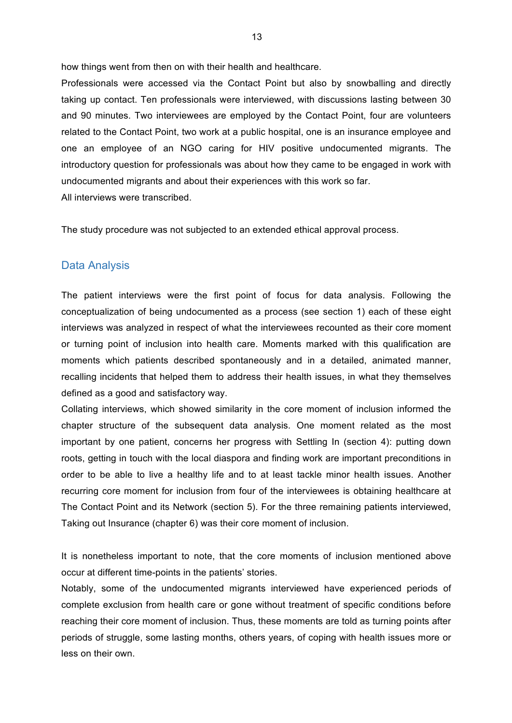how things went from then on with their health and healthcare.

Professionals were accessed via the Contact Point but also by snowballing and directly taking up contact. Ten professionals were interviewed, with discussions lasting between 30 and 90 minutes. Two interviewees are employed by the Contact Point, four are volunteers related to the Contact Point, two work at a public hospital, one is an insurance employee and one an employee of an NGO caring for HIV positive undocumented migrants. The introductory question for professionals was about how they came to be engaged in work with undocumented migrants and about their experiences with this work so far. All interviews were transcribed.

The study procedure was not subjected to an extended ethical approval process.

#### Data Analysis

The patient interviews were the first point of focus for data analysis. Following the conceptualization of being undocumented as a process (see section 1) each of these eight interviews was analyzed in respect of what the interviewees recounted as their core moment or turning point of inclusion into health care. Moments marked with this qualification are moments which patients described spontaneously and in a detailed, animated manner, recalling incidents that helped them to address their health issues, in what they themselves defined as a good and satisfactory way.

Collating interviews, which showed similarity in the core moment of inclusion informed the chapter structure of the subsequent data analysis. One moment related as the most important by one patient, concerns her progress with Settling In (section 4): putting down roots, getting in touch with the local diaspora and finding work are important preconditions in order to be able to live a healthy life and to at least tackle minor health issues. Another recurring core moment for inclusion from four of the interviewees is obtaining healthcare at The Contact Point and its Network (section 5). For the three remaining patients interviewed, Taking out Insurance (chapter 6) was their core moment of inclusion.

It is nonetheless important to note, that the core moments of inclusion mentioned above occur at different time-points in the patients' stories.

Notably, some of the undocumented migrants interviewed have experienced periods of complete exclusion from health care or gone without treatment of specific conditions before reaching their core moment of inclusion. Thus, these moments are told as turning points after periods of struggle, some lasting months, others years, of coping with health issues more or less on their own.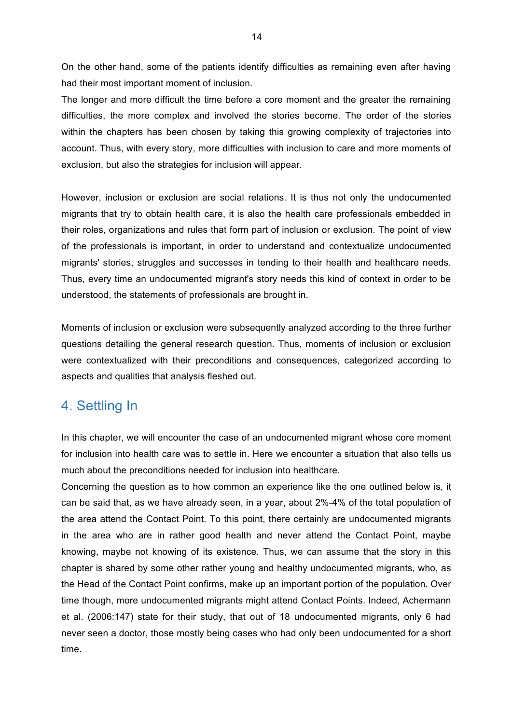On the other hand, some of the patients identify difficulties as remaining even after having had their most important moment of inclusion.

The longer and more difficult the time before a core moment and the greater the remaining difficulties, the more complex and involved the stories become. The order of the stories within the chapters has been chosen by taking this growing complexity of trajectories into account. Thus, with every story, more difficulties with inclusion to care and more moments of exclusion, but also the strategies for inclusion will appear.

However, inclusion or exclusion are social relations. It is thus not only the undocumented migrants that try to obtain health care, it is also the health care professionals embedded in their roles, organizations and rules that form part of inclusion or exclusion. The point of view of the professionals is important, in order to understand and contextualize undocumented migrants' stories, struggles and successes in tending to their health and healthcare needs. Thus, every time an undocumented migrant's story needs this kind of context in order to be understood, the statements of professionals are brought in.

Moments of inclusion or exclusion were subsequently analyzed according to the three further questions detailing the general research question. Thus, moments of inclusion or exclusion were contextualized with their preconditions and consequences, categorized according to aspects and qualities that analysis fleshed out.

# 4. Settling In

In this chapter, we will encounter the case of an undocumented migrant whose core moment for inclusion into health care was to settle in. Here we encounter a situation that also tells us much about the preconditions needed for inclusion into healthcare.

Concerning the question as to how common an experience like the one outlined below is, it can be said that, as we have already seen, in a year, about 2%-4% of the total population of the area attend the Contact Point. To this point, there certainly are undocumented migrants in the area who are in rather good health and never attend the Contact Point, maybe knowing, maybe not knowing of its existence. Thus, we can assume that the story in this chapter is shared by some other rather young and healthy undocumented migrants, who, as the Head of the Contact Point confirms, make up an important portion of the population. Over time though, more undocumented migrants might attend Contact Points. Indeed, Achermann et al. (2006:147) state for their study, that out of 18 undocumented migrants, only 6 had never seen a doctor, those mostly being cases who had only been undocumented for a short time.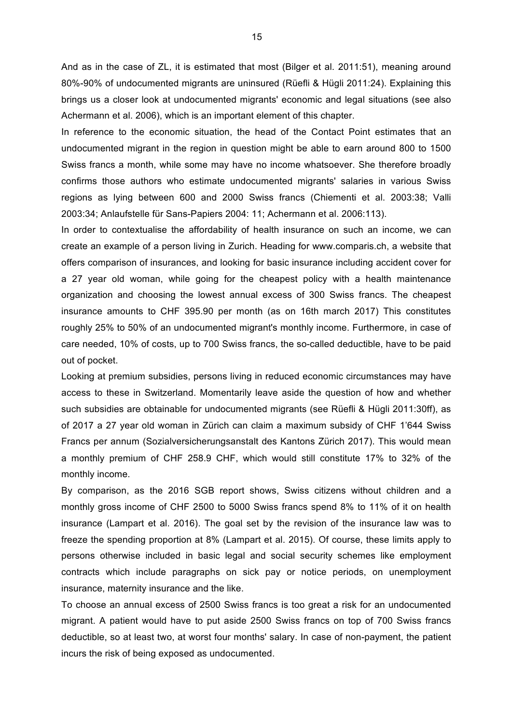And as in the case of ZL, it is estimated that most (Bilger et al. 2011:51), meaning around 80%-90% of undocumented migrants are uninsured (Rüefli & Hügli 2011:24). Explaining this brings us a closer look at undocumented migrants' economic and legal situations (see also Achermann et al. 2006), which is an important element of this chapter.

In reference to the economic situation, the head of the Contact Point estimates that an undocumented migrant in the region in question might be able to earn around 800 to 1500 Swiss francs a month, while some may have no income whatsoever. She therefore broadly confirms those authors who estimate undocumented migrants' salaries in various Swiss regions as lying between 600 and 2000 Swiss francs (Chiementi et al. 2003:38; Valli 2003:34; Anlaufstelle für Sans-Papiers 2004: 11; Achermann et al. 2006:113).

In order to contextualise the affordability of health insurance on such an income, we can create an example of a person living in Zurich. Heading for www.comparis.ch, a website that offers comparison of insurances, and looking for basic insurance including accident cover for a 27 year old woman, while going for the cheapest policy with a health maintenance organization and choosing the lowest annual excess of 300 Swiss francs. The cheapest insurance amounts to CHF 395.90 per month (as on 16th march 2017) This constitutes roughly 25% to 50% of an undocumented migrant's monthly income. Furthermore, in case of care needed, 10% of costs, up to 700 Swiss francs, the so-called deductible, have to be paid out of pocket.

Looking at premium subsidies, persons living in reduced economic circumstances may have access to these in Switzerland. Momentarily leave aside the question of how and whether such subsidies are obtainable for undocumented migrants (see Rüefli & Hügli 2011:30ff), as of 2017 a 27 year old woman in Zürich can claim a maximum subsidy of CHF 1'644 Swiss Francs per annum (Sozialversicherungsanstalt des Kantons Zürich 2017). This would mean a monthly premium of CHF 258.9 CHF, which would still constitute 17% to 32% of the monthly income.

By comparison, as the 2016 SGB report shows, Swiss citizens without children and a monthly gross income of CHF 2500 to 5000 Swiss francs spend 8% to 11% of it on health insurance (Lampart et al. 2016). The goal set by the revision of the insurance law was to freeze the spending proportion at 8% (Lampart et al. 2015). Of course, these limits apply to persons otherwise included in basic legal and social security schemes like employment contracts which include paragraphs on sick pay or notice periods, on unemployment insurance, maternity insurance and the like.

To choose an annual excess of 2500 Swiss francs is too great a risk for an undocumented migrant. A patient would have to put aside 2500 Swiss francs on top of 700 Swiss francs deductible, so at least two, at worst four months' salary. In case of non-payment, the patient incurs the risk of being exposed as undocumented.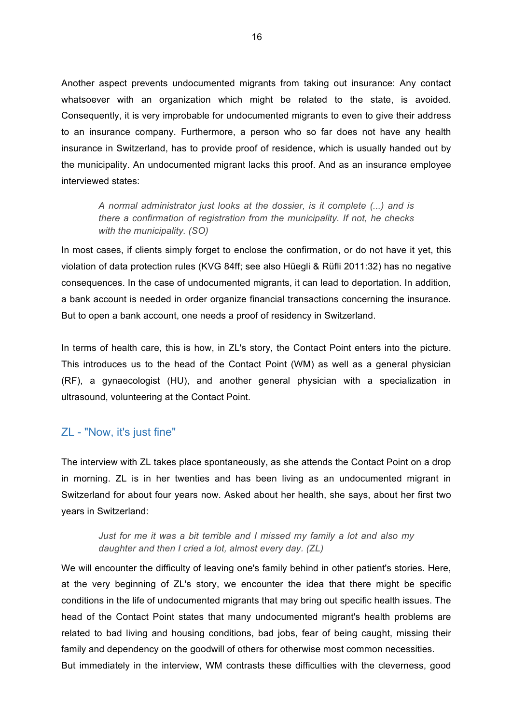Another aspect prevents undocumented migrants from taking out insurance: Any contact whatsoever with an organization which might be related to the state, is avoided. Consequently, it is very improbable for undocumented migrants to even to give their address to an insurance company. Furthermore, a person who so far does not have any health insurance in Switzerland, has to provide proof of residence, which is usually handed out by the municipality. An undocumented migrant lacks this proof. And as an insurance employee interviewed states:

*A normal administrator just looks at the dossier, is it complete (...) and is there a confirmation of registration from the municipality. If not, he checks with the municipality. (SO)*

In most cases, if clients simply forget to enclose the confirmation, or do not have it yet, this violation of data protection rules (KVG 84ff; see also Hüegli & Rüfli 2011:32) has no negative consequences. In the case of undocumented migrants, it can lead to deportation. In addition, a bank account is needed in order organize financial transactions concerning the insurance. But to open a bank account, one needs a proof of residency in Switzerland.

In terms of health care, this is how, in ZL's story, the Contact Point enters into the picture. This introduces us to the head of the Contact Point (WM) as well as a general physician (RF), a gynaecologist (HU), and another general physician with a specialization in ultrasound, volunteering at the Contact Point.

### ZL - "Now, it's just fine"

The interview with ZL takes place spontaneously, as she attends the Contact Point on a drop in morning. ZL is in her twenties and has been living as an undocumented migrant in Switzerland for about four years now. Asked about her health, she says, about her first two years in Switzerland:

*Just for me it was a bit terrible and I missed my family a lot and also my daughter and then I cried a lot, almost every day. (ZL)* 

We will encounter the difficulty of leaving one's family behind in other patient's stories. Here, at the very beginning of ZL's story, we encounter the idea that there might be specific conditions in the life of undocumented migrants that may bring out specific health issues. The head of the Contact Point states that many undocumented migrant's health problems are related to bad living and housing conditions, bad jobs, fear of being caught, missing their family and dependency on the goodwill of others for otherwise most common necessities. But immediately in the interview, WM contrasts these difficulties with the cleverness, good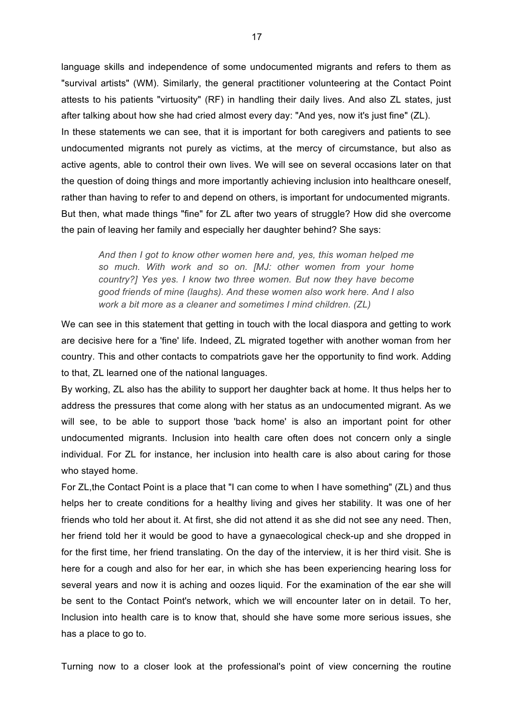language skills and independence of some undocumented migrants and refers to them as "survival artists" (WM). Similarly, the general practitioner volunteering at the Contact Point attests to his patients "virtuosity" (RF) in handling their daily lives. And also ZL states, just after talking about how she had cried almost every day: "And yes, now it's just fine" (ZL). In these statements we can see, that it is important for both caregivers and patients to see undocumented migrants not purely as victims, at the mercy of circumstance, but also as active agents, able to control their own lives. We will see on several occasions later on that the question of doing things and more importantly achieving inclusion into healthcare oneself, rather than having to refer to and depend on others, is important for undocumented migrants. But then, what made things "fine" for ZL after two years of struggle? How did she overcome the pain of leaving her family and especially her daughter behind? She says:

*And then I got to know other women here and, yes, this woman helped me so much. With work and so on. [MJ: other women from your home country?] Yes yes. I know two three women. But now they have become good friends of mine (laughs). And these women also work here. And I also work a bit more as a cleaner and sometimes I mind children. (ZL)*

We can see in this statement that getting in touch with the local diaspora and getting to work are decisive here for a 'fine' life. Indeed, ZL migrated together with another woman from her country. This and other contacts to compatriots gave her the opportunity to find work. Adding to that, ZL learned one of the national languages.

By working, ZL also has the ability to support her daughter back at home. It thus helps her to address the pressures that come along with her status as an undocumented migrant. As we will see, to be able to support those 'back home' is also an important point for other undocumented migrants. Inclusion into health care often does not concern only a single individual. For ZL for instance, her inclusion into health care is also about caring for those who stayed home.

For ZL,the Contact Point is a place that "I can come to when I have something" (ZL) and thus helps her to create conditions for a healthy living and gives her stability. It was one of her friends who told her about it. At first, she did not attend it as she did not see any need. Then, her friend told her it would be good to have a gynaecological check-up and she dropped in for the first time, her friend translating. On the day of the interview, it is her third visit. She is here for a cough and also for her ear, in which she has been experiencing hearing loss for several years and now it is aching and oozes liquid. For the examination of the ear she will be sent to the Contact Point's network, which we will encounter later on in detail. To her, Inclusion into health care is to know that, should she have some more serious issues, she has a place to go to.

Turning now to a closer look at the professional's point of view concerning the routine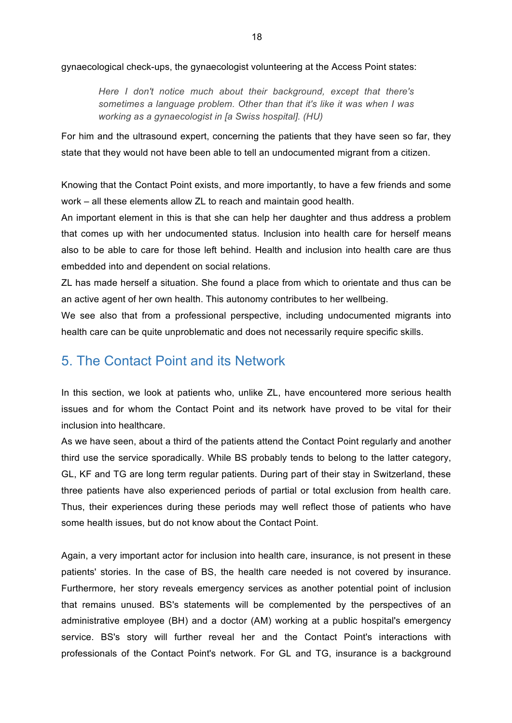gynaecological check-ups, the gynaecologist volunteering at the Access Point states:

*Here I don't notice much about their background, except that there's sometimes a language problem. Other than that it's like it was when I was working as a gynaecologist in [a Swiss hospital]. (HU)* 

For him and the ultrasound expert, concerning the patients that they have seen so far, they state that they would not have been able to tell an undocumented migrant from a citizen.

Knowing that the Contact Point exists, and more importantly, to have a few friends and some work – all these elements allow ZL to reach and maintain good health.

An important element in this is that she can help her daughter and thus address a problem that comes up with her undocumented status. Inclusion into health care for herself means also to be able to care for those left behind. Health and inclusion into health care are thus embedded into and dependent on social relations.

ZL has made herself a situation. She found a place from which to orientate and thus can be an active agent of her own health. This autonomy contributes to her wellbeing.

We see also that from a professional perspective, including undocumented migrants into health care can be quite unproblematic and does not necessarily require specific skills.

# 5. The Contact Point and its Network

In this section, we look at patients who, unlike ZL, have encountered more serious health issues and for whom the Contact Point and its network have proved to be vital for their inclusion into healthcare.

As we have seen, about a third of the patients attend the Contact Point regularly and another third use the service sporadically. While BS probably tends to belong to the latter category, GL, KF and TG are long term regular patients. During part of their stay in Switzerland, these three patients have also experienced periods of partial or total exclusion from health care. Thus, their experiences during these periods may well reflect those of patients who have some health issues, but do not know about the Contact Point.

Again, a very important actor for inclusion into health care, insurance, is not present in these patients' stories. In the case of BS, the health care needed is not covered by insurance. Furthermore, her story reveals emergency services as another potential point of inclusion that remains unused. BS's statements will be complemented by the perspectives of an administrative employee (BH) and a doctor (AM) working at a public hospital's emergency service. BS's story will further reveal her and the Contact Point's interactions with professionals of the Contact Point's network. For GL and TG, insurance is a background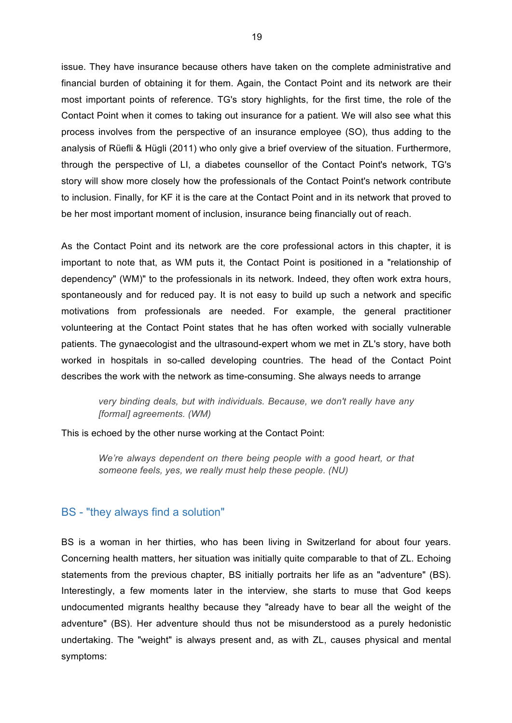issue. They have insurance because others have taken on the complete administrative and financial burden of obtaining it for them. Again, the Contact Point and its network are their most important points of reference. TG's story highlights, for the first time, the role of the Contact Point when it comes to taking out insurance for a patient. We will also see what this process involves from the perspective of an insurance employee (SO), thus adding to the analysis of Rüefli & Hügli (2011) who only give a brief overview of the situation. Furthermore, through the perspective of LI, a diabetes counsellor of the Contact Point's network, TG's story will show more closely how the professionals of the Contact Point's network contribute to inclusion. Finally, for KF it is the care at the Contact Point and in its network that proved to be her most important moment of inclusion, insurance being financially out of reach.

As the Contact Point and its network are the core professional actors in this chapter, it is important to note that, as WM puts it, the Contact Point is positioned in a "relationship of dependency" (WM)" to the professionals in its network. Indeed, they often work extra hours, spontaneously and for reduced pay. It is not easy to build up such a network and specific motivations from professionals are needed. For example, the general practitioner volunteering at the Contact Point states that he has often worked with socially vulnerable patients. The gynaecologist and the ultrasound-expert whom we met in ZL's story, have both worked in hospitals in so-called developing countries. The head of the Contact Point describes the work with the network as time-consuming. She always needs to arrange

*very binding deals, but with individuals. Because, we don't really have any [formal] agreements. (WM)* 

This is echoed by the other nurse working at the Contact Point:

*We're always dependent on there being people with a good heart, or that someone feels, yes, we really must help these people. (NU)*

#### BS - "they always find a solution"

BS is a woman in her thirties, who has been living in Switzerland for about four years. Concerning health matters, her situation was initially quite comparable to that of ZL. Echoing statements from the previous chapter, BS initially portraits her life as an "adventure" (BS). Interestingly, a few moments later in the interview, she starts to muse that God keeps undocumented migrants healthy because they "already have to bear all the weight of the adventure" (BS). Her adventure should thus not be misunderstood as a purely hedonistic undertaking. The "weight" is always present and, as with ZL, causes physical and mental symptoms: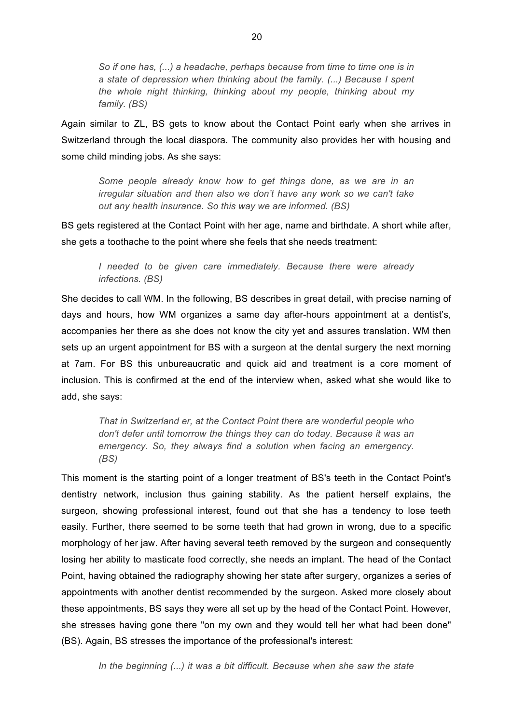*So if one has, (...) a headache, perhaps because from time to time one is in a state of depression when thinking about the family. (...) Because I spent the whole night thinking, thinking about my people, thinking about my family. (BS)*

Again similar to ZL, BS gets to know about the Contact Point early when she arrives in Switzerland through the local diaspora. The community also provides her with housing and some child minding jobs. As she says:

*Some people already know how to get things done, as we are in an irregular situation and then also we don't have any work so we can't take out any health insurance. So this way we are informed. (BS)*

BS gets registered at the Contact Point with her age, name and birthdate. A short while after, she gets a toothache to the point where she feels that she needs treatment:

*I needed to be given care immediately. Because there were already infections. (BS)*

She decides to call WM. In the following, BS describes in great detail, with precise naming of days and hours, how WM organizes a same day after-hours appointment at a dentist's, accompanies her there as she does not know the city yet and assures translation. WM then sets up an urgent appointment for BS with a surgeon at the dental surgery the next morning at 7am. For BS this unbureaucratic and quick aid and treatment is a core moment of inclusion. This is confirmed at the end of the interview when, asked what she would like to add, she says:

*That in Switzerland er, at the Contact Point there are wonderful people who don't defer until tomorrow the things they can do today. Because it was an emergency. So, they always find a solution when facing an emergency. (BS)*

This moment is the starting point of a longer treatment of BS's teeth in the Contact Point's dentistry network, inclusion thus gaining stability. As the patient herself explains, the surgeon, showing professional interest, found out that she has a tendency to lose teeth easily. Further, there seemed to be some teeth that had grown in wrong, due to a specific morphology of her jaw. After having several teeth removed by the surgeon and consequently losing her ability to masticate food correctly, she needs an implant. The head of the Contact Point, having obtained the radiography showing her state after surgery, organizes a series of appointments with another dentist recommended by the surgeon. Asked more closely about these appointments, BS says they were all set up by the head of the Contact Point. However, she stresses having gone there "on my own and they would tell her what had been done" (BS). Again, BS stresses the importance of the professional's interest:

*In the beginning (...) it was a bit difficult. Because when she saw the state*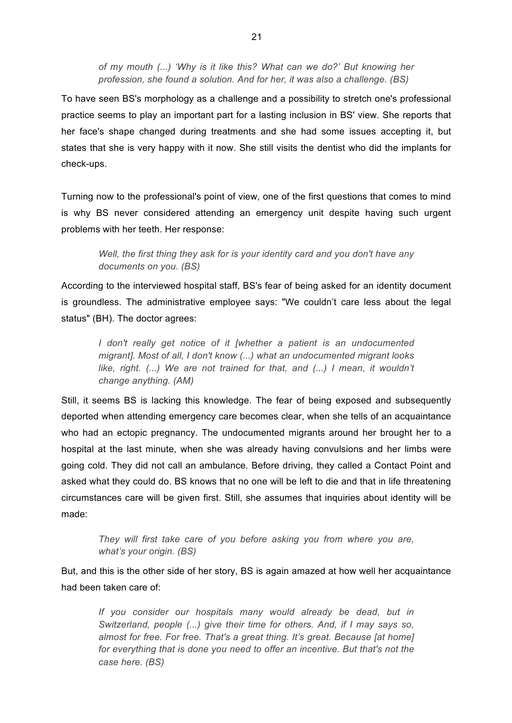*of my mouth (...) 'Why is it like this? What can we do?' But knowing her profession, she found a solution. And for her, it was also a challenge. (BS)*

To have seen BS's morphology as a challenge and a possibility to stretch one's professional practice seems to play an important part for a lasting inclusion in BS' view. She reports that her face's shape changed during treatments and she had some issues accepting it, but states that she is very happy with it now. She still visits the dentist who did the implants for check-ups.

Turning now to the professional's point of view, one of the first questions that comes to mind is why BS never considered attending an emergency unit despite having such urgent problems with her teeth. Her response:

*Well, the first thing they ask for is your identity card and you don't have any documents on you. (BS)* 

According to the interviewed hospital staff, BS's fear of being asked for an identity document is groundless. The administrative employee says: "We couldn't care less about the legal status" (BH). The doctor agrees:

*I don't really get notice of it [whether a patient is an undocumented migrant]. Most of all, I don't know (...) what an undocumented migrant looks like, right.* (...) We are not trained for that, and (...) I mean, it wouldn't *change anything. (AM)*

Still, it seems BS is lacking this knowledge. The fear of being exposed and subsequently deported when attending emergency care becomes clear, when she tells of an acquaintance who had an ectopic pregnancy. The undocumented migrants around her brought her to a hospital at the last minute, when she was already having convulsions and her limbs were going cold. They did not call an ambulance. Before driving, they called a Contact Point and asked what they could do. BS knows that no one will be left to die and that in life threatening circumstances care will be given first. Still, she assumes that inquiries about identity will be made:

*They will first take care of you before asking you from where you are, what's your origin. (BS)*

But, and this is the other side of her story, BS is again amazed at how well her acquaintance had been taken care of:

*If you consider our hospitals many would already be dead, but in Switzerland, people (...) give their time for others. And, if I may says so, almost for free. For free. That's a great thing. It's great. Because [at home] for everything that is done you need to offer an incentive. But that's not the case here. (BS)*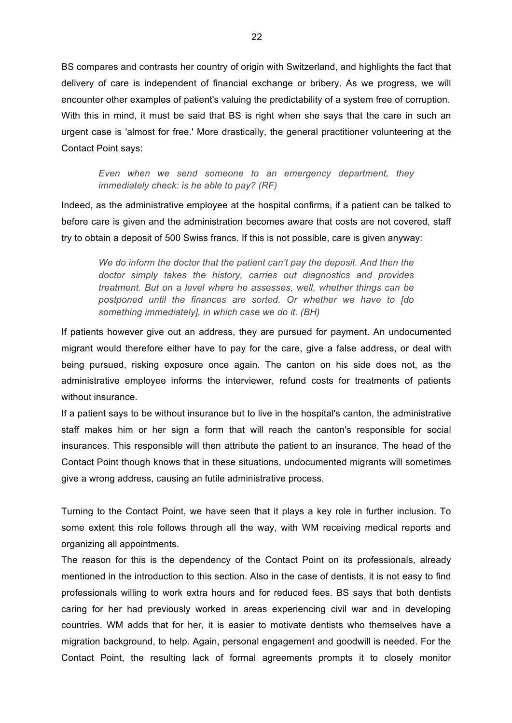BS compares and contrasts her country of origin with Switzerland, and highlights the fact that delivery of care is independent of financial exchange or bribery. As we progress, we will encounter other examples of patient's valuing the predictability of a system free of corruption. With this in mind, it must be said that BS is right when she says that the care in such an urgent case is 'almost for free.' More drastically, the general practitioner volunteering at the Contact Point says:

*Even when we send someone to an emergency department, they immediately check: is he able to pay? (RF)*

Indeed, as the administrative employee at the hospital confirms, if a patient can be talked to before care is given and the administration becomes aware that costs are not covered, staff try to obtain a deposit of 500 Swiss francs. If this is not possible, care is given anyway:

*We do inform the doctor that the patient can't pay the deposit. And then the doctor simply takes the history, carries out diagnostics and provides treatment. But on a level where he assesses, well, whether things can be postponed until the finances are sorted. Or whether we have to [do something immediately], in which case we do it. (BH)*

If patients however give out an address, they are pursued for payment. An undocumented migrant would therefore either have to pay for the care, give a false address, or deal with being pursued, risking exposure once again. The canton on his side does not, as the administrative employee informs the interviewer, refund costs for treatments of patients without insurance.

If a patient says to be without insurance but to live in the hospital's canton, the administrative staff makes him or her sign a form that will reach the canton's responsible for social insurances. This responsible will then attribute the patient to an insurance. The head of the Contact Point though knows that in these situations, undocumented migrants will sometimes give a wrong address, causing an futile administrative process.

Turning to the Contact Point, we have seen that it plays a key role in further inclusion. To some extent this role follows through all the way, with WM receiving medical reports and organizing all appointments.

The reason for this is the dependency of the Contact Point on its professionals, already mentioned in the introduction to this section. Also in the case of dentists, it is not easy to find professionals willing to work extra hours and for reduced fees. BS says that both dentists caring for her had previously worked in areas experiencing civil war and in developing countries. WM adds that for her, it is easier to motivate dentists who themselves have a migration background, to help. Again, personal engagement and goodwill is needed. For the Contact Point, the resulting lack of formal agreements prompts it to closely monitor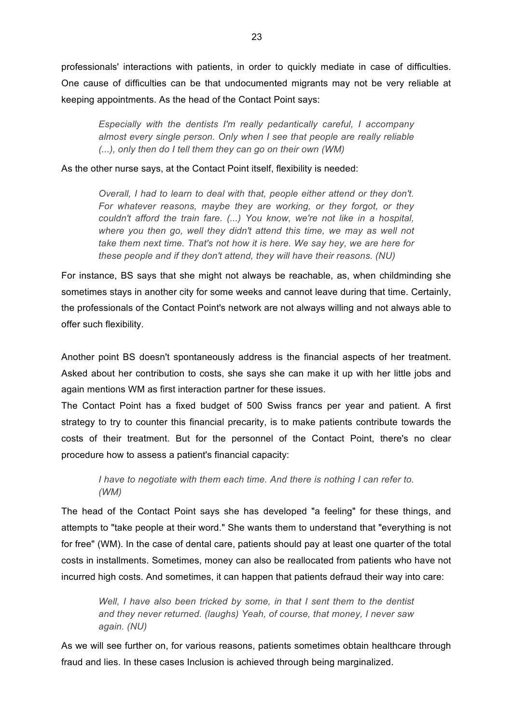professionals' interactions with patients, in order to quickly mediate in case of difficulties. One cause of difficulties can be that undocumented migrants may not be very reliable at keeping appointments. As the head of the Contact Point says:

*Especially with the dentists I'm really pedantically careful, I accompany almost every single person. Only when I see that people are really reliable (...), only then do I tell them they can go on their own (WM)*

As the other nurse says, at the Contact Point itself, flexibility is needed:

*Overall, I had to learn to deal with that, people either attend or they don't. For whatever reasons, maybe they are working, or they forgot, or they couldn't afford the train fare. (...) You know, we're not like in a hospital, where you then go, well they didn't attend this time, we may as well not take them next time. That's not how it is here. We say hey, we are here for these people and if they don't attend, they will have their reasons. (NU)*

For instance, BS says that she might not always be reachable, as, when childminding she sometimes stays in another city for some weeks and cannot leave during that time. Certainly, the professionals of the Contact Point's network are not always willing and not always able to offer such flexibility.

Another point BS doesn't spontaneously address is the financial aspects of her treatment. Asked about her contribution to costs, she says she can make it up with her little jobs and again mentions WM as first interaction partner for these issues.

The Contact Point has a fixed budget of 500 Swiss francs per year and patient. A first strategy to try to counter this financial precarity, is to make patients contribute towards the costs of their treatment. But for the personnel of the Contact Point, there's no clear procedure how to assess a patient's financial capacity:

*I have to negotiate with them each time. And there is nothing I can refer to. (WM)*

The head of the Contact Point says she has developed "a feeling" for these things, and attempts to "take people at their word." She wants them to understand that "everything is not for free" (WM). In the case of dental care, patients should pay at least one quarter of the total costs in installments. Sometimes, money can also be reallocated from patients who have not incurred high costs. And sometimes, it can happen that patients defraud their way into care:

*Well, I have also been tricked by some, in that I sent them to the dentist and they never returned. (laughs) Yeah, of course, that money, I never saw again. (NU)*

As we will see further on, for various reasons, patients sometimes obtain healthcare through fraud and lies. In these cases Inclusion is achieved through being marginalized.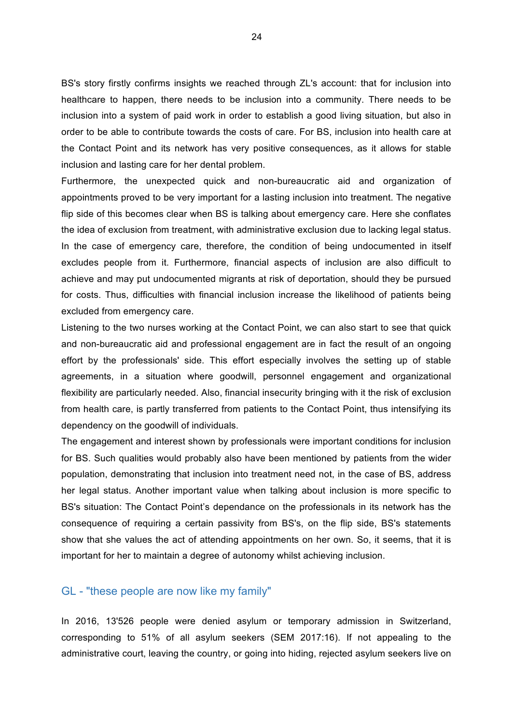BS's story firstly confirms insights we reached through ZL's account: that for inclusion into healthcare to happen, there needs to be inclusion into a community. There needs to be inclusion into a system of paid work in order to establish a good living situation, but also in order to be able to contribute towards the costs of care. For BS, inclusion into health care at the Contact Point and its network has very positive consequences, as it allows for stable inclusion and lasting care for her dental problem.

Furthermore, the unexpected quick and non-bureaucratic aid and organization of appointments proved to be very important for a lasting inclusion into treatment. The negative flip side of this becomes clear when BS is talking about emergency care. Here she conflates the idea of exclusion from treatment, with administrative exclusion due to lacking legal status. In the case of emergency care, therefore, the condition of being undocumented in itself excludes people from it. Furthermore, financial aspects of inclusion are also difficult to achieve and may put undocumented migrants at risk of deportation, should they be pursued for costs. Thus, difficulties with financial inclusion increase the likelihood of patients being excluded from emergency care.

Listening to the two nurses working at the Contact Point, we can also start to see that quick and non-bureaucratic aid and professional engagement are in fact the result of an ongoing effort by the professionals' side. This effort especially involves the setting up of stable agreements, in a situation where goodwill, personnel engagement and organizational flexibility are particularly needed. Also, financial insecurity bringing with it the risk of exclusion from health care, is partly transferred from patients to the Contact Point, thus intensifying its dependency on the goodwill of individuals.

The engagement and interest shown by professionals were important conditions for inclusion for BS. Such qualities would probably also have been mentioned by patients from the wider population, demonstrating that inclusion into treatment need not, in the case of BS, address her legal status. Another important value when talking about inclusion is more specific to BS's situation: The Contact Point's dependance on the professionals in its network has the consequence of requiring a certain passivity from BS's, on the flip side, BS's statements show that she values the act of attending appointments on her own. So, it seems, that it is important for her to maintain a degree of autonomy whilst achieving inclusion.

### GL - "these people are now like my family"

In 2016, 13'526 people were denied asylum or temporary admission in Switzerland, corresponding to 51% of all asylum seekers (SEM 2017:16). If not appealing to the administrative court, leaving the country, or going into hiding, rejected asylum seekers live on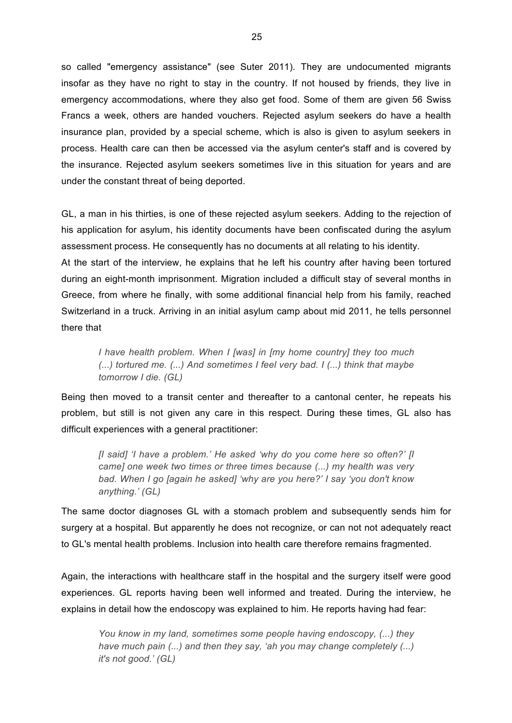so called "emergency assistance" (see Suter 2011). They are undocumented migrants insofar as they have no right to stay in the country. If not housed by friends, they live in emergency accommodations, where they also get food. Some of them are given 56 Swiss Francs a week, others are handed vouchers. Rejected asylum seekers do have a health insurance plan, provided by a special scheme, which is also is given to asylum seekers in process. Health care can then be accessed via the asylum center's staff and is covered by the insurance. Rejected asylum seekers sometimes live in this situation for years and are under the constant threat of being deported.

GL, a man in his thirties, is one of these rejected asylum seekers. Adding to the rejection of his application for asylum, his identity documents have been confiscated during the asylum assessment process. He consequently has no documents at all relating to his identity. At the start of the interview, he explains that he left his country after having been tortured during an eight-month imprisonment. Migration included a difficult stay of several months in Greece, from where he finally, with some additional financial help from his family, reached Switzerland in a truck. Arriving in an initial asylum camp about mid 2011, he tells personnel there that

*I have health problem. When I [was] in [my home country] they too much (...) tortured me. (...) And sometimes I feel very bad. I (...) think that maybe tomorrow I die. (GL)*

Being then moved to a transit center and thereafter to a cantonal center, he repeats his problem, but still is not given any care in this respect. During these times, GL also has difficult experiences with a general practitioner:

*[I said] 'I have a problem.' He asked 'why do you come here so often?' [I came] one week two times or three times because (...) my health was very bad. When I go [again he asked] 'why are you here?' I say 'you don't know anything.' (GL)*

The same doctor diagnoses GL with a stomach problem and subsequently sends him for surgery at a hospital. But apparently he does not recognize, or can not not adequately react to GL's mental health problems. Inclusion into health care therefore remains fragmented.

Again, the interactions with healthcare staff in the hospital and the surgery itself were good experiences. GL reports having been well informed and treated. During the interview, he explains in detail how the endoscopy was explained to him. He reports having had fear:

*You know in my land, sometimes some people having endoscopy, (...) they have much pain (...) and then they say, 'ah you may change completely (...) it's not good.' (GL)*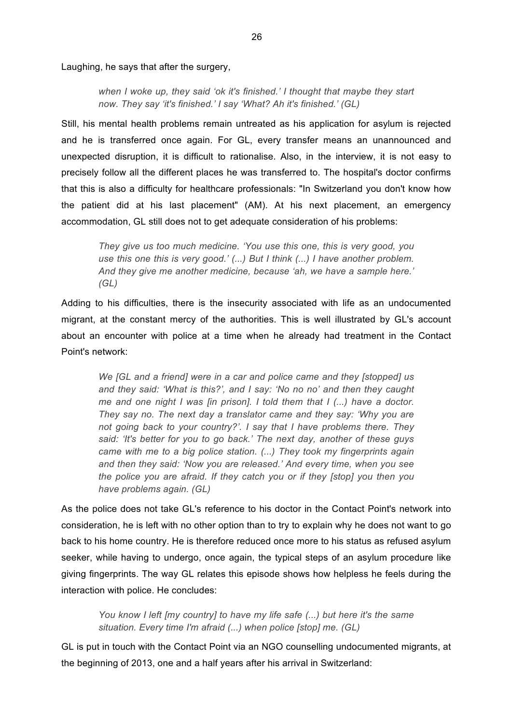Laughing, he says that after the surgery,

*when I woke up, they said 'ok it's finished.' I thought that maybe they start now. They say 'it's finished.' I say 'What? Ah it's finished.' (GL)*

Still, his mental health problems remain untreated as his application for asylum is rejected and he is transferred once again. For GL, every transfer means an unannounced and unexpected disruption, it is difficult to rationalise. Also, in the interview, it is not easy to precisely follow all the different places he was transferred to. The hospital's doctor confirms that this is also a difficulty for healthcare professionals: "In Switzerland you don't know how the patient did at his last placement" (AM). At his next placement, an emergency accommodation, GL still does not to get adequate consideration of his problems:

*They give us too much medicine. 'You use this one, this is very good, you use this one this is very good.' (...) But I think (...) I have another problem. And they give me another medicine, because 'ah, we have a sample here.' (GL)*

Adding to his difficulties, there is the insecurity associated with life as an undocumented migrant, at the constant mercy of the authorities. This is well illustrated by GL's account about an encounter with police at a time when he already had treatment in the Contact Point's network:

*We [GL and a friend] were in a car and police came and they [stopped] us and they said: 'What is this?', and I say: 'No no no' and then they caught me and one night I was [in prison]. I told them that I (...) have a doctor. They say no. The next day a translator came and they say: 'Why you are not going back to your country?'. I say that I have problems there. They said: 'It's better for you to go back.' The next day, another of these guys came with me to a big police station. (...) They took my fingerprints again and then they said: 'Now you are released.' And every time, when you see the police you are afraid. If they catch you or if they [stop] you then you have problems again. (GL)*

As the police does not take GL's reference to his doctor in the Contact Point's network into consideration, he is left with no other option than to try to explain why he does not want to go back to his home country. He is therefore reduced once more to his status as refused asylum seeker, while having to undergo, once again, the typical steps of an asylum procedure like giving fingerprints. The way GL relates this episode shows how helpless he feels during the interaction with police. He concludes:

*You know I left [my country] to have my life safe (...) but here it's the same situation. Every time I'm afraid (...) when police [stop] me. (GL)*

GL is put in touch with the Contact Point via an NGO counselling undocumented migrants, at the beginning of 2013, one and a half years after his arrival in Switzerland: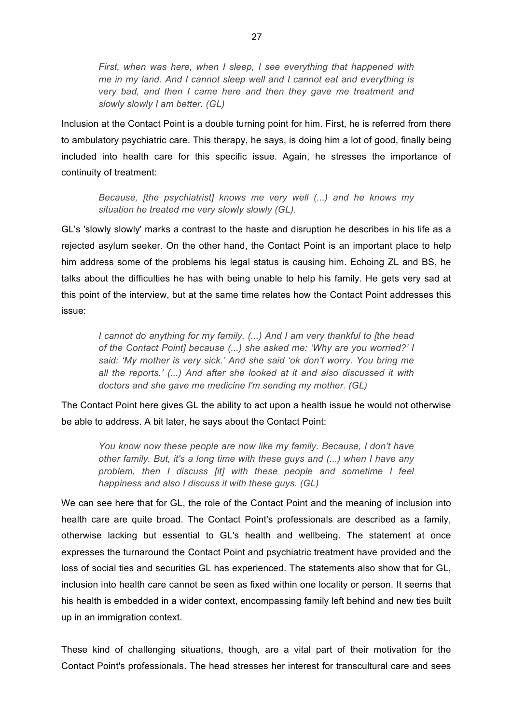*First, when was here, when I sleep, I see everything that happened with me in my land. And I cannot sleep well and I cannot eat and everything is very bad, and then I came here and then they gave me treatment and slowly slowly I am better. (GL)*

Inclusion at the Contact Point is a double turning point for him. First, he is referred from there to ambulatory psychiatric care. This therapy, he says, is doing him a lot of good, finally being included into health care for this specific issue. Again, he stresses the importance of continuity of treatment:

*Because, [the psychiatrist] knows me very well (...) and he knows my situation he treated me very slowly slowly (GL).*

GL's 'slowly slowly' marks a contrast to the haste and disruption he describes in his life as a rejected asylum seeker. On the other hand, the Contact Point is an important place to help him address some of the problems his legal status is causing him. Echoing ZL and BS, he talks about the difficulties he has with being unable to help his family. He gets very sad at this point of the interview, but at the same time relates how the Contact Point addresses this issue:

*I cannot do anything for my family. (...) And I am very thankful to [the head of the Contact Point] because (...) she asked me: 'Why are you worried?' I said: 'My mother is very sick.' And she said 'ok don't worry. You bring me all the reports.' (...) And after she looked at it and also discussed it with doctors and she gave me medicine I'm sending my mother. (GL)*

The Contact Point here gives GL the ability to act upon a health issue he would not otherwise be able to address. A bit later, he says about the Contact Point:

*You know now these people are now like my family. Because, I don't have other family. But, it's a long time with these guys and (...) when I have any problem, then I discuss [it] with these people and sometime I feel happiness and also I discuss it with these guys. (GL)*

We can see here that for GL, the role of the Contact Point and the meaning of inclusion into health care are quite broad. The Contact Point's professionals are described as a family, otherwise lacking but essential to GL's health and wellbeing. The statement at once expresses the turnaround the Contact Point and psychiatric treatment have provided and the loss of social ties and securities GL has experienced. The statements also show that for GL, inclusion into health care cannot be seen as fixed within one locality or person. It seems that his health is embedded in a wider context, encompassing family left behind and new ties built up in an immigration context.

These kind of challenging situations, though, are a vital part of their motivation for the Contact Point's professionals. The head stresses her interest for transcultural care and sees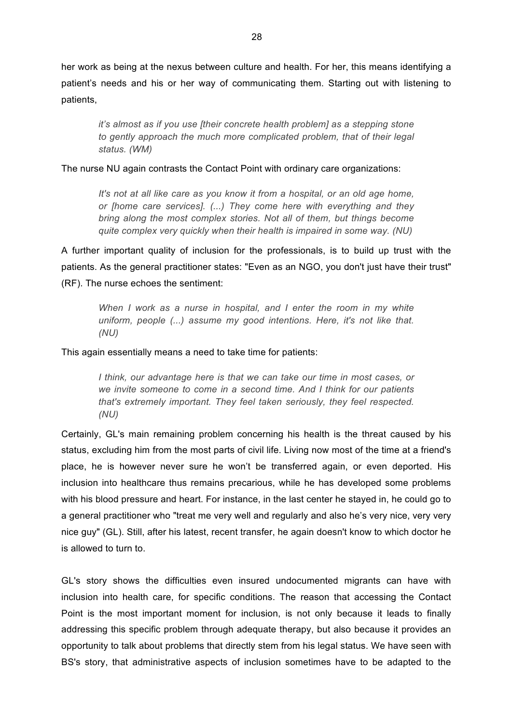her work as being at the nexus between culture and health. For her, this means identifying a patient's needs and his or her way of communicating them. Starting out with listening to patients,

*it's almost as if you use [their concrete health problem] as a stepping stone to gently approach the much more complicated problem, that of their legal status. (WM)*

The nurse NU again contrasts the Contact Point with ordinary care organizations:

*It's not at all like care as you know it from a hospital, or an old age home, or [home care services]. (...) They come here with everything and they bring along the most complex stories. Not all of them, but things become quite complex very quickly when their health is impaired in some way. (NU)*

A further important quality of inclusion for the professionals, is to build up trust with the patients. As the general practitioner states: "Even as an NGO, you don't just have their trust" (RF). The nurse echoes the sentiment:

*When I work as a nurse in hospital, and I enter the room in my white uniform, people (...) assume my good intentions. Here, it's not like that. (NU)* 

This again essentially means a need to take time for patients:

*I think, our advantage here is that we can take our time in most cases, or we invite someone to come in a second time. And I think for our patients that's extremely important. They feel taken seriously, they feel respected. (NU)*

Certainly, GL's main remaining problem concerning his health is the threat caused by his status, excluding him from the most parts of civil life. Living now most of the time at a friend's place, he is however never sure he won't be transferred again, or even deported. His inclusion into healthcare thus remains precarious, while he has developed some problems with his blood pressure and heart. For instance, in the last center he stayed in, he could go to a general practitioner who "treat me very well and regularly and also he's very nice, very very nice guy" (GL). Still, after his latest, recent transfer, he again doesn't know to which doctor he is allowed to turn to.

GL's story shows the difficulties even insured undocumented migrants can have with inclusion into health care, for specific conditions. The reason that accessing the Contact Point is the most important moment for inclusion, is not only because it leads to finally addressing this specific problem through adequate therapy, but also because it provides an opportunity to talk about problems that directly stem from his legal status. We have seen with BS's story, that administrative aspects of inclusion sometimes have to be adapted to the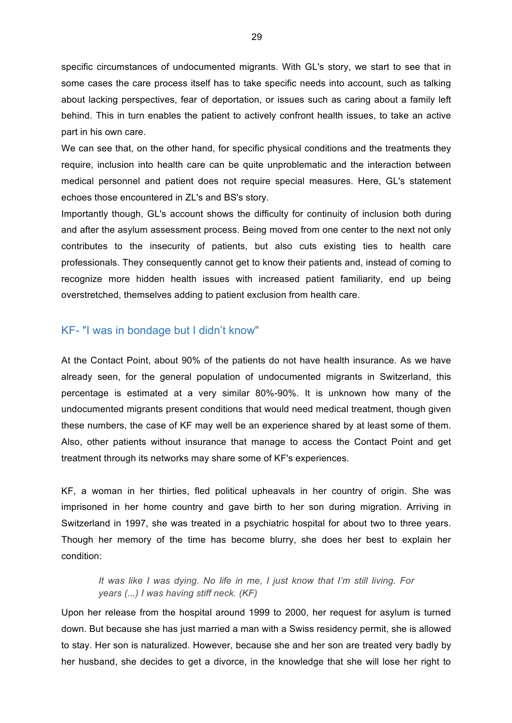specific circumstances of undocumented migrants. With GL's story, we start to see that in some cases the care process itself has to take specific needs into account, such as talking about lacking perspectives, fear of deportation, or issues such as caring about a family left behind. This in turn enables the patient to actively confront health issues, to take an active part in his own care.

We can see that, on the other hand, for specific physical conditions and the treatments they require, inclusion into health care can be quite unproblematic and the interaction between medical personnel and patient does not require special measures. Here, GL's statement echoes those encountered in ZL's and BS's story.

Importantly though, GL's account shows the difficulty for continuity of inclusion both during and after the asylum assessment process. Being moved from one center to the next not only contributes to the insecurity of patients, but also cuts existing ties to health care professionals. They consequently cannot get to know their patients and, instead of coming to recognize more hidden health issues with increased patient familiarity, end up being overstretched, themselves adding to patient exclusion from health care.

### KF- "I was in bondage but I didn't know"

At the Contact Point, about 90% of the patients do not have health insurance. As we have already seen, for the general population of undocumented migrants in Switzerland, this percentage is estimated at a very similar 80%-90%. It is unknown how many of the undocumented migrants present conditions that would need medical treatment, though given these numbers, the case of KF may well be an experience shared by at least some of them. Also, other patients without insurance that manage to access the Contact Point and get treatment through its networks may share some of KF's experiences.

KF, a woman in her thirties, fled political upheavals in her country of origin. She was imprisoned in her home country and gave birth to her son during migration. Arriving in Switzerland in 1997, she was treated in a psychiatric hospital for about two to three years. Though her memory of the time has become blurry, she does her best to explain her condition:

#### *It was like I was dying. No life in me, I just know that I'm still living. For years (...) I was having stiff neck. (KF)*

Upon her release from the hospital around 1999 to 2000, her request for asylum is turned down. But because she has just married a man with a Swiss residency permit, she is allowed to stay. Her son is naturalized. However, because she and her son are treated very badly by her husband, she decides to get a divorce, in the knowledge that she will lose her right to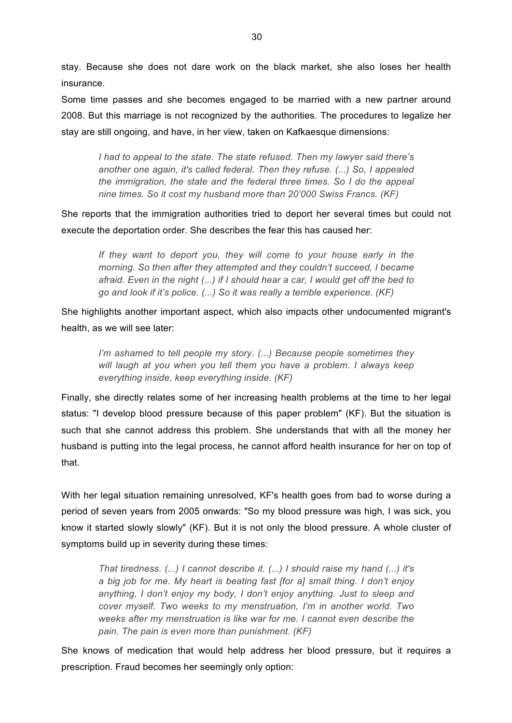stay. Because she does not dare work on the black market, she also loses her health insurance.

Some time passes and she becomes engaged to be married with a new partner around 2008. But this marriage is not recognized by the authorities. The procedures to legalize her stay are still ongoing, and have, in her view, taken on Kafkaesque dimensions:

*I had to appeal to the state. The state refused. Then my lawyer said there's another one again, it's called federal. Then they refuse. (...) So, I appealed the immigration, the state and the federal three times. So I do the appeal nine times. So it cost my husband more than 20'000 Swiss Francs. (KF)*

She reports that the immigration authorities tried to deport her several times but could not execute the deportation order. She describes the fear this has caused her:

*If they want to deport you, they will come to your house early in the morning. So then after they attempted and they couldn't succeed, I became afraid. Even in the night (...) if I should hear a car, I would get off the bed to go and look if it's police. (...) So it was really a terrible experience. (KF)*

She highlights another important aspect, which also impacts other undocumented migrant's health, as we will see later:

*I'm ashamed to tell people my story. (...) Because people sometimes they will laugh at you when you tell them you have a problem. I always keep everything inside, keep everything inside. (KF)*

Finally, she directly relates some of her increasing health problems at the time to her legal status: "I develop blood pressure because of this paper problem" (KF). But the situation is such that she cannot address this problem. She understands that with all the money her husband is putting into the legal process, he cannot afford health insurance for her on top of that.

With her legal situation remaining unresolved, KF's health goes from bad to worse during a period of seven years from 2005 onwards: "So my blood pressure was high, I was sick, you know it started slowly slowly" (KF). But it is not only the blood pressure. A whole cluster of symptoms build up in severity during these times:

*That tiredness. (...) I cannot describe it. (...) I should raise my hand (...) it's a big job for me. My heart is beating fast [for a] small thing. I don't enjoy anything, I don't enjoy my body, I don't enjoy anything. Just to sleep and cover myself. Two weeks to my menstruation, I'm in another world. Two weeks after my menstruation is like war for me. I cannot even describe the pain. The pain is even more than punishment. (KF)*

She knows of medication that would help address her blood pressure, but it requires a prescription. Fraud becomes her seemingly only option: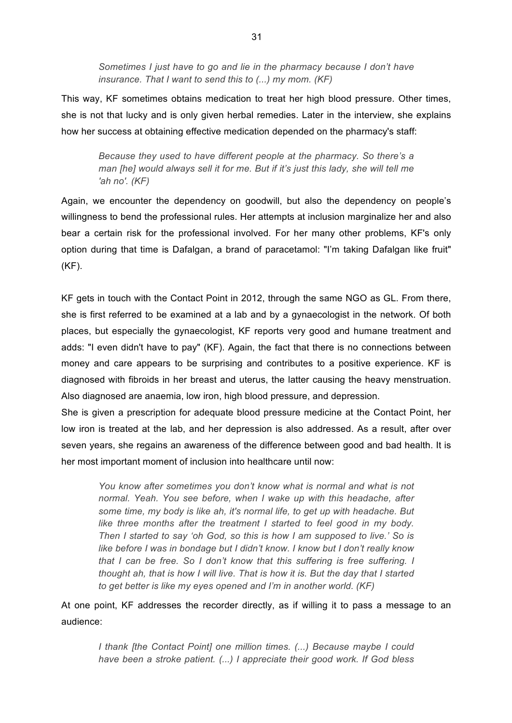*Sometimes I just have to go and lie in the pharmacy because I don't have insurance. That I want to send this to (...) my mom. (KF)*

This way, KF sometimes obtains medication to treat her high blood pressure. Other times, she is not that lucky and is only given herbal remedies. Later in the interview, she explains how her success at obtaining effective medication depended on the pharmacy's staff:

*Because they used to have different people at the pharmacy. So there's a man [he] would always sell it for me. But if it's just this lady, she will tell me 'ah no'. (KF)*

Again, we encounter the dependency on goodwill, but also the dependency on people's willingness to bend the professional rules. Her attempts at inclusion marginalize her and also bear a certain risk for the professional involved. For her many other problems, KF's only option during that time is Dafalgan, a brand of paracetamol: "I'm taking Dafalgan like fruit" (KF).

KF gets in touch with the Contact Point in 2012, through the same NGO as GL. From there, she is first referred to be examined at a lab and by a gynaecologist in the network. Of both places, but especially the gynaecologist, KF reports very good and humane treatment and adds: "I even didn't have to pay" (KF). Again, the fact that there is no connections between money and care appears to be surprising and contributes to a positive experience. KF is diagnosed with fibroids in her breast and uterus, the latter causing the heavy menstruation. Also diagnosed are anaemia, low iron, high blood pressure, and depression.

She is given a prescription for adequate blood pressure medicine at the Contact Point, her low iron is treated at the lab, and her depression is also addressed. As a result, after over seven years, she regains an awareness of the difference between good and bad health. It is her most important moment of inclusion into healthcare until now:

*You know after sometimes you don't know what is normal and what is not normal. Yeah. You see before, when I wake up with this headache, after some time, my body is like ah, it's normal life, to get up with headache. But*  like three months after the treatment I started to feel good in my body. *Then I started to say 'oh God, so this is how I am supposed to live.' So is like before I was in bondage but I didn't know. I know but I don't really know that I can be free. So I don't know that this suffering is free suffering. I thought ah, that is how I will live. That is how it is. But the day that I started to get better is like my eyes opened and I'm in another world. (KF)*

At one point, KF addresses the recorder directly, as if willing it to pass a message to an audience:

*I thank [the Contact Point] one million times. (...) Because maybe I could have been a stroke patient. (...) I appreciate their good work. If God bless*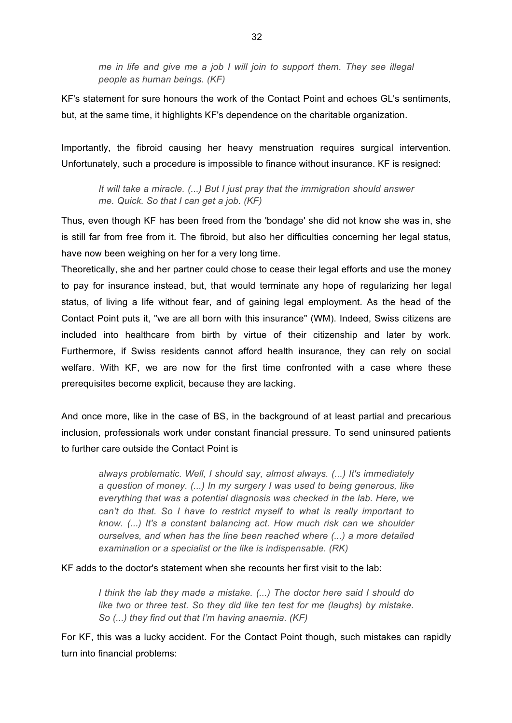*me in life and give me a job I will join to support them. They see illegal people as human beings. (KF)*

KF's statement for sure honours the work of the Contact Point and echoes GL's sentiments, but, at the same time, it highlights KF's dependence on the charitable organization.

Importantly, the fibroid causing her heavy menstruation requires surgical intervention. Unfortunately, such a procedure is impossible to finance without insurance. KF is resigned:

*It will take a miracle. (...) But I just pray that the immigration should answer me. Quick. So that I can get a job. (KF)*

Thus, even though KF has been freed from the 'bondage' she did not know she was in, she is still far from free from it. The fibroid, but also her difficulties concerning her legal status, have now been weighing on her for a very long time.

Theoretically, she and her partner could chose to cease their legal efforts and use the money to pay for insurance instead, but, that would terminate any hope of regularizing her legal status, of living a life without fear, and of gaining legal employment. As the head of the Contact Point puts it, "we are all born with this insurance" (WM). Indeed, Swiss citizens are included into healthcare from birth by virtue of their citizenship and later by work. Furthermore, if Swiss residents cannot afford health insurance, they can rely on social welfare. With KF, we are now for the first time confronted with a case where these prerequisites become explicit, because they are lacking.

And once more, like in the case of BS, in the background of at least partial and precarious inclusion, professionals work under constant financial pressure. To send uninsured patients to further care outside the Contact Point is

*always problematic. Well, I should say, almost always. (...) It's immediately a question of money. (...) In my surgery I was used to being generous, like everything that was a potential diagnosis was checked in the lab. Here, we can't do that. So I have to restrict myself to what is really important to know. (...) It's a constant balancing act. How much risk can we shoulder ourselves, and when has the line been reached where (...) a more detailed examination or a specialist or the like is indispensable. (RK)*

KF adds to the doctor's statement when she recounts her first visit to the lab:

*I think the lab they made a mistake. (...) The doctor here said I should do like two or three test. So they did like ten test for me (laughs) by mistake. So (...) they find out that I'm having anaemia. (KF)*

For KF, this was a lucky accident. For the Contact Point though, such mistakes can rapidly turn into financial problems: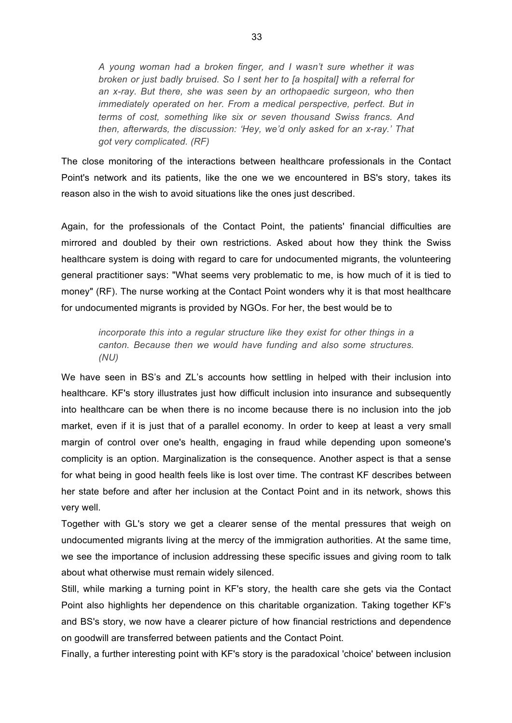*A young woman had a broken finger, and I wasn't sure whether it was broken or just badly bruised. So I sent her to [a hospital] with a referral for an x-ray. But there, she was seen by an orthopaedic surgeon, who then immediately operated on her. From a medical perspective, perfect. But in terms of cost, something like six or seven thousand Swiss francs. And then, afterwards, the discussion: 'Hey, we'd only asked for an x-ray.' That got very complicated. (RF)*

The close monitoring of the interactions between healthcare professionals in the Contact Point's network and its patients, like the one we we encountered in BS's story, takes its reason also in the wish to avoid situations like the ones just described.

Again, for the professionals of the Contact Point, the patients' financial difficulties are mirrored and doubled by their own restrictions. Asked about how they think the Swiss healthcare system is doing with regard to care for undocumented migrants, the volunteering general practitioner says: "What seems very problematic to me, is how much of it is tied to money" (RF). The nurse working at the Contact Point wonders why it is that most healthcare for undocumented migrants is provided by NGOs. For her, the best would be to

*incorporate this into a regular structure like they exist for other things in a canton. Because then we would have funding and also some structures. (NU)*

We have seen in BS's and ZL's accounts how settling in helped with their inclusion into healthcare. KF's story illustrates just how difficult inclusion into insurance and subsequently into healthcare can be when there is no income because there is no inclusion into the job market, even if it is just that of a parallel economy. In order to keep at least a very small margin of control over one's health, engaging in fraud while depending upon someone's complicity is an option. Marginalization is the consequence. Another aspect is that a sense for what being in good health feels like is lost over time. The contrast KF describes between her state before and after her inclusion at the Contact Point and in its network, shows this very well.

Together with GL's story we get a clearer sense of the mental pressures that weigh on undocumented migrants living at the mercy of the immigration authorities. At the same time, we see the importance of inclusion addressing these specific issues and giving room to talk about what otherwise must remain widely silenced.

Still, while marking a turning point in KF's story, the health care she gets via the Contact Point also highlights her dependence on this charitable organization. Taking together KF's and BS's story, we now have a clearer picture of how financial restrictions and dependence on goodwill are transferred between patients and the Contact Point.

Finally, a further interesting point with KF's story is the paradoxical 'choice' between inclusion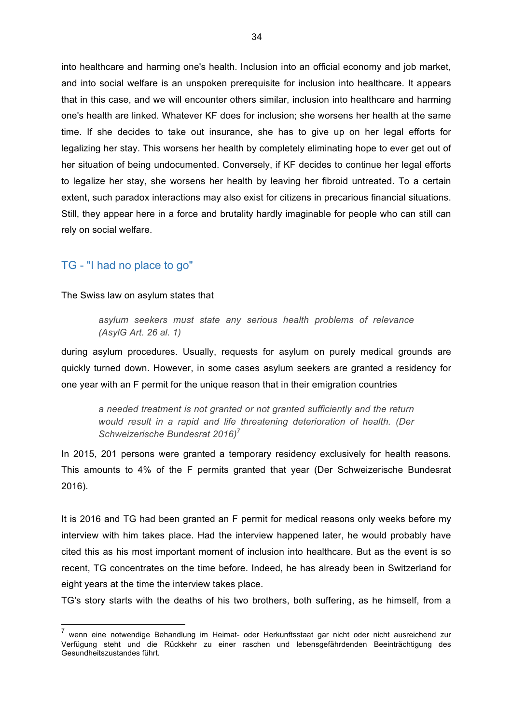into healthcare and harming one's health. Inclusion into an official economy and job market, and into social welfare is an unspoken prerequisite for inclusion into healthcare. It appears that in this case, and we will encounter others similar, inclusion into healthcare and harming one's health are linked. Whatever KF does for inclusion; she worsens her health at the same time. If she decides to take out insurance, she has to give up on her legal efforts for legalizing her stay. This worsens her health by completely eliminating hope to ever get out of her situation of being undocumented. Conversely, if KF decides to continue her legal efforts to legalize her stay, she worsens her health by leaving her fibroid untreated. To a certain extent, such paradox interactions may also exist for citizens in precarious financial situations. Still, they appear here in a force and brutality hardly imaginable for people who can still can rely on social welfare.

#### TG - "I had no place to go"

The Swiss law on asylum states that

*asylum seekers must state any serious health problems of relevance (AsylG Art. 26 al. 1)* 

during asylum procedures. Usually, requests for asylum on purely medical grounds are quickly turned down. However, in some cases asylum seekers are granted a residency for one year with an F permit for the unique reason that in their emigration countries

*a needed treatment is not granted or not granted sufficiently and the return would result in a rapid and life threatening deterioration of health. (Der Schweizerische Bundesrat 2016)<sup>7</sup>*

In 2015, 201 persons were granted a temporary residency exclusively for health reasons. This amounts to 4% of the F permits granted that year (Der Schweizerische Bundesrat 2016).

It is 2016 and TG had been granted an F permit for medical reasons only weeks before my interview with him takes place. Had the interview happened later, he would probably have cited this as his most important moment of inclusion into healthcare. But as the event is so recent, TG concentrates on the time before. Indeed, he has already been in Switzerland for eight years at the time the interview takes place.

TG's story starts with the deaths of his two brothers, both suffering, as he himself, from a

 $<sup>7</sup>$  wenn eine notwendige Behandlung im Heimat- oder Herkunftsstaat gar nicht oder nicht ausreichend zur</sup> Verfügung steht und die Rückkehr zu einer raschen und lebensgefährdenden Beeinträchtigung des Gesundheitszustandes führt.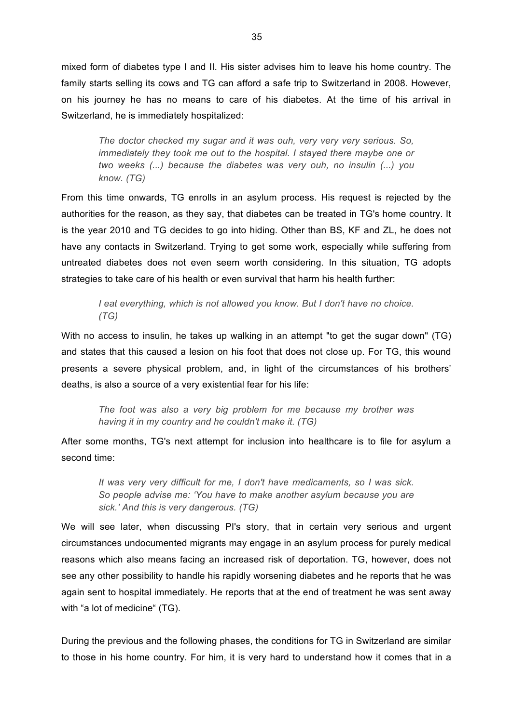mixed form of diabetes type I and II. His sister advises him to leave his home country. The family starts selling its cows and TG can afford a safe trip to Switzerland in 2008. However, on his journey he has no means to care of his diabetes. At the time of his arrival in Switzerland, he is immediately hospitalized:

*The doctor checked my sugar and it was ouh, very very very serious. So, immediately they took me out to the hospital. I stayed there maybe one or two weeks (...) because the diabetes was very ouh, no insulin (...) you know. (TG)*

From this time onwards, TG enrolls in an asylum process. His request is rejected by the authorities for the reason, as they say, that diabetes can be treated in TG's home country. It is the year 2010 and TG decides to go into hiding. Other than BS, KF and ZL, he does not have any contacts in Switzerland. Trying to get some work, especially while suffering from untreated diabetes does not even seem worth considering. In this situation, TG adopts strategies to take care of his health or even survival that harm his health further:

*I eat everything, which is not allowed you know. But I don't have no choice. (TG)*

With no access to insulin, he takes up walking in an attempt "to get the sugar down" (TG) and states that this caused a lesion on his foot that does not close up. For TG, this wound presents a severe physical problem, and, in light of the circumstances of his brothers' deaths, is also a source of a very existential fear for his life:

*The foot was also a very big problem for me because my brother was having it in my country and he couldn't make it. (TG)*

After some months, TG's next attempt for inclusion into healthcare is to file for asylum a second time:

*It was very very difficult for me, I don't have medicaments, so I was sick. So people advise me: 'You have to make another asylum because you are sick.' And this is very dangerous. (TG)*

We will see later, when discussing PI's story, that in certain very serious and urgent circumstances undocumented migrants may engage in an asylum process for purely medical reasons which also means facing an increased risk of deportation. TG, however, does not see any other possibility to handle his rapidly worsening diabetes and he reports that he was again sent to hospital immediately. He reports that at the end of treatment he was sent away with "a lot of medicine" (TG).

During the previous and the following phases, the conditions for TG in Switzerland are similar to those in his home country. For him, it is very hard to understand how it comes that in a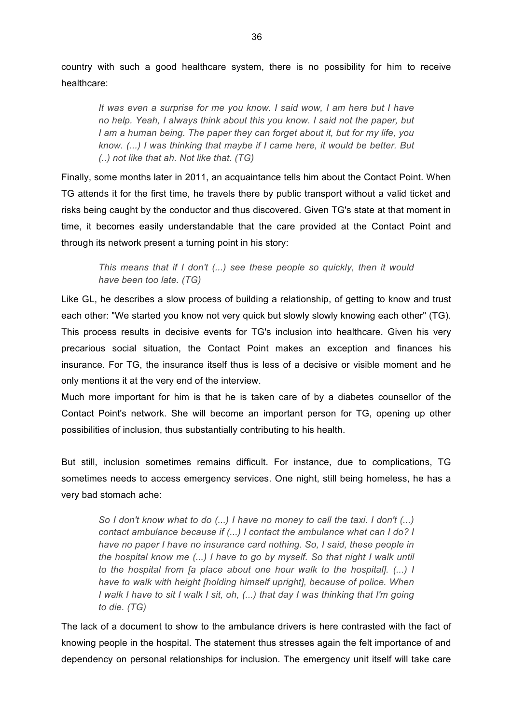country with such a good healthcare system, there is no possibility for him to receive healthcare:

*It was even a surprise for me you know. I said wow, I am here but I have no help. Yeah, I always think about this you know. I said not the paper, but I am a human being. The paper they can forget about it, but for my life, you know. (...) I was thinking that maybe if I came here, it would be better. But (..) not like that ah. Not like that. (TG)*

Finally, some months later in 2011, an acquaintance tells him about the Contact Point. When TG attends it for the first time, he travels there by public transport without a valid ticket and risks being caught by the conductor and thus discovered. Given TG's state at that moment in time, it becomes easily understandable that the care provided at the Contact Point and through its network present a turning point in his story:

*This means that if I don't (...) see these people so quickly, then it would have been too late. (TG)*

Like GL, he describes a slow process of building a relationship, of getting to know and trust each other: "We started you know not very quick but slowly slowly knowing each other" (TG). This process results in decisive events for TG's inclusion into healthcare. Given his very precarious social situation, the Contact Point makes an exception and finances his insurance. For TG, the insurance itself thus is less of a decisive or visible moment and he only mentions it at the very end of the interview.

Much more important for him is that he is taken care of by a diabetes counsellor of the Contact Point's network. She will become an important person for TG, opening up other possibilities of inclusion, thus substantially contributing to his health.

But still, inclusion sometimes remains difficult. For instance, due to complications, TG sometimes needs to access emergency services. One night, still being homeless, he has a very bad stomach ache:

*So I don't know what to do (...) I have no money to call the taxi. I don't (...) contact ambulance because if (...) I contact the ambulance what can I do? I have no paper I have no insurance card nothing. So, I said, these people in the hospital know me (...) I have to go by myself. So that night I walk until to the hospital from [a place about one hour walk to the hospital]. (...) I have to walk with height [holding himself upright], because of police. When I* walk *I have to sit I walk I sit, oh, (...) that day I was thinking that I'm going to die. (TG)*

The lack of a document to show to the ambulance drivers is here contrasted with the fact of knowing people in the hospital. The statement thus stresses again the felt importance of and dependency on personal relationships for inclusion. The emergency unit itself will take care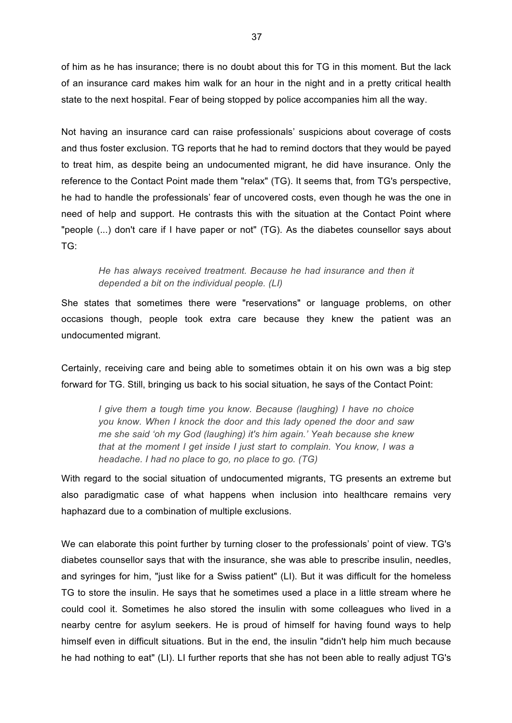of him as he has insurance; there is no doubt about this for TG in this moment. But the lack of an insurance card makes him walk for an hour in the night and in a pretty critical health state to the next hospital. Fear of being stopped by police accompanies him all the way.

Not having an insurance card can raise professionals' suspicions about coverage of costs and thus foster exclusion. TG reports that he had to remind doctors that they would be payed to treat him, as despite being an undocumented migrant, he did have insurance. Only the reference to the Contact Point made them "relax" (TG). It seems that, from TG's perspective, he had to handle the professionals' fear of uncovered costs, even though he was the one in need of help and support. He contrasts this with the situation at the Contact Point where "people (...) don't care if I have paper or not" (TG). As the diabetes counsellor says about TG:

*He has always received treatment. Because he had insurance and then it depended a bit on the individual people. (LI)*

She states that sometimes there were "reservations" or language problems, on other occasions though, people took extra care because they knew the patient was an undocumented migrant.

Certainly, receiving care and being able to sometimes obtain it on his own was a big step forward for TG. Still, bringing us back to his social situation, he says of the Contact Point:

*I give them a tough time you know. Because (laughing) I have no choice you know. When I knock the door and this lady opened the door and saw me she said 'oh my God (laughing) it's him again.' Yeah because she knew that at the moment I get inside I just start to complain. You know, I was a headache. I had no place to go, no place to go. (TG)*

With regard to the social situation of undocumented migrants, TG presents an extreme but also paradigmatic case of what happens when inclusion into healthcare remains very haphazard due to a combination of multiple exclusions.

We can elaborate this point further by turning closer to the professionals' point of view. TG's diabetes counsellor says that with the insurance, she was able to prescribe insulin, needles, and syringes for him, "just like for a Swiss patient" (LI). But it was difficult for the homeless TG to store the insulin. He says that he sometimes used a place in a little stream where he could cool it. Sometimes he also stored the insulin with some colleagues who lived in a nearby centre for asylum seekers. He is proud of himself for having found ways to help himself even in difficult situations. But in the end, the insulin "didn't help him much because he had nothing to eat" (LI). LI further reports that she has not been able to really adjust TG's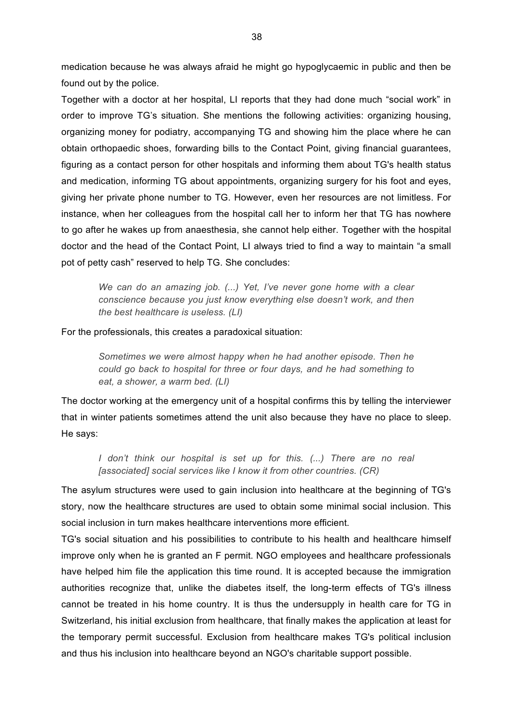medication because he was always afraid he might go hypoglycaemic in public and then be found out by the police.

Together with a doctor at her hospital, LI reports that they had done much "social work" in order to improve TG's situation. She mentions the following activities: organizing housing, organizing money for podiatry, accompanying TG and showing him the place where he can obtain orthopaedic shoes, forwarding bills to the Contact Point, giving financial guarantees, figuring as a contact person for other hospitals and informing them about TG's health status and medication, informing TG about appointments, organizing surgery for his foot and eyes, giving her private phone number to TG. However, even her resources are not limitless. For instance, when her colleagues from the hospital call her to inform her that TG has nowhere to go after he wakes up from anaesthesia, she cannot help either. Together with the hospital doctor and the head of the Contact Point, LI always tried to find a way to maintain "a small pot of petty cash" reserved to help TG. She concludes:

*We can do an amazing job. (...) Yet, I've never gone home with a clear conscience because you just know everything else doesn't work, and then the best healthcare is useless. (LI)*

For the professionals, this creates a paradoxical situation:

*Sometimes we were almost happy when he had another episode. Then he could go back to hospital for three or four days, and he had something to eat, a shower, a warm bed. (LI)*

The doctor working at the emergency unit of a hospital confirms this by telling the interviewer that in winter patients sometimes attend the unit also because they have no place to sleep. He says:

*I* don't think our hospital is set up for this. (...) There are no real *[associated] social services like I know it from other countries. (CR)*

The asylum structures were used to gain inclusion into healthcare at the beginning of TG's story, now the healthcare structures are used to obtain some minimal social inclusion. This social inclusion in turn makes healthcare interventions more efficient.

TG's social situation and his possibilities to contribute to his health and healthcare himself improve only when he is granted an F permit. NGO employees and healthcare professionals have helped him file the application this time round. It is accepted because the immigration authorities recognize that, unlike the diabetes itself, the long-term effects of TG's illness cannot be treated in his home country. It is thus the undersupply in health care for TG in Switzerland, his initial exclusion from healthcare, that finally makes the application at least for the temporary permit successful. Exclusion from healthcare makes TG's political inclusion and thus his inclusion into healthcare beyond an NGO's charitable support possible.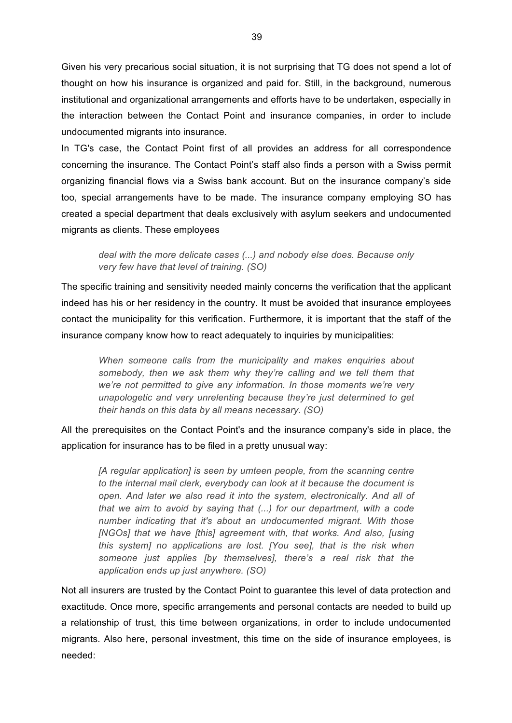Given his very precarious social situation, it is not surprising that TG does not spend a lot of thought on how his insurance is organized and paid for. Still, in the background, numerous institutional and organizational arrangements and efforts have to be undertaken, especially in the interaction between the Contact Point and insurance companies, in order to include undocumented migrants into insurance.

In TG's case, the Contact Point first of all provides an address for all correspondence concerning the insurance. The Contact Point's staff also finds a person with a Swiss permit organizing financial flows via a Swiss bank account. But on the insurance company's side too, special arrangements have to be made. The insurance company employing SO has created a special department that deals exclusively with asylum seekers and undocumented migrants as clients. These employees

*deal with the more delicate cases (...) and nobody else does. Because only very few have that level of training. (SO)* 

The specific training and sensitivity needed mainly concerns the verification that the applicant indeed has his or her residency in the country. It must be avoided that insurance employees contact the municipality for this verification. Furthermore, it is important that the staff of the insurance company know how to react adequately to inquiries by municipalities:

*When someone calls from the municipality and makes enquiries about somebody, then we ask them why they're calling and we tell them that we're not permitted to give any information. In those moments we're very unapologetic and very unrelenting because they're just determined to get their hands on this data by all means necessary. (SO)*

All the prerequisites on the Contact Point's and the insurance company's side in place, the application for insurance has to be filed in a pretty unusual way:

*[A regular application] is seen by umteen people, from the scanning centre to the internal mail clerk, everybody can look at it because the document is open. And later we also read it into the system, electronically. And all of that we aim to avoid by saying that (...) for our department, with a code number indicating that it's about an undocumented migrant. With those [NGOs] that we have [this] agreement with, that works. And also, [using this system] no applications are lost. [You see], that is the risk when someone just applies [by themselves], there's a real risk that the application ends up just anywhere. (SO)*

Not all insurers are trusted by the Contact Point to guarantee this level of data protection and exactitude. Once more, specific arrangements and personal contacts are needed to build up a relationship of trust, this time between organizations, in order to include undocumented migrants. Also here, personal investment, this time on the side of insurance employees, is needed: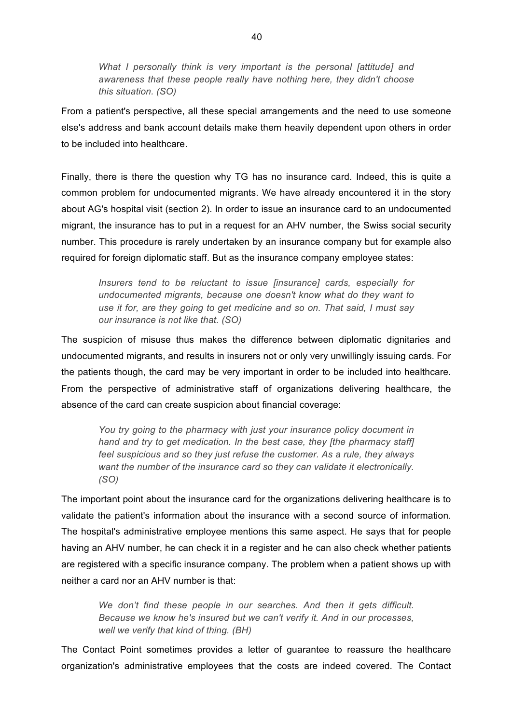*What I personally think is very important is the personal [attitude] and awareness that these people really have nothing here, they didn't choose this situation. (SO)*

From a patient's perspective, all these special arrangements and the need to use someone else's address and bank account details make them heavily dependent upon others in order to be included into healthcare.

Finally, there is there the question why TG has no insurance card. Indeed, this is quite a common problem for undocumented migrants. We have already encountered it in the story about AG's hospital visit (section 2). In order to issue an insurance card to an undocumented migrant, the insurance has to put in a request for an AHV number, the Swiss social security number. This procedure is rarely undertaken by an insurance company but for example also required for foreign diplomatic staff. But as the insurance company employee states:

*Insurers tend to be reluctant to issue [insurance] cards, especially for undocumented migrants, because one doesn't know what do they want to use it for, are they going to get medicine and so on. That said, I must say our insurance is not like that. (SO)*

The suspicion of misuse thus makes the difference between diplomatic dignitaries and undocumented migrants, and results in insurers not or only very unwillingly issuing cards. For the patients though, the card may be very important in order to be included into healthcare. From the perspective of administrative staff of organizations delivering healthcare, the absence of the card can create suspicion about financial coverage:

*You try going to the pharmacy with just your insurance policy document in hand and try to get medication. In the best case, they [the pharmacy staff] feel suspicious and so they just refuse the customer. As a rule, they always want the number of the insurance card so they can validate it electronically. (SO)*

The important point about the insurance card for the organizations delivering healthcare is to validate the patient's information about the insurance with a second source of information. The hospital's administrative employee mentions this same aspect. He says that for people having an AHV number, he can check it in a register and he can also check whether patients are registered with a specific insurance company. The problem when a patient shows up with neither a card nor an AHV number is that:

*We don't find these people in our searches. And then it gets difficult. Because we know he's insured but we can't verify it. And in our processes, well we verify that kind of thing. (BH)*

The Contact Point sometimes provides a letter of guarantee to reassure the healthcare organization's administrative employees that the costs are indeed covered. The Contact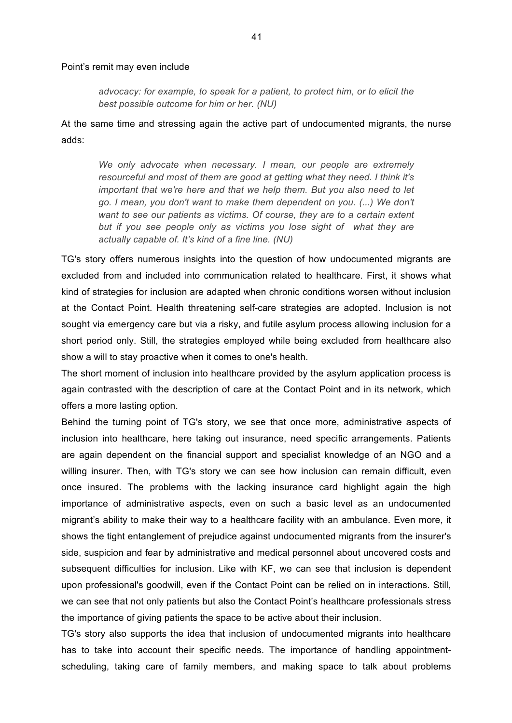#### Point's remit may even include

*advocacy: for example, to speak for a patient, to protect him, or to elicit the best possible outcome for him or her. (NU)* 

At the same time and stressing again the active part of undocumented migrants, the nurse adds:

*We only advocate when necessary. I mean, our people are extremely resourceful and most of them are good at getting what they need. I think it's important that we're here and that we help them. But you also need to let go. I mean, you don't want to make them dependent on you. (...) We don't want to see our patients as victims. Of course, they are to a certain extent but if you see people only as victims you lose sight of what they are actually capable of. It's kind of a fine line. (NU)*

TG's story offers numerous insights into the question of how undocumented migrants are excluded from and included into communication related to healthcare. First, it shows what kind of strategies for inclusion are adapted when chronic conditions worsen without inclusion at the Contact Point. Health threatening self-care strategies are adopted. Inclusion is not sought via emergency care but via a risky, and futile asylum process allowing inclusion for a short period only. Still, the strategies employed while being excluded from healthcare also show a will to stay proactive when it comes to one's health.

The short moment of inclusion into healthcare provided by the asylum application process is again contrasted with the description of care at the Contact Point and in its network, which offers a more lasting option.

Behind the turning point of TG's story, we see that once more, administrative aspects of inclusion into healthcare, here taking out insurance, need specific arrangements. Patients are again dependent on the financial support and specialist knowledge of an NGO and a willing insurer. Then, with TG's story we can see how inclusion can remain difficult, even once insured. The problems with the lacking insurance card highlight again the high importance of administrative aspects, even on such a basic level as an undocumented migrant's ability to make their way to a healthcare facility with an ambulance. Even more, it shows the tight entanglement of prejudice against undocumented migrants from the insurer's side, suspicion and fear by administrative and medical personnel about uncovered costs and subsequent difficulties for inclusion. Like with KF, we can see that inclusion is dependent upon professional's goodwill, even if the Contact Point can be relied on in interactions. Still, we can see that not only patients but also the Contact Point's healthcare professionals stress the importance of giving patients the space to be active about their inclusion.

TG's story also supports the idea that inclusion of undocumented migrants into healthcare has to take into account their specific needs. The importance of handling appointmentscheduling, taking care of family members, and making space to talk about problems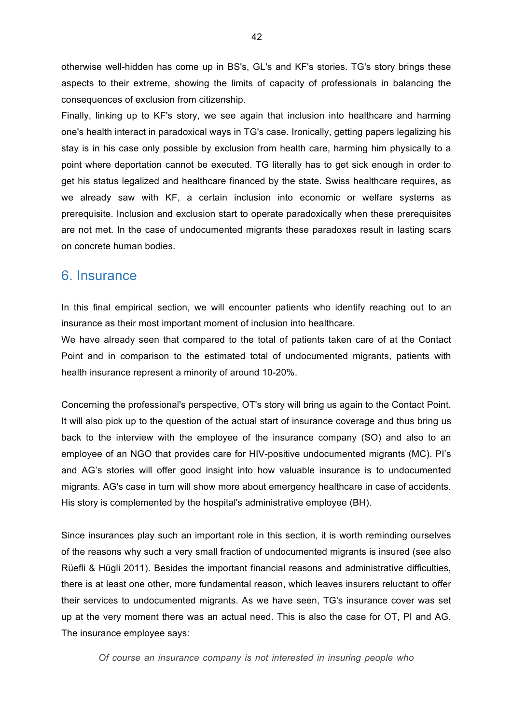otherwise well-hidden has come up in BS's, GL's and KF's stories. TG's story brings these aspects to their extreme, showing the limits of capacity of professionals in balancing the consequences of exclusion from citizenship.

Finally, linking up to KF's story, we see again that inclusion into healthcare and harming one's health interact in paradoxical ways in TG's case. Ironically, getting papers legalizing his stay is in his case only possible by exclusion from health care, harming him physically to a point where deportation cannot be executed. TG literally has to get sick enough in order to get his status legalized and healthcare financed by the state. Swiss healthcare requires, as we already saw with KF, a certain inclusion into economic or welfare systems as prerequisite. Inclusion and exclusion start to operate paradoxically when these prerequisites are not met. In the case of undocumented migrants these paradoxes result in lasting scars on concrete human bodies.

## 6. Insurance

In this final empirical section, we will encounter patients who identify reaching out to an insurance as their most important moment of inclusion into healthcare.

We have already seen that compared to the total of patients taken care of at the Contact Point and in comparison to the estimated total of undocumented migrants, patients with health insurance represent a minority of around 10-20%.

Concerning the professional's perspective, OT's story will bring us again to the Contact Point. It will also pick up to the question of the actual start of insurance coverage and thus bring us back to the interview with the employee of the insurance company (SO) and also to an employee of an NGO that provides care for HIV-positive undocumented migrants (MC). PI's and AG's stories will offer good insight into how valuable insurance is to undocumented migrants. AG's case in turn will show more about emergency healthcare in case of accidents. His story is complemented by the hospital's administrative employee (BH).

Since insurances play such an important role in this section, it is worth reminding ourselves of the reasons why such a very small fraction of undocumented migrants is insured (see also Rüefli & Hügli 2011). Besides the important financial reasons and administrative difficulties, there is at least one other, more fundamental reason, which leaves insurers reluctant to offer their services to undocumented migrants. As we have seen, TG's insurance cover was set up at the very moment there was an actual need. This is also the case for OT, PI and AG. The insurance employee says:

*Of course an insurance company is not interested in insuring people who*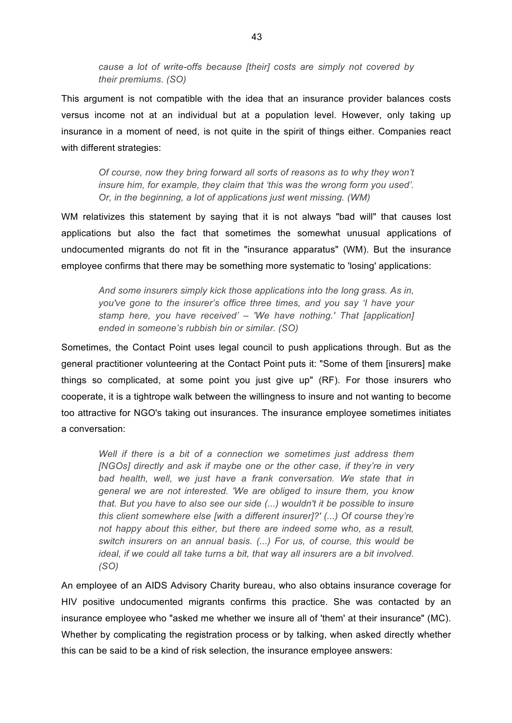*cause a lot of write-offs because [their] costs are simply not covered by their premiums. (SO)*

This argument is not compatible with the idea that an insurance provider balances costs versus income not at an individual but at a population level. However, only taking up insurance in a moment of need, is not quite in the spirit of things either. Companies react with different strategies:

*Of course, now they bring forward all sorts of reasons as to why they won't insure him, for example, they claim that 'this was the wrong form you used'. Or, in the beginning, a lot of applications just went missing. (WM)*

WM relativizes this statement by saying that it is not always "bad will" that causes lost applications but also the fact that sometimes the somewhat unusual applications of undocumented migrants do not fit in the "insurance apparatus" (WM). But the insurance employee confirms that there may be something more systematic to 'losing' applications:

*And some insurers simply kick those applications into the long grass. As in, you've gone to the insurer's office three times, and you say 'I have your stamp here, you have received' – 'We have nothing.' That [application] ended in someone's rubbish bin or similar. (SO)*

Sometimes, the Contact Point uses legal council to push applications through. But as the general practitioner volunteering at the Contact Point puts it: "Some of them [insurers] make things so complicated, at some point you just give up" (RF). For those insurers who cooperate, it is a tightrope walk between the willingness to insure and not wanting to become too attractive for NGO's taking out insurances. The insurance employee sometimes initiates a conversation:

*Well if there is a bit of a connection we sometimes just address them [NGOs] directly and ask if maybe one or the other case, if they're in very bad health, well, we just have a frank conversation. We state that in general we are not interested. 'We are obliged to insure them, you know that. But you have to also see our side (...) wouldn't it be possible to insure this client somewhere else [with a different insurer]?' (...) Of course they're not happy about this either, but there are indeed some who, as a result, switch insurers on an annual basis. (...) For us, of course, this would be ideal, if we could all take turns a bit, that way all insurers are a bit involved. (SO)*

An employee of an AIDS Advisory Charity bureau, who also obtains insurance coverage for HIV positive undocumented migrants confirms this practice. She was contacted by an insurance employee who "asked me whether we insure all of 'them' at their insurance" (MC). Whether by complicating the registration process or by talking, when asked directly whether this can be said to be a kind of risk selection, the insurance employee answers: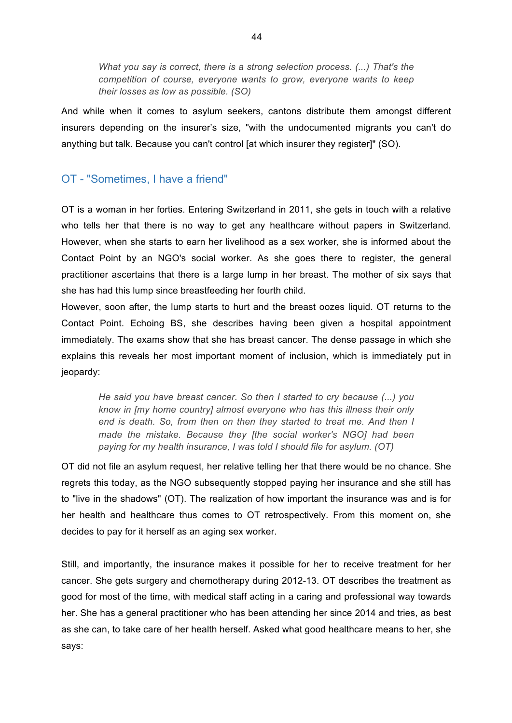*What you say is correct, there is a strong selection process. (...) That's the competition of course, everyone wants to grow, everyone wants to keep their losses as low as possible. (SO)* 

And while when it comes to asylum seekers, cantons distribute them amongst different insurers depending on the insurer's size, "with the undocumented migrants you can't do anything but talk. Because you can't control [at which insurer they register]" (SO).

## OT - "Sometimes, I have a friend"

OT is a woman in her forties. Entering Switzerland in 2011, she gets in touch with a relative who tells her that there is no way to get any healthcare without papers in Switzerland. However, when she starts to earn her livelihood as a sex worker, she is informed about the Contact Point by an NGO's social worker. As she goes there to register, the general practitioner ascertains that there is a large lump in her breast. The mother of six says that she has had this lump since breastfeeding her fourth child.

However, soon after, the lump starts to hurt and the breast oozes liquid. OT returns to the Contact Point. Echoing BS, she describes having been given a hospital appointment immediately. The exams show that she has breast cancer. The dense passage in which she explains this reveals her most important moment of inclusion, which is immediately put in jeopardy:

*He said you have breast cancer. So then I started to cry because (...) you know in [my home country] almost everyone who has this illness their only end is death. So, from then on then they started to treat me. And then I made the mistake. Because they [the social worker's NGO] had been paying for my health insurance, I was told I should file for asylum. (OT)*

OT did not file an asylum request, her relative telling her that there would be no chance. She regrets this today, as the NGO subsequently stopped paying her insurance and she still has to "live in the shadows" (OT). The realization of how important the insurance was and is for her health and healthcare thus comes to OT retrospectively. From this moment on, she decides to pay for it herself as an aging sex worker.

Still, and importantly, the insurance makes it possible for her to receive treatment for her cancer. She gets surgery and chemotherapy during 2012-13. OT describes the treatment as good for most of the time, with medical staff acting in a caring and professional way towards her. She has a general practitioner who has been attending her since 2014 and tries, as best as she can, to take care of her health herself. Asked what good healthcare means to her, she says: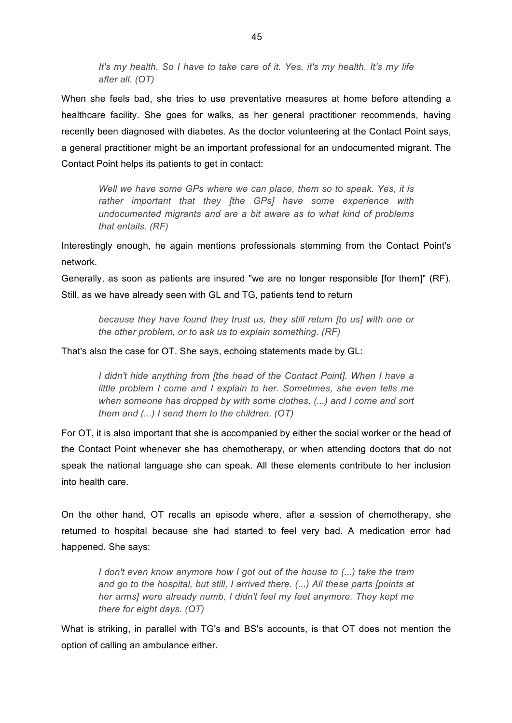*It's my health. So I have to take care of it. Yes, it's my health. It's my life after all. (OT)*

When she feels bad, she tries to use preventative measures at home before attending a healthcare facility. She goes for walks, as her general practitioner recommends, having recently been diagnosed with diabetes. As the doctor volunteering at the Contact Point says, a general practitioner might be an important professional for an undocumented migrant. The Contact Point helps its patients to get in contact:

*Well we have some GPs where we can place, them so to speak. Yes, it is rather important that they [the GPs] have some experience with undocumented migrants and are a bit aware as to what kind of problems that entails. (RF)*

Interestingly enough, he again mentions professionals stemming from the Contact Point's network.

Generally, as soon as patients are insured "we are no longer responsible [for them]" (RF). Still, as we have already seen with GL and TG, patients tend to return

*because they have found they trust us, they still return [to us] with one or the other problem, or to ask us to explain something. (RF)*

That's also the case for OT. She says, echoing statements made by GL:

*I didn't hide anything from [the head of the Contact Point]. When I have a little problem I come and I explain to her. Sometimes, she even tells me when someone has dropped by with some clothes, (...) and I come and sort them and (...) I send them to the children. (OT)*

For OT, it is also important that she is accompanied by either the social worker or the head of the Contact Point whenever she has chemotherapy, or when attending doctors that do not speak the national language she can speak. All these elements contribute to her inclusion into health care.

On the other hand, OT recalls an episode where, after a session of chemotherapy, she returned to hospital because she had started to feel very bad. A medication error had happened. She says:

*I don't even know anymore how I got out of the house to (...) take the tram and go to the hospital, but still, I arrived there. (...) All these parts [points at her arms] were already numb, I didn't feel my feet anymore. They kept me there for eight days. (OT)*

What is striking, in parallel with TG's and BS's accounts, is that OT does not mention the option of calling an ambulance either.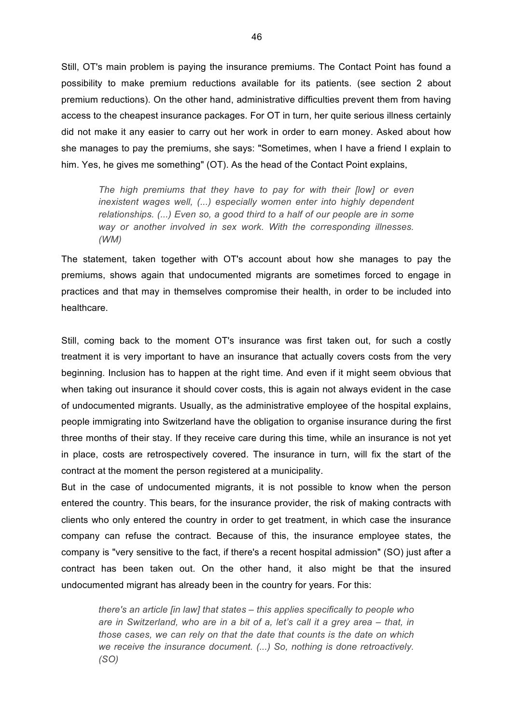Still, OT's main problem is paying the insurance premiums. The Contact Point has found a possibility to make premium reductions available for its patients. (see section 2 about premium reductions). On the other hand, administrative difficulties prevent them from having access to the cheapest insurance packages. For OT in turn, her quite serious illness certainly did not make it any easier to carry out her work in order to earn money. Asked about how she manages to pay the premiums, she says: "Sometimes, when I have a friend I explain to him. Yes, he gives me something" (OT). As the head of the Contact Point explains,

*The high premiums that they have to pay for with their [low] or even inexistent wages well, (...) especially women enter into highly dependent relationships. (...) Even so, a good third to a half of our people are in some way or another involved in sex work. With the corresponding illnesses. (WM)*

The statement, taken together with OT's account about how she manages to pay the premiums, shows again that undocumented migrants are sometimes forced to engage in practices and that may in themselves compromise their health, in order to be included into healthcare.

Still, coming back to the moment OT's insurance was first taken out, for such a costly treatment it is very important to have an insurance that actually covers costs from the very beginning. Inclusion has to happen at the right time. And even if it might seem obvious that when taking out insurance it should cover costs, this is again not always evident in the case of undocumented migrants. Usually, as the administrative employee of the hospital explains, people immigrating into Switzerland have the obligation to organise insurance during the first three months of their stay. If they receive care during this time, while an insurance is not yet in place, costs are retrospectively covered. The insurance in turn, will fix the start of the contract at the moment the person registered at a municipality.

But in the case of undocumented migrants, it is not possible to know when the person entered the country. This bears, for the insurance provider, the risk of making contracts with clients who only entered the country in order to get treatment, in which case the insurance company can refuse the contract. Because of this, the insurance employee states, the company is "very sensitive to the fact, if there's a recent hospital admission" (SO) just after a contract has been taken out. On the other hand, it also might be that the insured undocumented migrant has already been in the country for years. For this:

*there's an article [in law] that states – this applies specifically to people who are in Switzerland, who are in a bit of a, let's call it a grey area – that, in those cases, we can rely on that the date that counts is the date on which we receive the insurance document. (...) So, nothing is done retroactively. (SO)*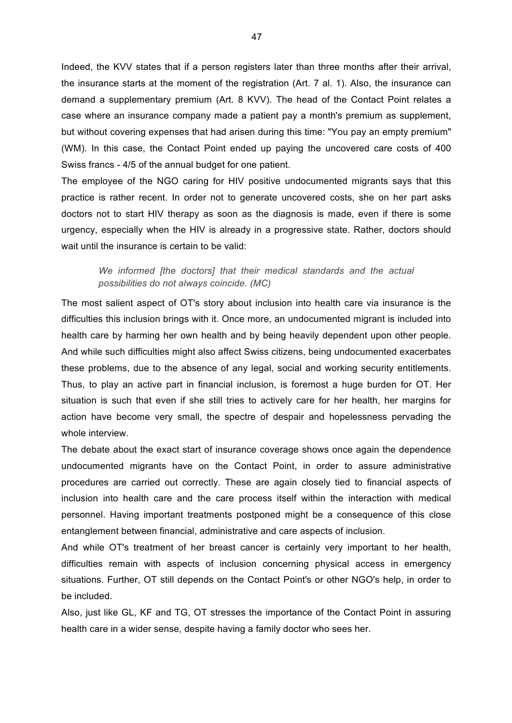Indeed, the KVV states that if a person registers later than three months after their arrival, the insurance starts at the moment of the registration (Art. 7 al. 1). Also, the insurance can demand a supplementary premium (Art. 8 KVV). The head of the Contact Point relates a case where an insurance company made a patient pay a month's premium as supplement, but without covering expenses that had arisen during this time: "You pay an empty premium" (WM). In this case, the Contact Point ended up paying the uncovered care costs of 400 Swiss francs - 4/5 of the annual budget for one patient.

The employee of the NGO caring for HIV positive undocumented migrants says that this practice is rather recent. In order not to generate uncovered costs, she on her part asks doctors not to start HIV therapy as soon as the diagnosis is made, even if there is some urgency, especially when the HIV is already in a progressive state. Rather, doctors should wait until the insurance is certain to be valid:

#### *We informed [the doctors] that their medical standards and the actual possibilities do not always coincide. (MC)*

The most salient aspect of OT's story about inclusion into health care via insurance is the difficulties this inclusion brings with it. Once more, an undocumented migrant is included into health care by harming her own health and by being heavily dependent upon other people. And while such difficulties might also affect Swiss citizens, being undocumented exacerbates these problems, due to the absence of any legal, social and working security entitlements. Thus, to play an active part in financial inclusion, is foremost a huge burden for OT. Her situation is such that even if she still tries to actively care for her health, her margins for action have become very small, the spectre of despair and hopelessness pervading the whole interview.

The debate about the exact start of insurance coverage shows once again the dependence undocumented migrants have on the Contact Point, in order to assure administrative procedures are carried out correctly. These are again closely tied to financial aspects of inclusion into health care and the care process itself within the interaction with medical personnel. Having important treatments postponed might be a consequence of this close entanglement between financial, administrative and care aspects of inclusion.

And while OT's treatment of her breast cancer is certainly very important to her health, difficulties remain with aspects of inclusion concerning physical access in emergency situations. Further, OT still depends on the Contact Point's or other NGO's help, in order to be included.

Also, just like GL, KF and TG, OT stresses the importance of the Contact Point in assuring health care in a wider sense, despite having a family doctor who sees her.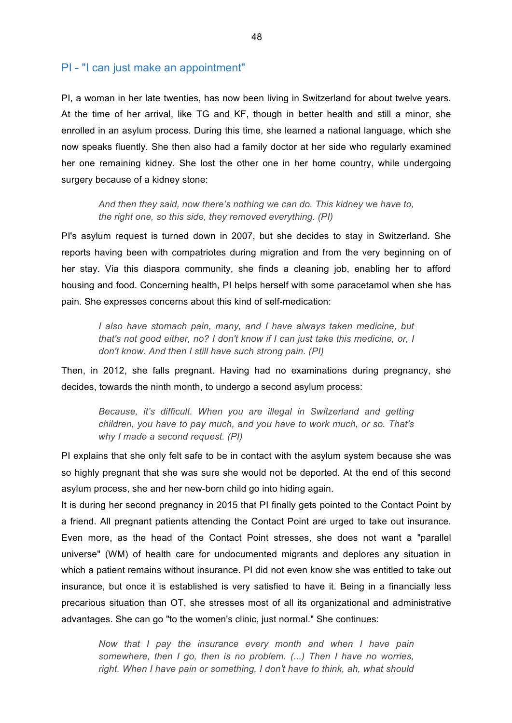#### PI - "I can just make an appointment"

PI, a woman in her late twenties, has now been living in Switzerland for about twelve years. At the time of her arrival, like TG and KF, though in better health and still a minor, she enrolled in an asylum process. During this time, she learned a national language, which she now speaks fluently. She then also had a family doctor at her side who regularly examined her one remaining kidney. She lost the other one in her home country, while undergoing surgery because of a kidney stone:

*And then they said, now there's nothing we can do. This kidney we have to, the right one, so this side, they removed everything. (PI)*

PI's asylum request is turned down in 2007, but she decides to stay in Switzerland. She reports having been with compatriotes during migration and from the very beginning on of her stay. Via this diaspora community, she finds a cleaning job, enabling her to afford housing and food. Concerning health, PI helps herself with some paracetamol when she has pain. She expresses concerns about this kind of self-medication:

*I also have stomach pain, many, and I have always taken medicine, but that's not good either, no? I don't know if I can just take this medicine, or, I don't know. And then I still have such strong pain. (PI)*

Then, in 2012, she falls pregnant. Having had no examinations during pregnancy, she decides, towards the ninth month, to undergo a second asylum process:

*Because, it's difficult. When you are illegal in Switzerland and getting children, you have to pay much, and you have to work much, or so. That's why I made a second request. (PI)*

PI explains that she only felt safe to be in contact with the asylum system because she was so highly pregnant that she was sure she would not be deported. At the end of this second asylum process, she and her new-born child go into hiding again.

It is during her second pregnancy in 2015 that PI finally gets pointed to the Contact Point by a friend. All pregnant patients attending the Contact Point are urged to take out insurance. Even more, as the head of the Contact Point stresses, she does not want a "parallel universe" (WM) of health care for undocumented migrants and deplores any situation in which a patient remains without insurance. PI did not even know she was entitled to take out insurance, but once it is established is very satisfied to have it. Being in a financially less precarious situation than OT, she stresses most of all its organizational and administrative advantages. She can go "to the women's clinic, just normal." She continues:

*Now that I pay the insurance every month and when I have pain somewhere, then I go, then is no problem. (...) Then I have no worries,*  right. When I have pain or something, I don't have to think, ah, what should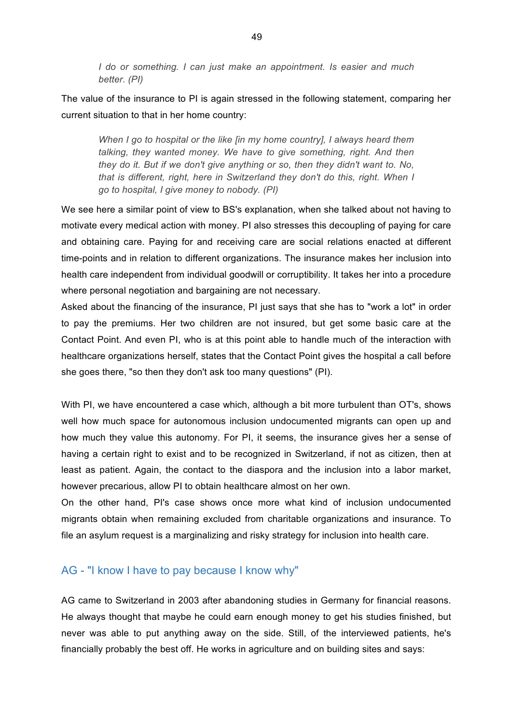*I do or something. I can just make an appointment. Is easier and much better. (PI)*

The value of the insurance to PI is again stressed in the following statement, comparing her current situation to that in her home country:

*When I go to hospital or the like [in my home country], I always heard them talking, they wanted money. We have to give something, right. And then they do it. But if we don't give anything or so, then they didn't want to. No, that is different, right, here in Switzerland they don't do this, right. When I go to hospital, I give money to nobody. (PI)*

We see here a similar point of view to BS's explanation, when she talked about not having to motivate every medical action with money. PI also stresses this decoupling of paying for care and obtaining care. Paying for and receiving care are social relations enacted at different time-points and in relation to different organizations. The insurance makes her inclusion into health care independent from individual goodwill or corruptibility. It takes her into a procedure where personal negotiation and bargaining are not necessary.

Asked about the financing of the insurance, PI just says that she has to "work a lot" in order to pay the premiums. Her two children are not insured, but get some basic care at the Contact Point. And even PI, who is at this point able to handle much of the interaction with healthcare organizations herself, states that the Contact Point gives the hospital a call before she goes there, "so then they don't ask too many questions" (PI).

With PI, we have encountered a case which, although a bit more turbulent than OT's, shows well how much space for autonomous inclusion undocumented migrants can open up and how much they value this autonomy. For PI, it seems, the insurance gives her a sense of having a certain right to exist and to be recognized in Switzerland, if not as citizen, then at least as patient. Again, the contact to the diaspora and the inclusion into a labor market, however precarious, allow PI to obtain healthcare almost on her own.

On the other hand, PI's case shows once more what kind of inclusion undocumented migrants obtain when remaining excluded from charitable organizations and insurance. To file an asylum request is a marginalizing and risky strategy for inclusion into health care.

## AG - "I know I have to pay because I know why"

AG came to Switzerland in 2003 after abandoning studies in Germany for financial reasons. He always thought that maybe he could earn enough money to get his studies finished, but never was able to put anything away on the side. Still, of the interviewed patients, he's financially probably the best off. He works in agriculture and on building sites and says: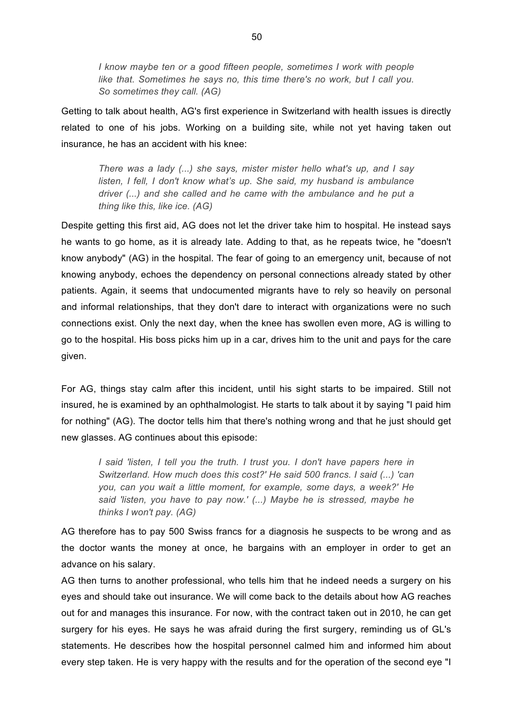*I know maybe ten or a good fifteen people, sometimes I work with people like that. Sometimes he says no, this time there's no work, but I call you. So sometimes they call. (AG)*

Getting to talk about health, AG's first experience in Switzerland with health issues is directly related to one of his jobs. Working on a building site, while not yet having taken out insurance, he has an accident with his knee:

*There was a lady (...) she says, mister mister hello what's up, and I say listen, I fell, I don't know what's up. She said, my husband is ambulance driver (...) and she called and he came with the ambulance and he put a thing like this, like ice. (AG)*

Despite getting this first aid, AG does not let the driver take him to hospital. He instead says he wants to go home, as it is already late. Adding to that, as he repeats twice, he "doesn't know anybody" (AG) in the hospital. The fear of going to an emergency unit, because of not knowing anybody, echoes the dependency on personal connections already stated by other patients. Again, it seems that undocumented migrants have to rely so heavily on personal and informal relationships, that they don't dare to interact with organizations were no such connections exist. Only the next day, when the knee has swollen even more, AG is willing to go to the hospital. His boss picks him up in a car, drives him to the unit and pays for the care given.

For AG, things stay calm after this incident, until his sight starts to be impaired. Still not insured, he is examined by an ophthalmologist. He starts to talk about it by saying "I paid him for nothing" (AG). The doctor tells him that there's nothing wrong and that he just should get new glasses. AG continues about this episode:

*I* said 'listen, I tell you the truth. I trust you. I don't have papers here in *Switzerland. How much does this cost?' He said 500 francs. I said (...) 'can you, can you wait a little moment, for example, some days, a week?' He said 'listen, you have to pay now.' (...) Maybe he is stressed, maybe he thinks I won't pay. (AG)*

AG therefore has to pay 500 Swiss francs for a diagnosis he suspects to be wrong and as the doctor wants the money at once, he bargains with an employer in order to get an advance on his salary.

AG then turns to another professional, who tells him that he indeed needs a surgery on his eyes and should take out insurance. We will come back to the details about how AG reaches out for and manages this insurance. For now, with the contract taken out in 2010, he can get surgery for his eyes. He says he was afraid during the first surgery, reminding us of GL's statements. He describes how the hospital personnel calmed him and informed him about every step taken. He is very happy with the results and for the operation of the second eye "I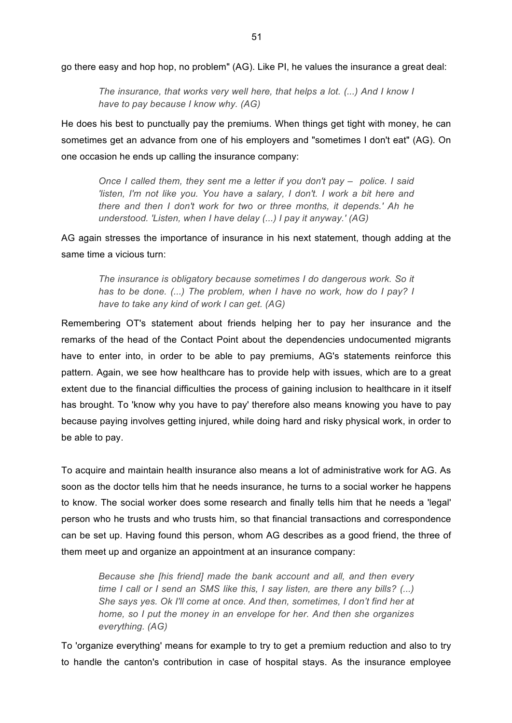go there easy and hop hop, no problem" (AG). Like PI, he values the insurance a great deal:

*The insurance, that works very well here, that helps a lot. (...) And I know I have to pay because I know why. (AG)*

He does his best to punctually pay the premiums. When things get tight with money, he can sometimes get an advance from one of his employers and "sometimes I don't eat" (AG). On one occasion he ends up calling the insurance company:

*Once I called them, they sent me a letter if you don't pay – police. I said 'listen, I'm not like you. You have a salary, I don't. I work a bit here and there and then I don't work for two or three months, it depends.' Ah he understood. 'Listen, when I have delay (...) I pay it anyway.' (AG)*

AG again stresses the importance of insurance in his next statement, though adding at the same time a vicious turn:

*The insurance is obligatory because sometimes I do dangerous work. So it has to be done. (...) The problem, when I have no work, how do I pay? I have to take any kind of work I can get. (AG)*

Remembering OT's statement about friends helping her to pay her insurance and the remarks of the head of the Contact Point about the dependencies undocumented migrants have to enter into, in order to be able to pay premiums, AG's statements reinforce this pattern. Again, we see how healthcare has to provide help with issues, which are to a great extent due to the financial difficulties the process of gaining inclusion to healthcare in it itself has brought. To 'know why you have to pay' therefore also means knowing you have to pay because paying involves getting injured, while doing hard and risky physical work, in order to be able to pay.

To acquire and maintain health insurance also means a lot of administrative work for AG. As soon as the doctor tells him that he needs insurance, he turns to a social worker he happens to know. The social worker does some research and finally tells him that he needs a 'legal' person who he trusts and who trusts him, so that financial transactions and correspondence can be set up. Having found this person, whom AG describes as a good friend, the three of them meet up and organize an appointment at an insurance company:

*Because she [his friend] made the bank account and all, and then every time I call or I send an SMS like this, I say listen, are there any bills? (...) She says yes. Ok I'll come at once. And then, sometimes, I don't find her at home, so I put the money in an envelope for her. And then she organizes everything. (AG)*

To 'organize everything' means for example to try to get a premium reduction and also to try to handle the canton's contribution in case of hospital stays. As the insurance employee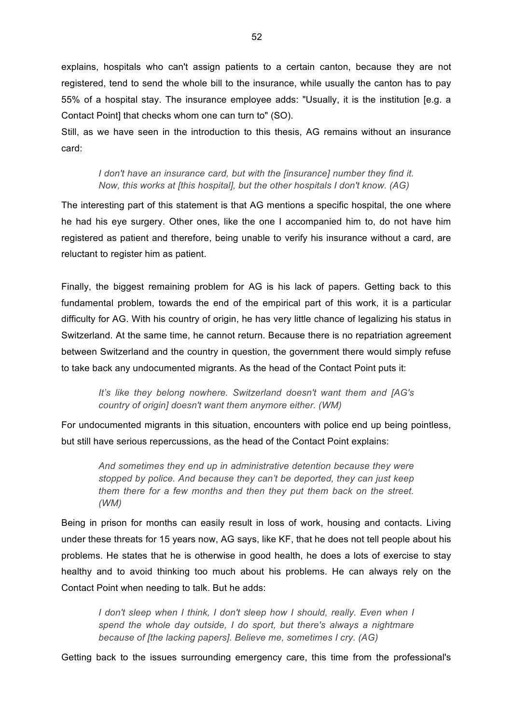explains, hospitals who can't assign patients to a certain canton, because they are not registered, tend to send the whole bill to the insurance, while usually the canton has to pay 55% of a hospital stay. The insurance employee adds: "Usually, it is the institution [e.g. a Contact Point] that checks whom one can turn to" (SO).

Still, as we have seen in the introduction to this thesis, AG remains without an insurance card:

*I don't have an insurance card, but with the [insurance] number they find it. Now, this works at [this hospital], but the other hospitals I don't know. (AG)*

The interesting part of this statement is that AG mentions a specific hospital, the one where he had his eye surgery. Other ones, like the one I accompanied him to, do not have him registered as patient and therefore, being unable to verify his insurance without a card, are reluctant to register him as patient.

Finally, the biggest remaining problem for AG is his lack of papers. Getting back to this fundamental problem, towards the end of the empirical part of this work, it is a particular difficulty for AG. With his country of origin, he has very little chance of legalizing his status in Switzerland. At the same time, he cannot return. Because there is no repatriation agreement between Switzerland and the country in question, the government there would simply refuse to take back any undocumented migrants. As the head of the Contact Point puts it:

*It's like they belong nowhere. Switzerland doesn't want them and [AG's country of origin] doesn't want them anymore either. (WM)*

For undocumented migrants in this situation, encounters with police end up being pointless, but still have serious repercussions, as the head of the Contact Point explains:

*And sometimes they end up in administrative detention because they were stopped by police. And because they can't be deported, they can just keep them there for a few months and then they put them back on the street. (WM)* 

Being in prison for months can easily result in loss of work, housing and contacts. Living under these threats for 15 years now, AG says, like KF, that he does not tell people about his problems. He states that he is otherwise in good health, he does a lots of exercise to stay healthy and to avoid thinking too much about his problems. He can always rely on the Contact Point when needing to talk. But he adds:

*I don't sleep when I think, I don't sleep how I should, really. Even when I spend the whole day outside, I do sport, but there's always a nightmare because of [the lacking papers]. Believe me, sometimes I cry. (AG)*

Getting back to the issues surrounding emergency care, this time from the professional's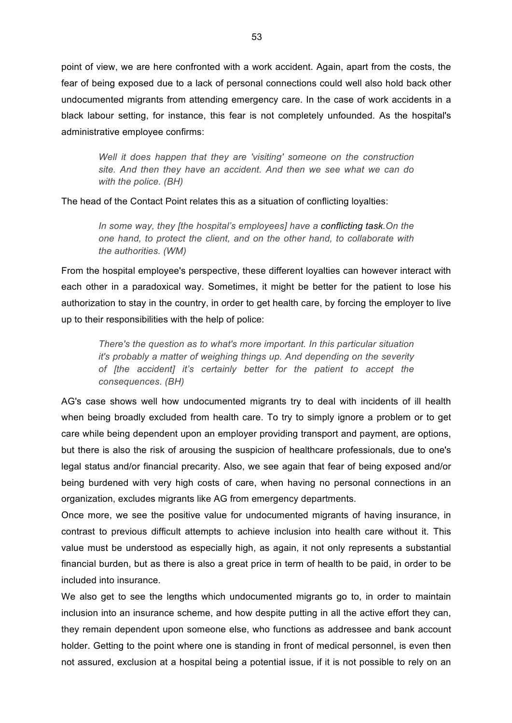point of view, we are here confronted with a work accident. Again, apart from the costs, the fear of being exposed due to a lack of personal connections could well also hold back other undocumented migrants from attending emergency care. In the case of work accidents in a black labour setting, for instance, this fear is not completely unfounded. As the hospital's administrative employee confirms:

*Well it does happen that they are 'visiting' someone on the construction site. And then they have an accident. And then we see what we can do with the police. (BH)*

The head of the Contact Point relates this as a situation of conflicting loyalties:

*In some way, they [the hospital's employees] have a conflicting task.On the one hand, to protect the client, and on the other hand, to collaborate with the authorities. (WM)*

From the hospital employee's perspective, these different loyalties can however interact with each other in a paradoxical way. Sometimes, it might be better for the patient to lose his authorization to stay in the country, in order to get health care, by forcing the employer to live up to their responsibilities with the help of police:

*There's the question as to what's more important. In this particular situation it's probably a matter of weighing things up. And depending on the severity of [the accident] it's certainly better for the patient to accept the consequences. (BH)*

AG's case shows well how undocumented migrants try to deal with incidents of ill health when being broadly excluded from health care. To try to simply ignore a problem or to get care while being dependent upon an employer providing transport and payment, are options, but there is also the risk of arousing the suspicion of healthcare professionals, due to one's legal status and/or financial precarity. Also, we see again that fear of being exposed and/or being burdened with very high costs of care, when having no personal connections in an organization, excludes migrants like AG from emergency departments.

Once more, we see the positive value for undocumented migrants of having insurance, in contrast to previous difficult attempts to achieve inclusion into health care without it. This value must be understood as especially high, as again, it not only represents a substantial financial burden, but as there is also a great price in term of health to be paid, in order to be included into insurance.

We also get to see the lengths which undocumented migrants go to, in order to maintain inclusion into an insurance scheme, and how despite putting in all the active effort they can, they remain dependent upon someone else, who functions as addressee and bank account holder. Getting to the point where one is standing in front of medical personnel, is even then not assured, exclusion at a hospital being a potential issue, if it is not possible to rely on an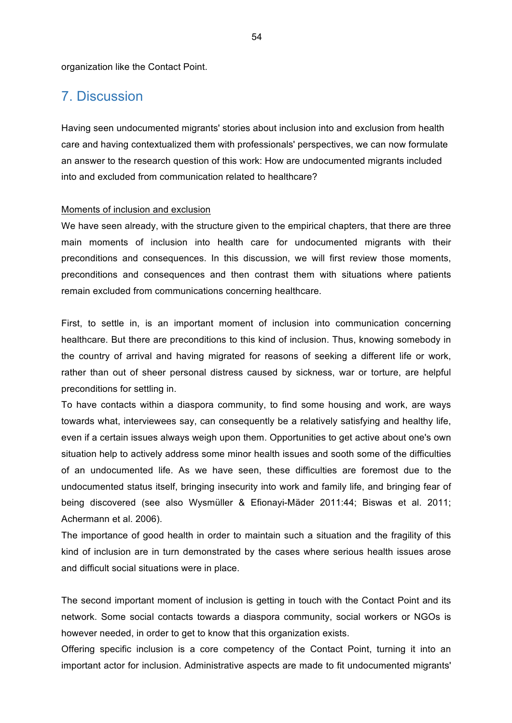organization like the Contact Point.

## 7. Discussion

Having seen undocumented migrants' stories about inclusion into and exclusion from health care and having contextualized them with professionals' perspectives, we can now formulate an answer to the research question of this work: How are undocumented migrants included into and excluded from communication related to healthcare?

#### Moments of inclusion and exclusion

We have seen already, with the structure given to the empirical chapters, that there are three main moments of inclusion into health care for undocumented migrants with their preconditions and consequences. In this discussion, we will first review those moments, preconditions and consequences and then contrast them with situations where patients remain excluded from communications concerning healthcare.

First, to settle in, is an important moment of inclusion into communication concerning healthcare. But there are preconditions to this kind of inclusion. Thus, knowing somebody in the country of arrival and having migrated for reasons of seeking a different life or work, rather than out of sheer personal distress caused by sickness, war or torture, are helpful preconditions for settling in.

To have contacts within a diaspora community, to find some housing and work, are ways towards what, interviewees say, can consequently be a relatively satisfying and healthy life, even if a certain issues always weigh upon them. Opportunities to get active about one's own situation help to actively address some minor health issues and sooth some of the difficulties of an undocumented life. As we have seen, these difficulties are foremost due to the undocumented status itself, bringing insecurity into work and family life, and bringing fear of being discovered (see also Wysmüller & Efionayi-Mäder 2011:44; Biswas et al. 2011; Achermann et al. 2006).

The importance of good health in order to maintain such a situation and the fragility of this kind of inclusion are in turn demonstrated by the cases where serious health issues arose and difficult social situations were in place.

The second important moment of inclusion is getting in touch with the Contact Point and its network. Some social contacts towards a diaspora community, social workers or NGOs is however needed, in order to get to know that this organization exists.

Offering specific inclusion is a core competency of the Contact Point, turning it into an important actor for inclusion. Administrative aspects are made to fit undocumented migrants'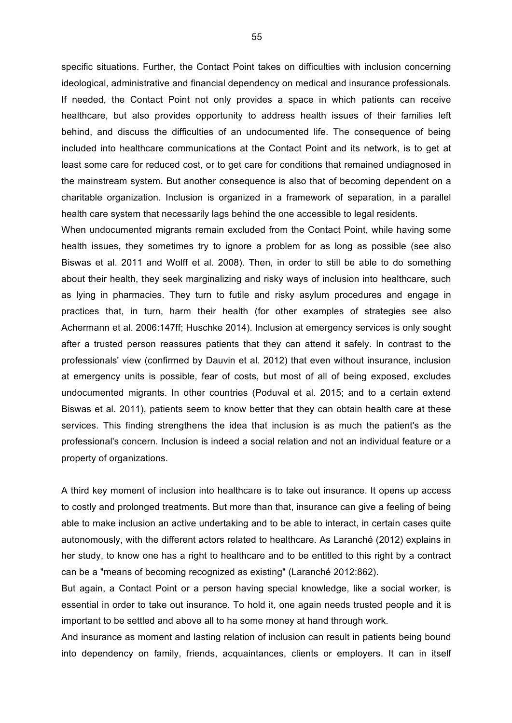specific situations. Further, the Contact Point takes on difficulties with inclusion concerning ideological, administrative and financial dependency on medical and insurance professionals. If needed, the Contact Point not only provides a space in which patients can receive healthcare, but also provides opportunity to address health issues of their families left behind, and discuss the difficulties of an undocumented life. The consequence of being included into healthcare communications at the Contact Point and its network, is to get at least some care for reduced cost, or to get care for conditions that remained undiagnosed in the mainstream system. But another consequence is also that of becoming dependent on a charitable organization. Inclusion is organized in a framework of separation, in a parallel health care system that necessarily lags behind the one accessible to legal residents.

When undocumented migrants remain excluded from the Contact Point, while having some health issues, they sometimes try to ignore a problem for as long as possible (see also Biswas et al. 2011 and Wolff et al. 2008). Then, in order to still be able to do something about their health, they seek marginalizing and risky ways of inclusion into healthcare, such as lying in pharmacies. They turn to futile and risky asylum procedures and engage in practices that, in turn, harm their health (for other examples of strategies see also Achermann et al. 2006:147ff; Huschke 2014). Inclusion at emergency services is only sought after a trusted person reassures patients that they can attend it safely. In contrast to the professionals' view (confirmed by Dauvin et al. 2012) that even without insurance, inclusion at emergency units is possible, fear of costs, but most of all of being exposed, excludes undocumented migrants. In other countries (Poduval et al. 2015; and to a certain extend Biswas et al. 2011), patients seem to know better that they can obtain health care at these services. This finding strengthens the idea that inclusion is as much the patient's as the professional's concern. Inclusion is indeed a social relation and not an individual feature or a property of organizations.

A third key moment of inclusion into healthcare is to take out insurance. It opens up access to costly and prolonged treatments. But more than that, insurance can give a feeling of being able to make inclusion an active undertaking and to be able to interact, in certain cases quite autonomously, with the different actors related to healthcare. As Laranché (2012) explains in her study, to know one has a right to healthcare and to be entitled to this right by a contract can be a "means of becoming recognized as existing" (Laranché 2012:862).

But again, a Contact Point or a person having special knowledge, like a social worker, is essential in order to take out insurance. To hold it, one again needs trusted people and it is important to be settled and above all to ha some money at hand through work.

And insurance as moment and lasting relation of inclusion can result in patients being bound into dependency on family, friends, acquaintances, clients or employers. It can in itself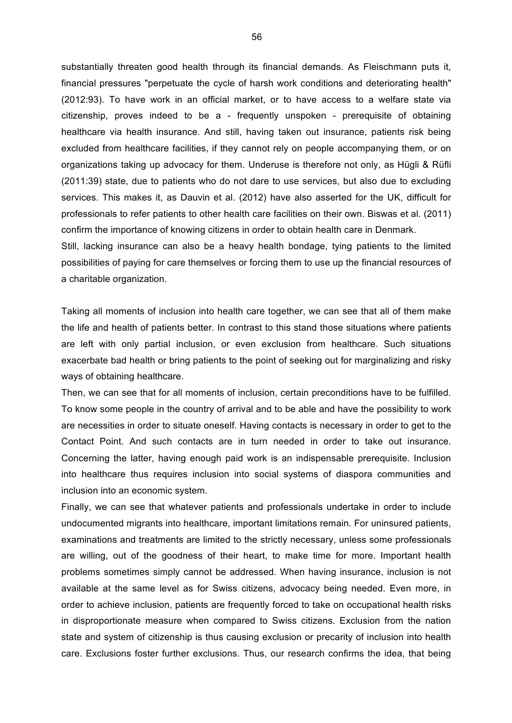substantially threaten good health through its financial demands. As Fleischmann puts it, financial pressures "perpetuate the cycle of harsh work conditions and deteriorating health" (2012:93). To have work in an official market, or to have access to a welfare state via citizenship, proves indeed to be a - frequently unspoken - prerequisite of obtaining healthcare via health insurance. And still, having taken out insurance, patients risk being excluded from healthcare facilities, if they cannot rely on people accompanying them, or on organizations taking up advocacy for them. Underuse is therefore not only, as Hügli & Rüfli (2011:39) state, due to patients who do not dare to use services, but also due to excluding services. This makes it, as Dauvin et al. (2012) have also asserted for the UK, difficult for professionals to refer patients to other health care facilities on their own. Biswas et al. (2011) confirm the importance of knowing citizens in order to obtain health care in Denmark.

Still, lacking insurance can also be a heavy health bondage, tying patients to the limited possibilities of paying for care themselves or forcing them to use up the financial resources of a charitable organization.

Taking all moments of inclusion into health care together, we can see that all of them make the life and health of patients better. In contrast to this stand those situations where patients are left with only partial inclusion, or even exclusion from healthcare. Such situations exacerbate bad health or bring patients to the point of seeking out for marginalizing and risky ways of obtaining healthcare.

Then, we can see that for all moments of inclusion, certain preconditions have to be fulfilled. To know some people in the country of arrival and to be able and have the possibility to work are necessities in order to situate oneself. Having contacts is necessary in order to get to the Contact Point. And such contacts are in turn needed in order to take out insurance. Concerning the latter, having enough paid work is an indispensable prerequisite. Inclusion into healthcare thus requires inclusion into social systems of diaspora communities and inclusion into an economic system.

Finally, we can see that whatever patients and professionals undertake in order to include undocumented migrants into healthcare, important limitations remain. For uninsured patients, examinations and treatments are limited to the strictly necessary, unless some professionals are willing, out of the goodness of their heart, to make time for more. Important health problems sometimes simply cannot be addressed. When having insurance, inclusion is not available at the same level as for Swiss citizens, advocacy being needed. Even more, in order to achieve inclusion, patients are frequently forced to take on occupational health risks in disproportionate measure when compared to Swiss citizens. Exclusion from the nation state and system of citizenship is thus causing exclusion or precarity of inclusion into health care. Exclusions foster further exclusions. Thus, our research confirms the idea, that being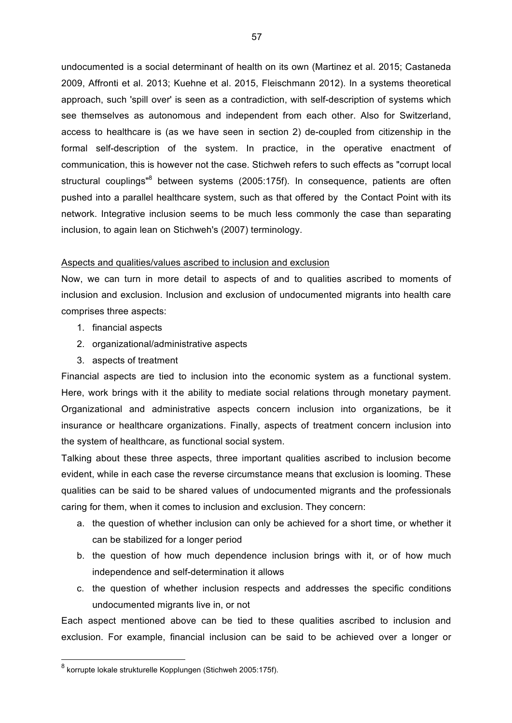undocumented is a social determinant of health on its own (Martinez et al. 2015; Castaneda 2009, Affronti et al. 2013; Kuehne et al. 2015, Fleischmann 2012). In a systems theoretical approach, such 'spill over' is seen as a contradiction, with self-description of systems which see themselves as autonomous and independent from each other. Also for Switzerland, access to healthcare is (as we have seen in section 2) de-coupled from citizenship in the formal self-description of the system. In practice, in the operative enactment of communication, this is however not the case. Stichweh refers to such effects as "corrupt local structural couplings<sup>"8</sup> between systems (2005:175f). In consequence, patients are often pushed into a parallel healthcare system, such as that offered by the Contact Point with its network. Integrative inclusion seems to be much less commonly the case than separating inclusion, to again lean on Stichweh's (2007) terminology.

#### Aspects and qualities/values ascribed to inclusion and exclusion

Now, we can turn in more detail to aspects of and to qualities ascribed to moments of inclusion and exclusion. Inclusion and exclusion of undocumented migrants into health care comprises three aspects:

- 1. financial aspects
- 2. organizational/administrative aspects
- 3. aspects of treatment

Financial aspects are tied to inclusion into the economic system as a functional system. Here, work brings with it the ability to mediate social relations through monetary payment. Organizational and administrative aspects concern inclusion into organizations, be it insurance or healthcare organizations. Finally, aspects of treatment concern inclusion into the system of healthcare, as functional social system.

Talking about these three aspects, three important qualities ascribed to inclusion become evident, while in each case the reverse circumstance means that exclusion is looming. These qualities can be said to be shared values of undocumented migrants and the professionals caring for them, when it comes to inclusion and exclusion. They concern:

- a. the question of whether inclusion can only be achieved for a short time, or whether it can be stabilized for a longer period
- b. the question of how much dependence inclusion brings with it, or of how much independence and self-determination it allows
- c. the question of whether inclusion respects and addresses the specific conditions undocumented migrants live in, or not

Each aspect mentioned above can be tied to these qualities ascribed to inclusion and exclusion. For example, financial inclusion can be said to be achieved over a longer or

 $8$  korrupte lokale strukturelle Kopplungen (Stichweh 2005:175f).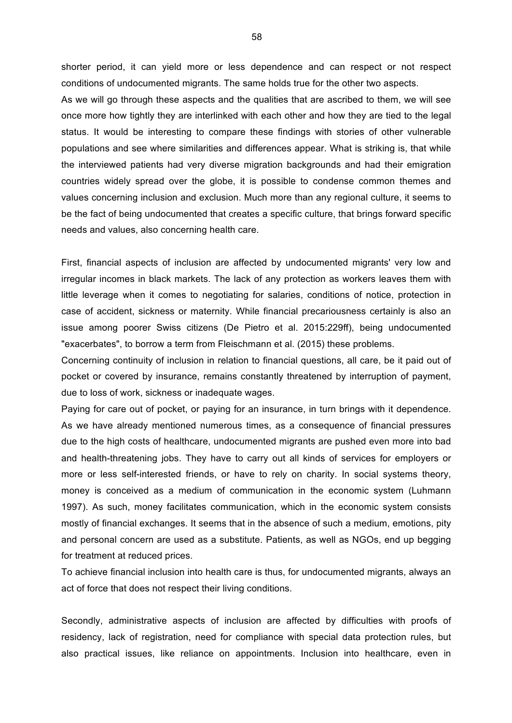shorter period, it can yield more or less dependence and can respect or not respect conditions of undocumented migrants. The same holds true for the other two aspects.

As we will go through these aspects and the qualities that are ascribed to them, we will see once more how tightly they are interlinked with each other and how they are tied to the legal status. It would be interesting to compare these findings with stories of other vulnerable populations and see where similarities and differences appear. What is striking is, that while the interviewed patients had very diverse migration backgrounds and had their emigration countries widely spread over the globe, it is possible to condense common themes and values concerning inclusion and exclusion. Much more than any regional culture, it seems to be the fact of being undocumented that creates a specific culture, that brings forward specific needs and values, also concerning health care.

First, financial aspects of inclusion are affected by undocumented migrants' very low and irregular incomes in black markets. The lack of any protection as workers leaves them with little leverage when it comes to negotiating for salaries, conditions of notice, protection in case of accident, sickness or maternity. While financial precariousness certainly is also an issue among poorer Swiss citizens (De Pietro et al. 2015:229ff), being undocumented "exacerbates", to borrow a term from Fleischmann et al. (2015) these problems.

Concerning continuity of inclusion in relation to financial questions, all care, be it paid out of pocket or covered by insurance, remains constantly threatened by interruption of payment, due to loss of work, sickness or inadequate wages.

Paying for care out of pocket, or paying for an insurance, in turn brings with it dependence. As we have already mentioned numerous times, as a consequence of financial pressures due to the high costs of healthcare, undocumented migrants are pushed even more into bad and health-threatening jobs. They have to carry out all kinds of services for employers or more or less self-interested friends, or have to rely on charity. In social systems theory, money is conceived as a medium of communication in the economic system (Luhmann 1997). As such, money facilitates communication, which in the economic system consists mostly of financial exchanges. It seems that in the absence of such a medium, emotions, pity and personal concern are used as a substitute. Patients, as well as NGOs, end up begging for treatment at reduced prices.

To achieve financial inclusion into health care is thus, for undocumented migrants, always an act of force that does not respect their living conditions.

Secondly, administrative aspects of inclusion are affected by difficulties with proofs of residency, lack of registration, need for compliance with special data protection rules, but also practical issues, like reliance on appointments. Inclusion into healthcare, even in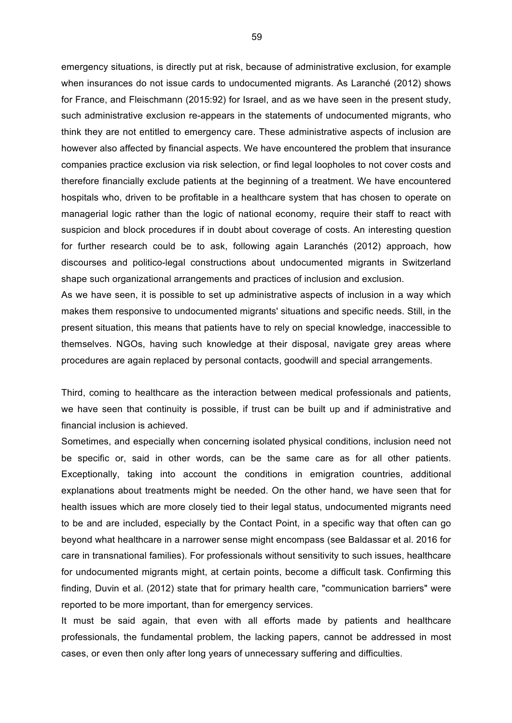emergency situations, is directly put at risk, because of administrative exclusion, for example when insurances do not issue cards to undocumented migrants. As Laranché (2012) shows for France, and Fleischmann (2015:92) for Israel, and as we have seen in the present study, such administrative exclusion re-appears in the statements of undocumented migrants, who think they are not entitled to emergency care. These administrative aspects of inclusion are however also affected by financial aspects. We have encountered the problem that insurance companies practice exclusion via risk selection, or find legal loopholes to not cover costs and therefore financially exclude patients at the beginning of a treatment. We have encountered hospitals who, driven to be profitable in a healthcare system that has chosen to operate on managerial logic rather than the logic of national economy, require their staff to react with suspicion and block procedures if in doubt about coverage of costs. An interesting question for further research could be to ask, following again Laranchés (2012) approach, how discourses and politico-legal constructions about undocumented migrants in Switzerland shape such organizational arrangements and practices of inclusion and exclusion.

As we have seen, it is possible to set up administrative aspects of inclusion in a way which makes them responsive to undocumented migrants' situations and specific needs. Still, in the present situation, this means that patients have to rely on special knowledge, inaccessible to themselves. NGOs, having such knowledge at their disposal, navigate grey areas where procedures are again replaced by personal contacts, goodwill and special arrangements.

Third, coming to healthcare as the interaction between medical professionals and patients, we have seen that continuity is possible, if trust can be built up and if administrative and financial inclusion is achieved.

Sometimes, and especially when concerning isolated physical conditions, inclusion need not be specific or, said in other words, can be the same care as for all other patients. Exceptionally, taking into account the conditions in emigration countries, additional explanations about treatments might be needed. On the other hand, we have seen that for health issues which are more closely tied to their legal status, undocumented migrants need to be and are included, especially by the Contact Point, in a specific way that often can go beyond what healthcare in a narrower sense might encompass (see Baldassar et al. 2016 for care in transnational families). For professionals without sensitivity to such issues, healthcare for undocumented migrants might, at certain points, become a difficult task. Confirming this finding, Duvin et al. (2012) state that for primary health care, "communication barriers" were reported to be more important, than for emergency services.

It must be said again, that even with all efforts made by patients and healthcare professionals, the fundamental problem, the lacking papers, cannot be addressed in most cases, or even then only after long years of unnecessary suffering and difficulties.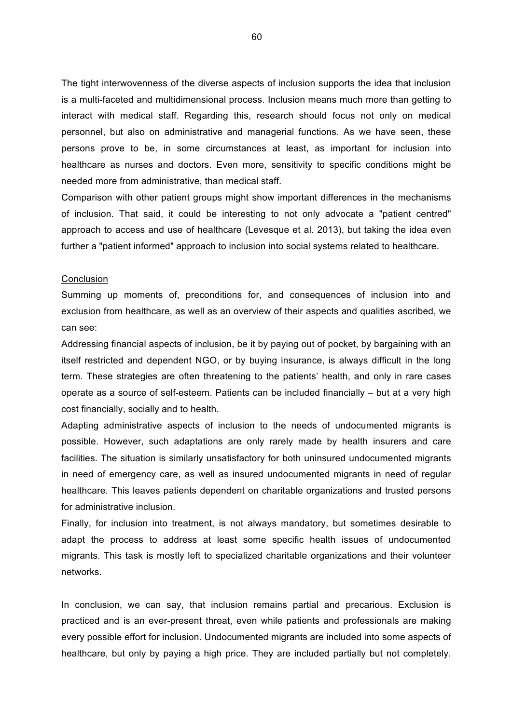The tight interwovenness of the diverse aspects of inclusion supports the idea that inclusion is a multi-faceted and multidimensional process. Inclusion means much more than getting to interact with medical staff. Regarding this, research should focus not only on medical personnel, but also on administrative and managerial functions. As we have seen, these persons prove to be, in some circumstances at least, as important for inclusion into healthcare as nurses and doctors. Even more, sensitivity to specific conditions might be needed more from administrative, than medical staff.

Comparison with other patient groups might show important differences in the mechanisms of inclusion. That said, it could be interesting to not only advocate a "patient centred" approach to access and use of healthcare (Levesque et al. 2013), but taking the idea even further a "patient informed" approach to inclusion into social systems related to healthcare.

#### **Conclusion**

Summing up moments of, preconditions for, and consequences of inclusion into and exclusion from healthcare, as well as an overview of their aspects and qualities ascribed, we can see:

Addressing financial aspects of inclusion, be it by paying out of pocket, by bargaining with an itself restricted and dependent NGO, or by buying insurance, is always difficult in the long term. These strategies are often threatening to the patients' health, and only in rare cases operate as a source of self-esteem. Patients can be included financially – but at a very high cost financially, socially and to health.

Adapting administrative aspects of inclusion to the needs of undocumented migrants is possible. However, such adaptations are only rarely made by health insurers and care facilities. The situation is similarly unsatisfactory for both uninsured undocumented migrants in need of emergency care, as well as insured undocumented migrants in need of regular healthcare. This leaves patients dependent on charitable organizations and trusted persons for administrative inclusion.

Finally, for inclusion into treatment, is not always mandatory, but sometimes desirable to adapt the process to address at least some specific health issues of undocumented migrants. This task is mostly left to specialized charitable organizations and their volunteer networks.

In conclusion, we can say, that inclusion remains partial and precarious. Exclusion is practiced and is an ever-present threat, even while patients and professionals are making every possible effort for inclusion. Undocumented migrants are included into some aspects of healthcare, but only by paying a high price. They are included partially but not completely.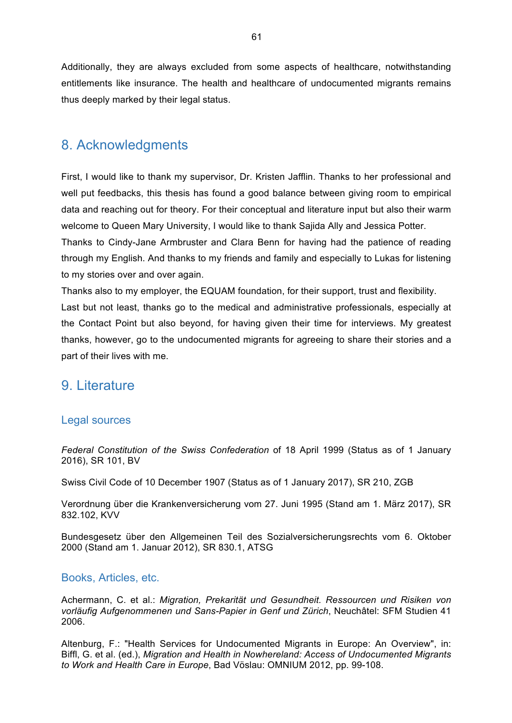Additionally, they are always excluded from some aspects of healthcare, notwithstanding entitlements like insurance. The health and healthcare of undocumented migrants remains thus deeply marked by their legal status.

## 8. Acknowledgments

First, I would like to thank my supervisor, Dr. Kristen Jafflin. Thanks to her professional and well put feedbacks, this thesis has found a good balance between giving room to empirical data and reaching out for theory. For their conceptual and literature input but also their warm welcome to Queen Mary University, I would like to thank Sajida Ally and Jessica Potter.

Thanks to Cindy-Jane Armbruster and Clara Benn for having had the patience of reading through my English. And thanks to my friends and family and especially to Lukas for listening to my stories over and over again.

Thanks also to my employer, the EQUAM foundation, for their support, trust and flexibility. Last but not least, thanks go to the medical and administrative professionals, especially at the Contact Point but also beyond, for having given their time for interviews. My greatest thanks, however, go to the undocumented migrants for agreeing to share their stories and a part of their lives with me.

## 9. Literature

#### Legal sources

*Federal Constitution of the Swiss Confederation* of 18 April 1999 (Status as of 1 January 2016), SR 101, BV

Swiss Civil Code of 10 December 1907 (Status as of 1 January 2017), SR 210, ZGB

Verordnung über die Krankenversicherung vom 27. Juni 1995 (Stand am 1. März 2017), SR 832.102, KVV

Bundesgesetz über den Allgemeinen Teil des Sozialversicherungsrechts vom 6. Oktober 2000 (Stand am 1. Januar 2012), SR 830.1, ATSG

### Books, Articles, etc.

Achermann, C. et al.: *Migration, Prekarität und Gesundheit. Ressourcen und Risiken von vorläufig Aufgenommenen und Sans-Papier in Genf und Zürich*, Neuchâtel: SFM Studien 41 2006.

Altenburg, F.: "Health Services for Undocumented Migrants in Europe: An Overview", in: Biffl, G. et al. (ed.), *Migration and Health in Nowhereland: Access of Undocumented Migrants to Work and Health Care in Europe*, Bad Vöslau: OMNIUM 2012, pp. 99-108.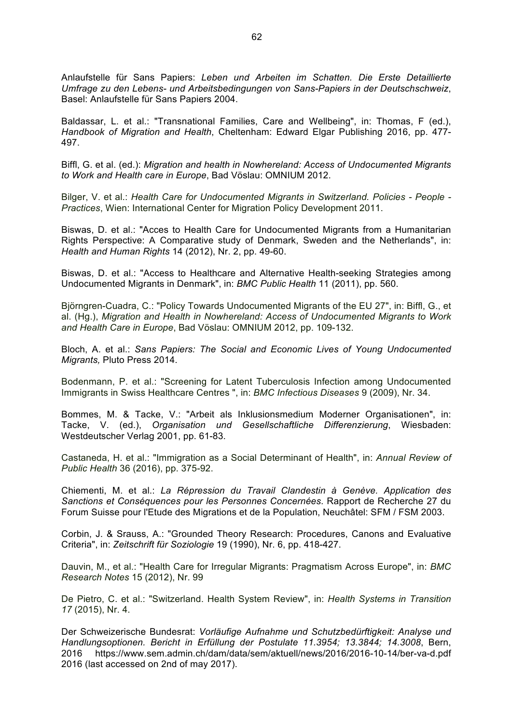Anlaufstelle für Sans Papiers: *Leben und Arbeiten im Schatten. Die Erste Detaillierte Umfrage zu den Lebens- und Arbeitsbedingungen von Sans-Papiers in der Deutschschweiz*, Basel: Anlaufstelle für Sans Papiers 2004.

Baldassar, L. et al.: "Transnational Families, Care and Wellbeing", in: Thomas, F (ed.), *Handbook of Migration and Health*, Cheltenham: Edward Elgar Publishing 2016, pp. 477- 497.

Biffl, G. et al. (ed.): *Migration and health in Nowhereland: Access of Undocumented Migrants to Work and Health care in Europe*, Bad Vöslau: OMNIUM 2012.

Bilger, V. et al.: *Health Care for Undocumented Migrants in Switzerland. Policies - People - Practices*, Wien: International Center for Migration Policy Development 2011.

Biswas, D. et al.: "Acces to Health Care for Undocumented Migrants from a Humanitarian Rights Perspective: A Comparative study of Denmark, Sweden and the Netherlands", in: *Health and Human Rights* 14 (2012), Nr. 2, pp. 49-60.

Biswas, D. et al.: "Access to Healthcare and Alternative Health-seeking Strategies among Undocumented Migrants in Denmark", in: *BMC Public Health* 11 (2011), pp. 560.

Björngren-Cuadra, C.: "Policy Towards Undocumented Migrants of the EU 27", in: Biffl, G., et al. (Hg.), *Migration and Health in Nowhereland: Access of Undocumented Migrants to Work and Health Care in Europe*, Bad Vöslau: OMNIUM 2012, pp. 109-132.

Bloch, A. et al.: *Sans Papiers: The Social and Economic Lives of Young Undocumented Migrants,* Pluto Press 2014.

Bodenmann, P. et al.: "Screening for Latent Tuberculosis Infection among Undocumented Immigrants in Swiss Healthcare Centres ", in: *BMC Infectious Diseases* 9 (2009), Nr. 34.

Bommes, M. & Tacke, V.: "Arbeit als Inklusionsmedium Moderner Organisationen", in: Tacke, V. (ed.), *Organisation und Gesellschaftliche Differenzierung*, Wiesbaden: Westdeutscher Verlag 2001, pp. 61-83.

Castaneda, H. et al.: "Immigration as a Social Determinant of Health", in: *Annual Review of Public Health* 36 (2016), pp. 375-92.

Chiementi, M. et al.: *La Répression du Travail Clandestin à Genève. Application des Sanctions et Conséquences pour les Personnes Concernées*. Rapport de Recherche 27 du Forum Suisse pour l'Etude des Migrations et de la Population, Neuchâtel: SFM / FSM 2003.

Corbin, J. & Srauss, A.: "Grounded Theory Research: Procedures, Canons and Evaluative Criteria", in: *Zeitschrift für Soziologie* 19 (1990), Nr. 6, pp. 418-427.

Dauvin, M., et al.: "Health Care for Irregular Migrants: Pragmatism Across Europe", in: *BMC Research Notes* 15 (2012), Nr. 99

De Pietro, C. et al.: "Switzerland. Health System Review", in: *Health Systems in Transition 17* (2015), Nr. 4.

Der Schweizerische Bundesrat: *Vorläufige Aufnahme und Schutzbedürftigkeit: Analyse und Handlungsoptionen. Bericht in Erfüllung der Postulate 11.3954; 13.3844; 14.3008*, Bern, 2016 https://www.sem.admin.ch/dam/data/sem/aktuell/news/2016/2016-10-14/ber-va-d.pdf 2016 (last accessed on 2nd of may 2017).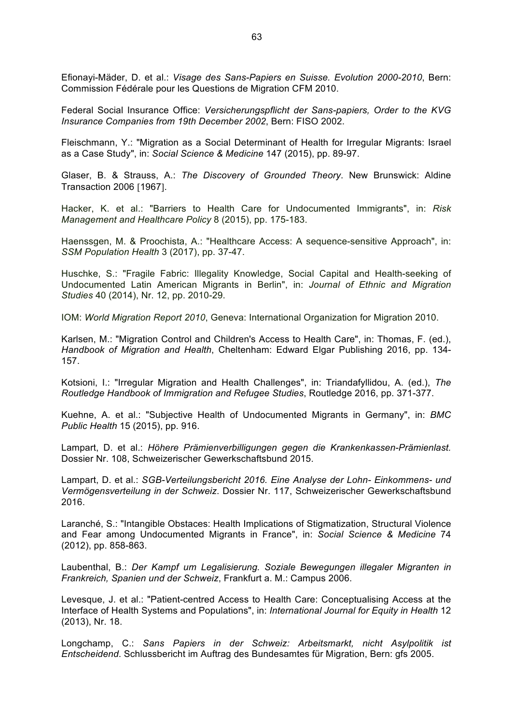Efionayi-Mäder, D. et al.: *Visage des Sans-Papiers en Suisse. Evolution 2000-2010*, Bern: Commission Fédérale pour les Questions de Migration CFM 2010.

Federal Social Insurance Office: *Versicherungspflicht der Sans-papiers, Order to the KVG Insurance Companies from 19th December 2002*, Bern: FISO 2002.

Fleischmann, Y.: "Migration as a Social Determinant of Health for Irregular Migrants: Israel as a Case Study", in: *Social Science & Medicine* 147 (2015), pp. 89-97.

Glaser, B. & Strauss, A.: *The Discovery of Grounded Theory*. New Brunswick: Aldine Transaction 2006 [1967].

Hacker, K. et al.: "Barriers to Health Care for Undocumented Immigrants", in: *Risk Management and Healthcare Policy* 8 (2015), pp. 175-183.

Haenssgen, M. & Proochista, A.: "Healthcare Access: A sequence-sensitive Approach", in: *SSM Population Health* 3 (2017), pp. 37-47.

Huschke, S.: "Fragile Fabric: Illegality Knowledge, Social Capital and Health-seeking of Undocumented Latin American Migrants in Berlin", in: *Journal of Ethnic and Migration Studies* 40 (2014), Nr. 12, pp. 2010-29.

IOM: *World Migration Report 2010*, Geneva: International Organization for Migration 2010.

Karlsen, M.: "Migration Control and Children's Access to Health Care", in: Thomas, F. (ed.), *Handbook of Migration and Health*, Cheltenham: Edward Elgar Publishing 2016, pp. 134- 157.

Kotsioni, I.: "Irregular Migration and Health Challenges", in: Triandafyllidou, A. (ed.), *The Routledge Handbook of Immigration and Refugee Studies*, Routledge 2016, pp. 371-377.

Kuehne, A. et al.: "Subjective Health of Undocumented Migrants in Germany", in: *BMC Public Health* 15 (2015), pp. 916.

Lampart, D. et al.: *Höhere Prämienverbilligungen gegen die Krankenkassen-Prämienlast.* Dossier Nr. 108, Schweizerischer Gewerkschaftsbund 2015.

Lampart, D. et al.: *SGB-Verteilungsbericht 2016. Eine Analyse der Lohn- Einkommens- und Vermögensverteilung in der Schweiz*. Dossier Nr. 117, Schweizerischer Gewerkschaftsbund 2016.

Laranché, S.: "Intangible Obstaces: Health Implications of Stigmatization, Structural Violence and Fear among Undocumented Migrants in France", in: *Social Science & Medicine* 74 (2012), pp. 858-863.

Laubenthal, B.: *Der Kampf um Legalisierung. Soziale Bewegungen illegaler Migranten in Frankreich, Spanien und der Schweiz*, Frankfurt a. M.: Campus 2006.

Levesque, J. et al.: "Patient-centred Access to Health Care: Conceptualising Access at the Interface of Health Systems and Populations", in: *International Journal for Equity in Health* 12 (2013), Nr. 18.

Longchamp, C.: *Sans Papiers in der Schweiz: Arbeitsmarkt, nicht Asylpolitik ist Entscheidend*. Schlussbericht im Auftrag des Bundesamtes für Migration, Bern: gfs 2005.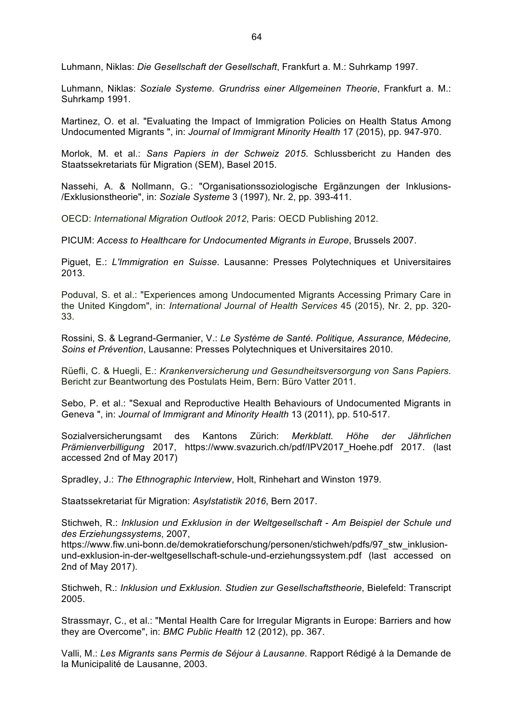Luhmann, Niklas: *Die Gesellschaft der Gesellschaft*, Frankfurt a. M.: Suhrkamp 1997.

Luhmann, Niklas: *Soziale Systeme. Grundriss einer Allgemeinen Theorie*, Frankfurt a. M.: Suhrkamp 1991.

Martinez, O. et al. "Evaluating the Impact of Immigration Policies on Health Status Among Undocumented Migrants ", in: *Journal of Immigrant Minority Health* 17 (2015), pp. 947-970.

Morlok, M. et al.: *Sans Papiers in der Schweiz 2015*. Schlussbericht zu Handen des Staatssekretariats für Migration (SEM), Basel 2015.

Nassehi, A. & Nollmann, G.: "Organisationssoziologische Ergänzungen der Inklusions- /Exklusionstheorie", in: *Soziale Systeme* 3 (1997), Nr. 2, pp. 393-411.

OECD: *International Migration Outlook 2012*, Paris: OECD Publishing 2012.

PICUM: *Access to Healthcare for Undocumented Migrants in Europe*, Brussels 2007.

Piguet, E.: *L'Immigration en Suisse*. Lausanne: Presses Polytechniques et Universitaires 2013.

Poduval, S. et al.: "Experiences among Undocumented Migrants Accessing Primary Care in the United Kingdom", in: *International Journal of Health Services* 45 (2015), Nr. 2, pp. 320- 33.

Rossini, S. & Legrand-Germanier, V.: *Le Système de Santé. Politique, Assurance, Médecine, Soins et Prévention*, Lausanne: Presses Polytechniques et Universitaires 2010.

Rüefli, C. & Huegli, E.: *Krankenversicherung und Gesundheitsversorgung von Sans Papiers*. Bericht zur Beantwortung des Postulats Heim, Bern: Büro Vatter 2011.

Sebo, P. et al.: "Sexual and Reproductive Health Behaviours of Undocumented Migrants in Geneva ", in: *Journal of Immigrant and Minority Health* 13 (2011), pp. 510-517.

Sozialversicherungsamt des Kantons Zürich: *Merkblatt. Höhe der Jährlichen Prämienverbilligung* 2017, https://www.svazurich.ch/pdf/IPV2017\_Hoehe.pdf 2017. (last accessed 2nd of May 2017)

Spradley, J.: *The Ethnographic Interview*, Holt, Rinhehart and Winston 1979.

Staatssekretariat für Migration: *Asylstatistik 2016*, Bern 2017.

Stichweh, R.: *Inklusion und Exklusion in der Weltgesellschaft - Am Beispiel der Schule und des Erziehungssystems*, 2007,

https://www.fiw.uni-bonn.de/demokratieforschung/personen/stichweh/pdfs/97\_stw\_inklusionund-exklusion-in-der-weltgesellschaft-schule-und-erziehungssystem.pdf (last accessed on 2nd of May 2017).

Stichweh, R.: *Inklusion und Exklusion. Studien zur Gesellschaftstheorie*, Bielefeld: Transcript 2005.

Strassmayr, C., et al.: "Mental Health Care for Irregular Migrants in Europe: Barriers and how they are Overcome", in: *BMC Public Health* 12 (2012), pp. 367.

Valli, M.: *Les Migrants sans Permis de Séjour à Lausanne*. Rapport Rédigé à la Demande de la Municipalité de Lausanne, 2003.